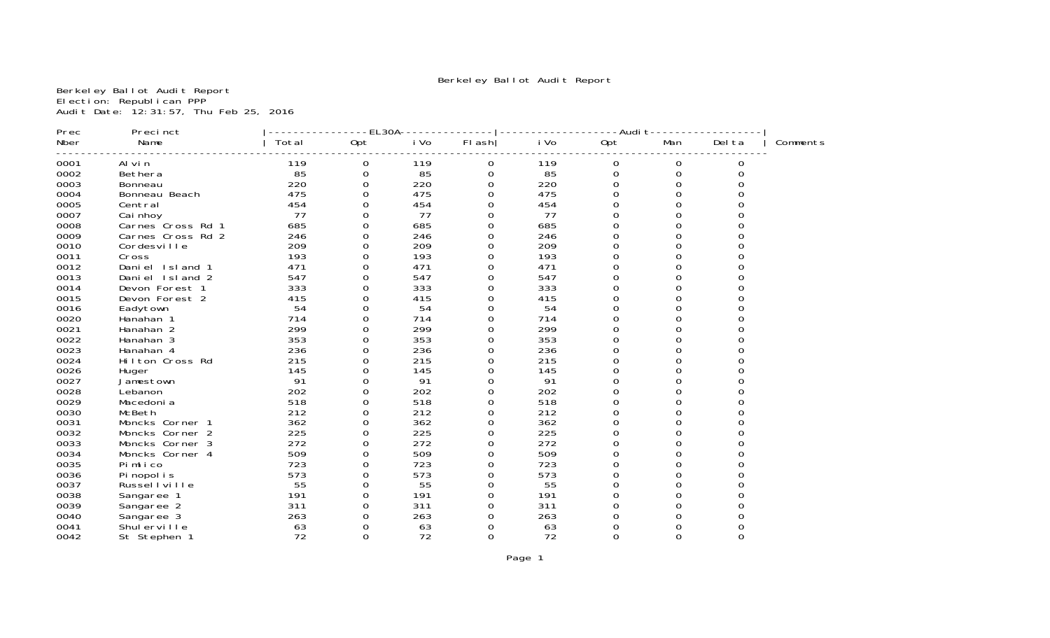# Berkeley Ballot Audit Report

Berkeley Ballot Audit Report Election: Republican PPP Audit Date: 12:31:57, Thu Feb 25, 2016

| Prec | Precinct          |       | $-EL30A$ |      |          |      | -Audi t  |          |        |          |
|------|-------------------|-------|----------|------|----------|------|----------|----------|--------|----------|
| Nber | Name              | Total | 0pt      | i Vo | FI ash   | i Vo | 0pt      | Man      | Del ta | Comments |
| 0001 | Al vi n           | 119   | 0        | 119  | 0        | 119  | 0        | 0        | 0      |          |
| 0002 | Bethera           | 85    | $\Omega$ | 85   | 0        | 85   | 0        | $\Omega$ |        |          |
| 0003 | Bonneau           | 220   | 0        | 220  | O        | 220  | $\Omega$ | 0        |        |          |
| 0004 | Bonneau Beach     | 475   |          | 475  | 0        | 475  | 0        | 0        |        |          |
| 0005 | Central           | 454   |          | 454  |          | 454  |          |          |        |          |
| 0007 | Cai nhoy          | 77    |          | 77   |          | 77   | O        |          |        |          |
| 0008 | Carnes Cross Rd 1 | 685   |          | 685  |          | 685  |          |          |        |          |
| 0009 | Carnes Cross Rd 2 | 246   |          | 246  |          | 246  | U        |          |        |          |
| 0010 | Cordesville       | 209   |          | 209  |          | 209  | O        |          |        |          |
| 0011 | Cross             | 193   |          | 193  |          | 193  |          |          |        |          |
| 0012 | Daniel Island 1   | 471   |          | 471  |          | 471  | 0        | 0        |        |          |
| 0013 | Daniel Island 2   | 547   |          | 547  |          | 547  | 0        | 0        |        |          |
| 0014 | Devon Forest 1    | 333   |          | 333  |          | 333  |          |          |        |          |
| 0015 | Devon Forest 2    | 415   |          | 415  |          | 415  | 0        |          |        |          |
| 0016 | Eadytown          | 54    |          | 54   |          | 54   | 0        |          |        |          |
| 0020 | Hanahan 1         | 714   |          | 714  |          | 714  | 0        |          |        |          |
| 0021 | Hanahan 2         | 299   |          | 299  |          | 299  | 0        | ∩        |        |          |
| 0022 | Hanahan 3         | 353   |          | 353  |          | 353  | 0        |          |        |          |
| 0023 | Hanahan 4         | 236   | 0        | 236  |          | 236  | 0        | 0        |        |          |
| 0024 | Hilton Cross Rd   | 215   |          | 215  |          | 215  | 0        | 0        |        |          |
| 0026 | Huger             | 145   |          | 145  |          | 145  | 0        |          |        |          |
| 0027 | Jamestown         | 91    |          | 91   |          | 91   | O        |          |        |          |
| 0028 | Lebanon           | 202   |          | 202  |          | 202  | O        |          |        |          |
| 0029 | Macedoni a        | 518   |          | 518  | U        | 518  | 0        | U        |        |          |
| 0030 | McBeth            | 212   |          | 212  |          | 212  | 0        | 0        |        |          |
| 0031 | Moncks Corner 1   | 362   | ∩        | 362  | U        | 362  | U        | U        |        |          |
| 0032 | Moncks Corner 2   | 225   | 0        | 225  | 0        | 225  | 0        | 0        |        |          |
| 0033 | Moncks Corner 3   | 272   |          | 272  | 0        | 272  | 0        | 0        |        |          |
| 0034 | Moncks Corner 4   | 509   |          | 509  |          | 509  | 0        | 0        |        |          |
| 0035 | Pimlico           | 723   |          | 723  |          | 723  | 0        | O        |        |          |
| 0036 | Pi nopol i s      | 573   | 0        | 573  | O        | 573  | 0        | 0        |        |          |
| 0037 | Russel I ville    | 55    |          | 55   |          | 55   | 0        |          |        |          |
| 0038 | Sangaree 1        | 191   | ∩        | 191  | O        | 191  | U        |          |        |          |
| 0039 | Sangaree 2        | 311   | 0        | 311  | O        | 311  | 0        |          |        |          |
| 0040 | Sangaree 3        | 263   |          | 263  | 0        | 263  | 0        |          |        |          |
| 0041 | Shul erville      | 63    |          | 63   |          | 63   |          |          |        |          |
| 0042 | St Stephen 1      | 72    | $\Omega$ | 72   | $\Omega$ | 72   | $\Omega$ | 0        |        |          |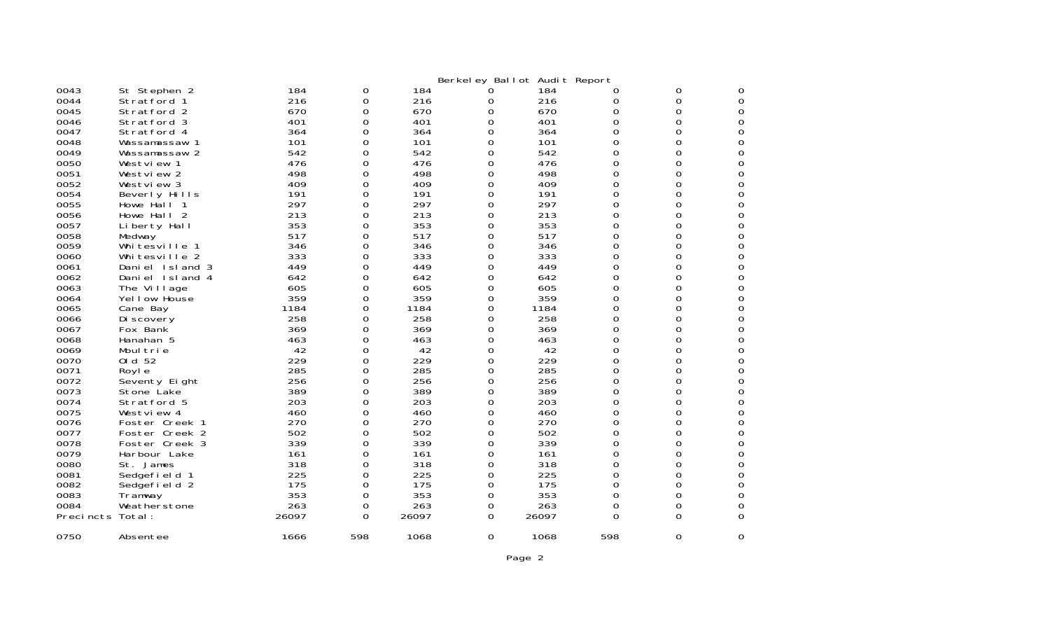|           |                   |       |          |       |   | Berkeley Ballot Audit Report |     |          |   |
|-----------|-------------------|-------|----------|-------|---|------------------------------|-----|----------|---|
| 0043      | St Stephen 2      | 184   | 0        | 184   |   | 184                          | O   | 0        |   |
| 0044      | Stratford 1       | 216   | 0        | 216   | 0 | 216                          | O   | 0        | Ω |
| 0045      | Stratford 2       | 670   | 0        | 670   | 0 | 670                          | 0   | 0        | Ω |
| 0046      | Stratford 3       | 401   | 0        | 401   | 0 | 401                          | 0   | 0        |   |
| 0047      | Stratford 4       | 364   | 0        | 364   | 0 | 364                          | 0   | 0        |   |
| 0048      | Wassamassaw<br>-1 | 101   | 0        | 101   | 0 | 101                          | 0   | 0        | 0 |
| 0049      | Wassamassaw 2     | 542   | 0        | 542   | O | 542                          | 0   | 0        |   |
| 0050      | Westview 1        | 476   | 0        | 476   | 0 | 476                          | 0   | 0        |   |
| 0051      | Westview 2        | 498   | O        | 498   | 0 | 498                          | 0   | $\Omega$ | Ω |
| 0052      | Westview 3        | 409   | 0        | 409   | 0 | 409                          | 0   | $\Omega$ |   |
| 0054      | Beverly Hills     | 191   | 0        | 191   | 0 | 191                          | 0   | 0        |   |
| 0055      | Howe Hall 1       | 297   | 0        | 297   | 0 | 297                          | 0   | 0        | O |
| 0056      | Howe Hall 2       | 213   | 0        | 213   | 0 | 213                          | 0   | 0        |   |
| 0057      | Liberty Hall      | 353   | 0        | 353   | 0 | 353                          | 0   | 0        |   |
| 0058      | Medway            | 517   | 0        | 517   | 0 | 517                          | 0   | 0        |   |
| 0059      | Whitesville       | 346   | 0        | 346   | 0 | 346                          | 0   | 0        |   |
| 0060      | Whitesville 2     | 333   | 0        | 333   | 0 | 333                          | 0   | 0        | Ω |
| 0061      | Daniel Island 3   | 449   | 0        | 449   | 0 | 449                          | 0   | 0        |   |
| 0062      | Daniel Island 4   | 642   | 0        | 642   | 0 | 642                          | 0   | $\Omega$ |   |
| 0063      | The Village       | 605   | 0        | 605   | O | 605                          | 0   | 0        | O |
| 0064      | Yellow House      | 359   | 0        | 359   | 0 | 359                          | 0   | 0        |   |
| 0065      | Cane Bay          | 1184  | 0        | 1184  | 0 | 1184                         | 0   | 0        | Ω |
| 0066      | Di scovery        | 258   | 0        | 258   | 0 | 258                          | 0   | 0        | Ω |
| 0067      | Fox Bank          | 369   | 0        | 369   | 0 | 369                          | 0   | 0        |   |
| 0068      | Hanahan 5         | 463   | 0        | 463   | 0 | 463                          | 0   | 0        |   |
| 0069      | Moul trie         | 42    | 0        | 42    | 0 | 42                           | 0   | 0        | Ω |
| 0070      | 0 d 52            | 229   | 0        | 229   | 0 | 229                          | 0   | $\Omega$ |   |
| 0071      | Royl e            | 285   | 0        | 285   | 0 | 285                          | 0   | 0        |   |
| 0072      | Seventy Eight     | 256   | 0        | 256   | 0 | 256                          | 0   | 0        | Ω |
| 0073      | Stone Lake        | 389   | O        | 389   | O | 389                          | 0   | $\Omega$ |   |
| 0074      | Stratford 5       | 203   | 0        | 203   | 0 | 203                          | 0   | 0        |   |
| 0075      | Westview 4        | 460   | 0        | 460   | O | 460                          | 0   | $\Omega$ | Ω |
| 0076      | Foster Creek 1    | 270   | 0        | 270   | O | 270                          | 0   | $\Omega$ |   |
| 0077      | Foster Creek 2    | 502   | 0        | 502   | 0 | 502                          | 0   | 0        |   |
| 0078      | Foster Creek 3    | 339   | 0        | 339   | 0 | 339                          | 0   | 0        | Ω |
| 0079      | Harbour Lake      | 161   | 0        | 161   | 0 | 161                          | 0   | 0        |   |
| 0080      | St. James         | 318   | 0        | 318   | 0 | 318                          | 0   | 0        |   |
| 0081      | Sedgefi el d 1    | 225   | 0        | 225   | 0 | 225                          | 0   | 0        | Ω |
| 0082      | Sedgefield 2      | 175   | 0        | 175   | 0 | 175                          | 0   | 0        |   |
| 0083      | Tramway           | 353   | 0        | 353   | 0 | 353                          | 0   | 0        | Ω |
| 0084      | Weatherstone      | 263   | 0        | 263   | 0 | 263                          | 0   | 0        | O |
| Precincts | Total:            | 26097 | $\Omega$ | 26097 | 0 | 26097                        | 0   | $\Omega$ | Ω |
| 0750      | Absentee          | 1666  | 598      | 1068  | 0 | 1068                         | 598 | $\Omega$ | 0 |
|           |                   |       |          |       |   |                              |     |          |   |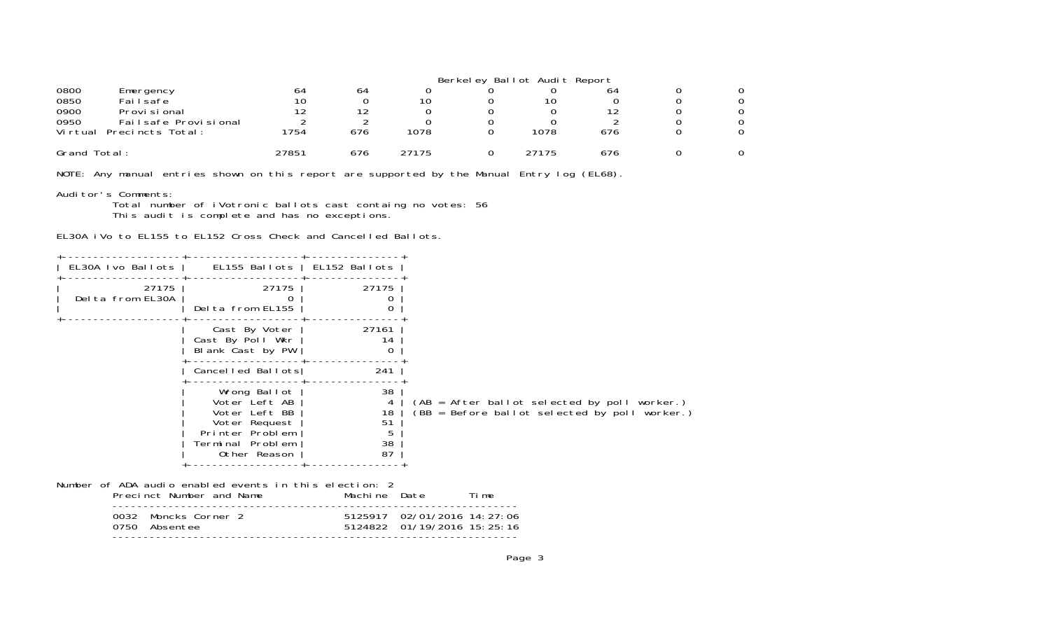|                              | Berkeley Ballot Audit Report |     |       |  |       |     |  |   |  |
|------------------------------|------------------------------|-----|-------|--|-------|-----|--|---|--|
| 0800<br>Emergency            | 64                           | 64  |       |  |       | 64  |  | 0 |  |
| 0850<br>Failsafe             | 10                           |     | 10    |  | 10    |     |  | 0 |  |
| 0900<br>Provi si onal        | 12                           | 1 つ |       |  |       | 12  |  | 0 |  |
| 0950<br>Failsafe Provisional |                              |     |       |  |       |     |  | 0 |  |
| Virtual<br>Precincts Total:  | 1754                         | 676 | 1078  |  | 1078  | 676 |  | 0 |  |
| Grand Total:                 | 27851                        | 676 | 27175 |  | 27175 | 676 |  | 0 |  |

NOTE: Any manual entries shown on this report are supported by the Manual Entry log (EL68).

#### Auditor's Comments:

 Total number of iVotronic ballots cast containg no votes: 56 This audit is complete and has no exceptions.

EL30A iVo to EL155 to EL152 Cross Check and Cancelled Ballots.

| EL30A Ivo Ballots                                      | EL155 Ballots   EL152 Ballots                                                                                          |                                      |                                                                                                 |
|--------------------------------------------------------|------------------------------------------------------------------------------------------------------------------------|--------------------------------------|-------------------------------------------------------------------------------------------------|
| 27175<br>Delta from EL30A                              | 27175<br>Delta from EL155                                                                                              | 27175<br>0<br>0                      |                                                                                                 |
|                                                        | Cast By Voter<br>Cast By Poll Wkr<br>Blank Cast by PW                                                                  | 27161<br>14<br>0                     |                                                                                                 |
|                                                        | Cancelled Ballots                                                                                                      | 241                                  |                                                                                                 |
|                                                        | Wrong Ballot<br>Voter Left AB<br>Voter Left BB<br>Voter Request<br>Printer Problem<br>Terminal Problem<br>Other Reason | 38<br>4<br>18<br>51<br>5<br>38<br>87 | $(AB = After ballot selected by poll worker.)$<br>(BB = Before ballot selected by poll worker.) |
| Number of ADA audio enabled events in this election: 2 | Precinct Number and Name                                                                                               | Machine Date                         | Ti me                                                                                           |
| 0032 Moncks Corner 2<br>0750<br>Absentee               |                                                                                                                        | 5124822                              | 5125917 02/01/2016 14: 27: 06<br>01/19/2016 15:25:16                                            |
|                                                        |                                                                                                                        |                                      |                                                                                                 |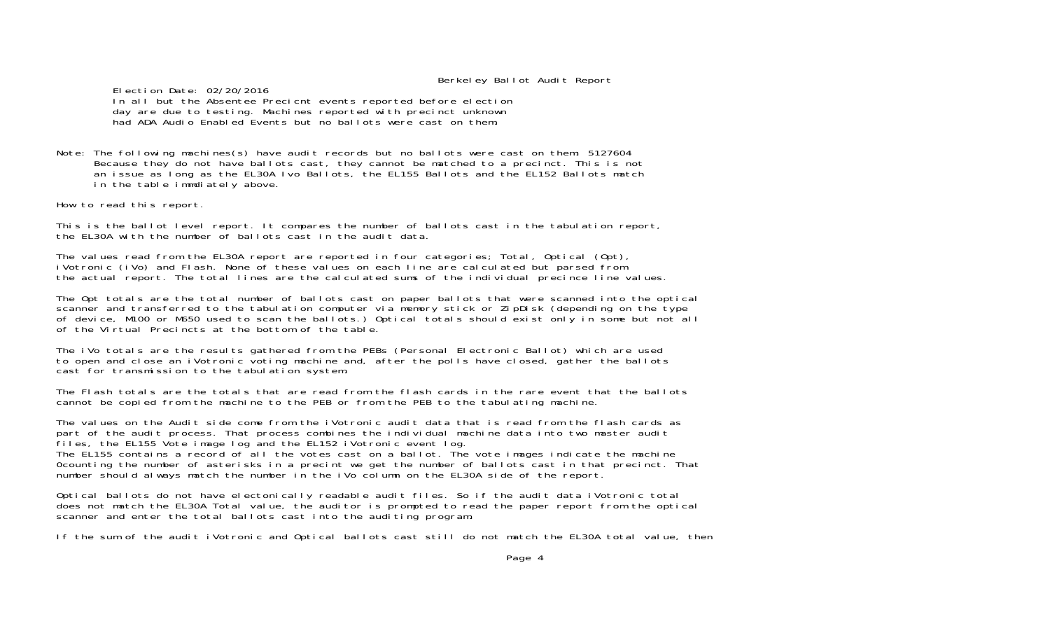Berkeley Ballot Audit Report

 Election Date: 02/20/2016 In all but the Absentee Precicnt events reported before election day are due to testing. Machines reported with precinct unknown had ADA Audio Enabled Events but no ballots were cast on them.

Note: The following machines(s) have audit records but no ballots were cast on them: 5127604 Because they do not have ballots cast, they cannot be matched to a precinct. This is not an issue as long as the EL30A Ivo Ballots, the EL155 Ballots and the EL152 Ballots match in the table immdiately above.

How to read this report.

This is the ballot level report. It compares the number of ballots cast in the tabulation report, the EL30A with the number of ballots cast in the audit data.

The values read from the EL30A report are reported in four categories; Total, Optical (Opt), iVotronic (iVo) and Flash. None of these values on each line are calculated but parsed from the actual report. The total lines are the calculated sums of the individual precince line values.

The Opt totals are the total number of ballots cast on paper ballots that were scanned into the optical scanner and transferred to the tabulation computer via memory stick or ZipDisk (depending on the type of device, M100 or M650 used to scan the ballots.) Optical totals should exist only in some but not all of the Virtual Precincts at the bottom of the table.

The iVo totals are the results gathered from the PEBs (Personal Electronic Ballot) which are used to open and close an iVotronic voting machine and, after the polls have closed, gather the ballots cast for transmission to the tabulation system.

The Flash totals are the totals that are read from the flash cards in the rare event that the ballots cannot be copied from the machine to the PEB or from the PEB to the tabulating machine.

The values on the Audit side come from the iVotronic audit data that is read from the flash cards as part of the audit process. That process combines the individual machine data into two master audit files, the EL155 Vote image log and the EL152 iVotronic event log. The EL155 contains a record of all the votes cast on a ballot. The vote images indicate the machine 0counting the number of asterisks in a precint we get the number of ballots cast in that precinct. That number should always match the number in the iVo column on the EL30A side of the report.

Optical ballots do not have electonically readable audit files. So if the audit data iVotronic total does not match the EL30A Total value, the auditor is prompted to read the paper report from the optical scanner and enter the total ballots cast into the auditing program.

If the sum of the audit iVotronic and Optical ballots cast still do not match the EL30A total value, then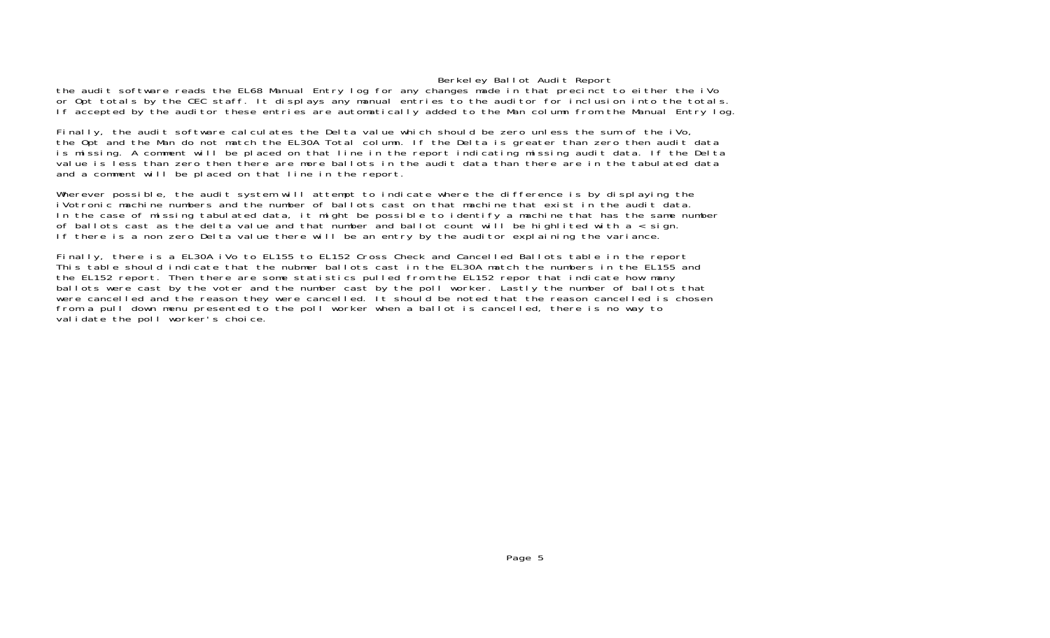#### Berkeley Ballot Audit Report

the audit software reads the EL68 Manual Entry log for any changes made in that precinct to either the iVo or Opt totals by the CEC staff. It displays any manual entries to the auditor for inclusion into the totals. If accepted by the auditor these entries are automatically added to the Man column from the Manual Entry log.

Finally, the audit software calculates the Delta value which should be zero unless the sum of the iVo, the Opt and the Man do not match the EL30A Total column. If the Delta is greater than zero then audit data is missing. A comment will be placed on that line in the report indicating missing audit data. If the Delta value is less than zero then there are more ballots in the audit data than there are in the tabulated data and a comment will be placed on that line in the report.

Wherever possible, the audit system will attempt to indicate where the difference is by displaying the iVotronic machine numbers and the number of ballots cast on that machine that exist in the audit data. In the case of missing tabulated data, it might be possible to identify a machine that has the same number of ballots cast as the delta value and that number and ballot count will be highlited with a < sign. If there is a non zero Delta value there will be an entry by the auditor explaining the variance.

Finally, there is a EL30A iVo to EL155 to EL152 Cross Check and Cancelled Ballots table in the report This table should indicate that the nubmer ballots cast in the EL30A match the numbers in the EL155 and the EL152 report. Then there are some statistics pulled from the EL152 repor that indicate how many ballots were cast by the voter and the number cast by the poll worker. Lastly the number of ballots that were cancelled and the reason they were cancelled. It should be noted that the reason cancelled is chosen from a pull down menu presented to the poll worker when a ballot is cancelled, there is no way to validate the poll worker's choice.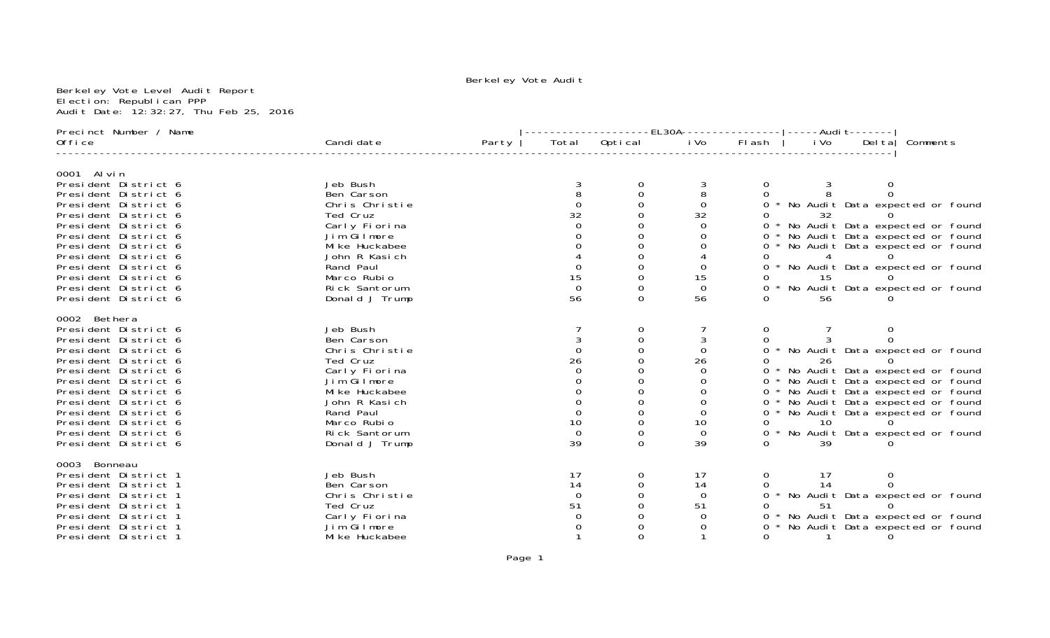Berkeley Vote Level Audit Report Election: Republican PPP Audit Date: 12:32:27, Thu Feb 25, 2016

| Precinct Number / Name                       |                                 |       |                                       | ----------------EL30A---------------- -----Audi                               t------- |          |          |                |          |                                                                        |
|----------------------------------------------|---------------------------------|-------|---------------------------------------|----------------------------------------------------------------------------------------|----------|----------|----------------|----------|------------------------------------------------------------------------|
| 0ffice                                       | Candi date                      | Party |                                       | Total Optical                                                                          | i Vo     | Fl ash   | i Vo           |          | Delta Comments                                                         |
|                                              |                                 |       |                                       |                                                                                        |          |          |                |          |                                                                        |
| 0001 Al vin<br>President District 6          | Jeb Bush                        |       |                                       | 0                                                                                      | 3        | 0        |                | $\Omega$ |                                                                        |
| President District 6                         | Ben Carson                      |       |                                       |                                                                                        | 8        |          |                |          |                                                                        |
| President District 6                         | Chris Christie                  |       | $\Omega$                              |                                                                                        | $\Omega$ |          |                |          | * No Audit Data expected or found                                      |
| President District 6                         | Ted Cruz                        |       | 32                                    |                                                                                        | 32       |          | 32             |          |                                                                        |
| President District 6                         | Carly Fiorina                   |       |                                       |                                                                                        |          |          |                |          | * No Audit Data expected or found                                      |
| President District 6                         | Jim Gilmore                     |       |                                       |                                                                                        |          |          |                |          | No Audit Data expected or found                                        |
| President District 6                         | Mi ke Huckabee                  |       |                                       |                                                                                        |          |          |                |          | No Audit Data expected or found                                        |
| President District 6                         | John R Kasich                   |       |                                       |                                                                                        |          |          |                |          |                                                                        |
| President District 6                         | Rand Paul                       |       |                                       |                                                                                        |          |          |                |          | * No Audit Data expected or found                                      |
| President District 6                         | Marco Rubio                     |       | $\frac{15}{0}$                        |                                                                                        | 15       |          | 15             |          |                                                                        |
| President District 6                         | Rick Santorum                   |       |                                       |                                                                                        | $\Omega$ |          |                |          | * No Audit Data expected or found                                      |
| President District 6                         | Donald J Trump                  |       | 56                                    | 0                                                                                      | 56       |          | 56             |          |                                                                        |
| 0002 Bethera                                 |                                 |       |                                       |                                                                                        |          |          |                |          |                                                                        |
| President District 6                         | Jeb Bush                        |       |                                       | 0                                                                                      |          | 0        |                |          |                                                                        |
| President District 6                         | Ben Carson                      |       |                                       |                                                                                        | 3        |          |                |          |                                                                        |
| President District 6                         | Chris Christie                  |       | $\Omega$                              |                                                                                        | $\Omega$ |          |                |          | 0 * No Audit Data expected or found                                    |
| President District 6                         | Ted Cruz                        |       | 26                                    |                                                                                        | 26       |          | 26             |          |                                                                        |
| President District 6                         | Carly Fiorina                   |       |                                       |                                                                                        |          |          |                |          | * No Audit Data expected or found                                      |
| President District 6                         | Jim Gilmore                     |       |                                       |                                                                                        |          |          |                |          | * No Audit Data expected or found                                      |
| President District 6<br>President District 6 | Mi ke Huckabee<br>John R Kasich |       |                                       |                                                                                        |          |          |                |          | * No Audit Data expected or found<br>* No Audit Data expected or found |
| President District 6                         | Rand Paul                       |       |                                       |                                                                                        |          | 0        |                |          | * No Audit Data expected or found                                      |
| President District 6                         | Marco Rubio                     |       |                                       |                                                                                        | 10       |          | 10             |          |                                                                        |
| President District 6                         | Rick Santorum                   |       | $\begin{matrix} 10 \\ 0 \end{matrix}$ |                                                                                        | $\Omega$ | $\Omega$ |                |          | * No Audit Data expected or found                                      |
| President District 6                         | Donald J Trump                  |       | 39                                    | ∩                                                                                      | 39       |          | 39             |          |                                                                        |
|                                              |                                 |       |                                       |                                                                                        |          |          |                |          |                                                                        |
| 0003 Bonneau<br>President District 1         | Jeb Bush                        |       | 17                                    | 0                                                                                      | 17       | 0        | 17             | 0        |                                                                        |
| President District 1                         | Ben Carson                      |       | 14                                    |                                                                                        | 14       | 0        | 14             |          |                                                                        |
| President District 1                         | Chris Christie                  |       | $\Omega$                              |                                                                                        | $\Omega$ |          |                |          | * No Audit Data expected or found                                      |
| President District 1                         | Ted Cruz                        |       | 51                                    |                                                                                        | 51       |          | 51             |          |                                                                        |
| President District 1                         | Carly Fiorina                   |       |                                       |                                                                                        |          |          |                |          | No Audit Data expected or found                                        |
| President District 1                         | Jim Gilmore                     |       |                                       |                                                                                        |          |          |                |          | No Audit Data expected or found                                        |
| President District 1                         | Mi ke Huckabee                  |       |                                       |                                                                                        |          | 0        | $\overline{1}$ | $\Omega$ |                                                                        |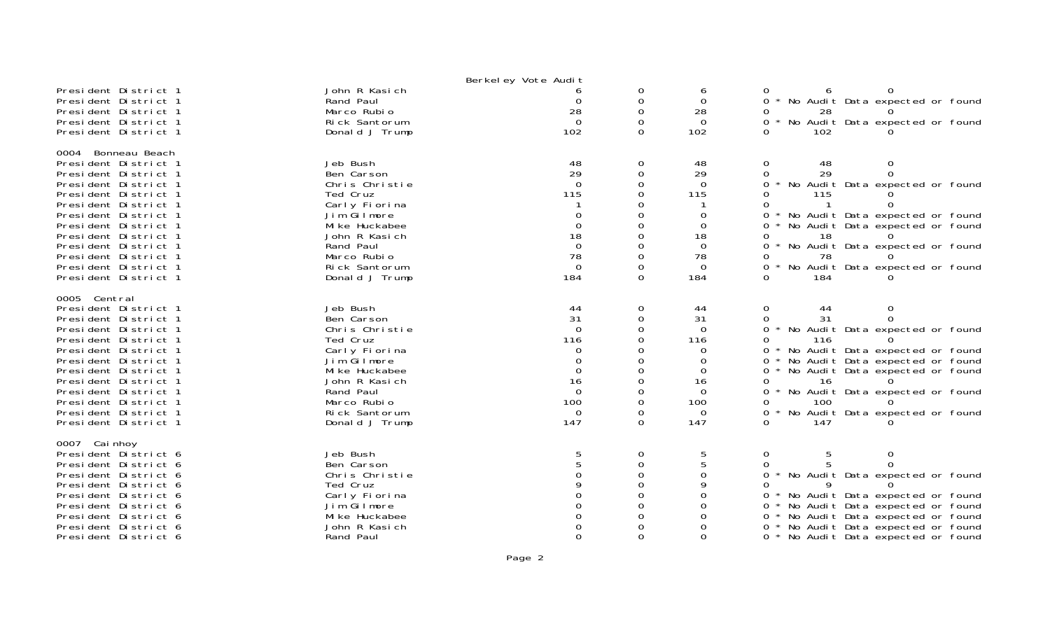|                                                                                                                                                                                                                                                                                                                    |                                                                                                                                                                                        | Berkel ey Vote Audit                                                                                    |                                                                                                         |                                                                                                                   |                                                                                                                                                                                                                                                                                                                                                |
|--------------------------------------------------------------------------------------------------------------------------------------------------------------------------------------------------------------------------------------------------------------------------------------------------------------------|----------------------------------------------------------------------------------------------------------------------------------------------------------------------------------------|---------------------------------------------------------------------------------------------------------|---------------------------------------------------------------------------------------------------------|-------------------------------------------------------------------------------------------------------------------|------------------------------------------------------------------------------------------------------------------------------------------------------------------------------------------------------------------------------------------------------------------------------------------------------------------------------------------------|
| President District 1<br>President District 1<br>President District 1<br>President District 1<br>President District 1                                                                                                                                                                                               | John R Kasich<br>Rand Paul<br>Marco Rubio<br>Rick Santorum<br>Donald J Trump                                                                                                           | $\Omega$<br>28<br>$\Omega$<br>102                                                                       | 0<br>$\mathbf 0$<br>$\Omega$<br>$\Omega$<br>$\Omega$                                                    | 6<br>$\Omega$<br>28<br>$\Omega$<br>102                                                                            | 0<br>$\Omega$<br>No Audit Data expected or found<br>0<br>28<br>No Audit Data expected or found<br>$0 *$<br>102<br>0                                                                                                                                                                                                                            |
| 0004 Bonneau Beach<br>President District 1<br>President District 1<br>President District 1<br>President District 1<br>President District 1<br>President District 1<br>President District 1<br>President District 1<br>President District 1<br>President District 1<br>President District 1<br>President District 1 | Jeb Bush<br>Ben Carson<br>Chris Christie<br>Ted Cruz<br>Carly Fiorina<br>Jim Gilmore<br>Mi ke Huckabee<br>John R Kasich<br>Rand Paul<br>Marco Rubio<br>Rick Santorum<br>Donald J Trump | 48<br>29<br>$\Omega$<br>115<br>0<br>$\Omega$<br>18<br>$\Omega$<br>78<br>$\overline{0}$<br>184           | 0<br>$\mathbf 0$<br>$\Omega$<br>$\Omega$<br>$\Omega$<br>$\mathbf 0$<br>$\Omega$<br>$\Omega$<br>$\Omega$ | 48<br>29<br>$\Omega$<br>115<br>$\Omega$<br>$\Omega$<br>18<br>$\overline{0}$<br>78<br>$\Omega$<br>184              | $\mathbf 0$<br>48<br>$\Omega$<br>29<br>$\mathbf 0$<br>$\Omega$<br>$\Omega$<br>No Audit Data expected or found<br>115<br>$\Omega$<br>0<br>No Audit Data expected or found<br>0<br>No Audit Data expected or found<br>0<br>18<br>0<br>0<br>No Audit Data expected or found<br>78<br>Ω<br>0<br>No Audit Data expected or found<br>$\Omega$<br>184 |
| 0005 Central<br>President District 1<br>President District 1<br>President District 1<br>President District 1<br>President District 1<br>President District 1<br>President District 1<br>President District 1<br>President District 1<br>President District 1<br>President District 1<br>President District 1       | Jeb Bush<br>Ben Carson<br>Chris Christie<br>Ted Cruz<br>Carly Fiorina<br>Jim Gilmore<br>Mi ke Huckabee<br>John R Kasich<br>Rand Paul<br>Marco Rubio<br>Rick Santorum<br>Donald J Trump | 44<br>31<br>$\Omega$<br>116<br>0<br>$\Omega$<br>$\Omega$<br>16<br>$\Omega$<br>100<br>$\mathbf 0$<br>147 | 0<br>0<br>$\Omega$<br>$\Omega$<br>$\Omega$<br>0<br>$\Omega$<br>$\Omega$<br>0<br>$\Omega$                | 44<br>31<br>$\Omega$<br>116<br>$\Omega$<br>$\Omega$<br>$\Omega$<br>16<br>$\Omega$<br>100<br>$\overline{0}$<br>147 | 0<br>44<br>0<br>31<br>$\Omega$<br>0<br>No Audit Data expected or found<br>0<br>0<br>116<br>No Audit Data expected or found<br>0<br>No Audit Data expected or found<br>0<br>0<br>No Audit Data expected or found<br>16<br>0<br>No Audit Data expected or found<br>0<br>100<br>0<br>0<br>No Audit Data expected or found<br>147<br>$\Omega$      |
| 0007 Cai nhoy<br>President District 6<br>President District 6<br>President District 6<br>President District 6<br>President District 6<br>President District 6<br>President District 6<br>President District 6<br>President District 6                                                                              | Jeb Bush<br>Ben Carson<br>Chris Christie<br>Ted Cruz<br>Carly Fiorina<br>Jim Gilmore<br>Mi ke Huckabee<br>John R Kasich<br>Rand Paul                                                   | 5<br>5                                                                                                  | 0<br>0<br>$\Omega$<br>$\Omega$<br>0<br>$\Omega$<br>$\Omega$                                             | 5<br>5<br>$\Omega$<br>$\Omega$<br>0<br>0<br>$\Omega$                                                              | 0<br>5<br>0<br>0<br>No Audit Data expected or found<br>0<br>Ω<br>No Audit Data expected or found<br>0<br>No Audit Data expected or found<br>$\Omega$<br>No Audit Data expected or found<br>0<br>No Audit Data expected or found<br>0<br>* No Audit Data expected or found<br>0                                                                 |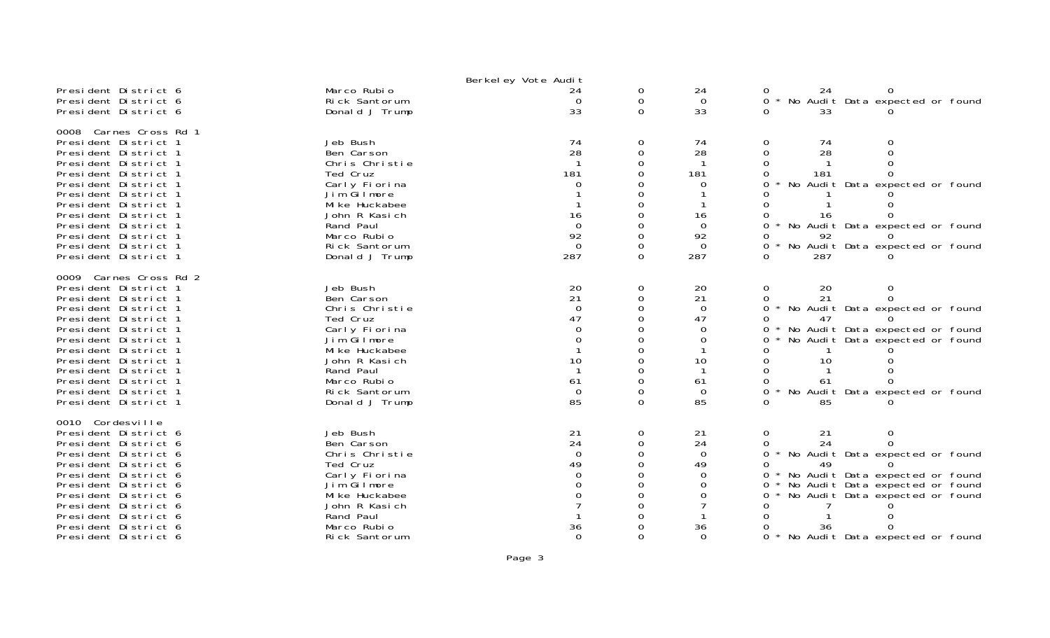|                                                                                                                                                                                                                                                                                                                        |                                                                                                                                                                                        | Berkel ey Vote Audit                                                                   |                                            |                                                                           |                                                                                                                                                                                                                                          |
|------------------------------------------------------------------------------------------------------------------------------------------------------------------------------------------------------------------------------------------------------------------------------------------------------------------------|----------------------------------------------------------------------------------------------------------------------------------------------------------------------------------------|----------------------------------------------------------------------------------------|--------------------------------------------|---------------------------------------------------------------------------|------------------------------------------------------------------------------------------------------------------------------------------------------------------------------------------------------------------------------------------|
| President District 6<br>President District 6<br>President District 6                                                                                                                                                                                                                                                   | Marco Rubio<br>Rick Santorum<br>Donald J Trump                                                                                                                                         | 24<br>$\Omega$<br>33                                                                   | 0<br>0<br>$\Omega$                         | 24<br>$\Omega$<br>33                                                      | 24<br>No Audit Data expected or found<br>$\Omega$<br>33<br><sup>n</sup>                                                                                                                                                                  |
| 0008 Carnes Cross Rd 1<br>President District 1<br>President District 1<br>President District 1<br>President District 1<br>President District 1<br>President District 1<br>President District 1<br>President District 1<br>President District 1<br>President District 1<br>President District 1<br>President District 1 | Jeb Bush<br>Ben Carson<br>Chris Christie<br>Ted Cruz<br>Carly Fiorina<br>Jim Gilmore<br>Mi ke Huckabee<br>John R Kasich<br>Rand Paul<br>Marco Rubio<br>Rick Santorum<br>Donald J Trump | 74<br>28<br>181<br>16<br>$\Omega$<br>92<br>$\Omega$<br>287                             | 0<br>$\Omega$<br>$\Omega$<br>∩<br>$\Omega$ | 74<br>28<br>181<br>0<br>16<br>$\Omega$<br>92<br>$\Omega$<br>287           | 0<br>74<br>0<br>$\Omega$<br>28<br>181<br>No Audit Data expected or found<br>16<br>No Audit Data expected or found<br>0<br>92<br>No Audit Data expected or found<br>0<br>287<br><sup>n</sup>                                              |
| 0009 Carnes Cross Rd 2<br>President District 1<br>President District 1<br>President District 1<br>President District 1<br>President District 1<br>President District 1<br>President District 1<br>President District 1<br>President District 1<br>President District 1<br>President District 1<br>President District 1 | Jeb Bush<br>Ben Carson<br>Chris Christie<br>Ted Cruz<br>Carly Fiorina<br>Jim Gilmore<br>Mi ke Huckabee<br>John R Kasich<br>Rand Paul<br>Marco Rubio<br>Rick Santorum<br>Donald J Trump | 20<br>21<br>$\overline{0}$<br>47<br>$\Omega$<br>$\Omega$<br>10<br>61<br>$\Omega$<br>85 | 0<br>$\Omega$<br>∩<br>Ω<br>$\Omega$        | 20<br>21<br>$\Omega$<br>47<br>$\Omega$<br>0<br>10<br>61<br>$\Omega$<br>85 | 20<br>0<br>0<br>21<br>0<br>$\Omega$<br>No Audit Data expected or found<br>47<br>No Audit Data expected or found<br>No Audit Data expected or found<br>10<br>61<br>No Audit Data expected or found<br>85                                  |
| 0010 Cordesville<br>President District 6<br>President District 6<br>President District 6<br>President District 6<br>President District 6<br>President District 6<br>President District 6<br>President District 6<br>President District 6<br>President District 6<br>President District 6                               | Jeb Bush<br>Ben Carson<br>Chris Christie<br>Ted Cruz<br>Carly Fiorina<br>Jim Gilmore<br>Mi ke Huckabee<br>John R Kasich<br>Rand Paul<br>Marco Rubio<br>Rick Santorum                   | 21<br>24<br>$\Omega$<br>49<br>$\Omega$<br>36<br>$\Omega$                               | 0<br>$\Omega$<br>$\Omega$                  | 21<br>24<br>$\Omega$<br>49<br>$\Omega$<br>0<br>0<br>36<br>$\Omega$        | 0<br>21<br>0<br>0<br>24<br>No Audit Data expected or found<br>0<br>49<br>No Audit Data expected or found<br>No Audit Data expected or found<br>0<br>No Audit Data expected or found<br>36<br>$\Omega$<br>No Audit Data expected or found |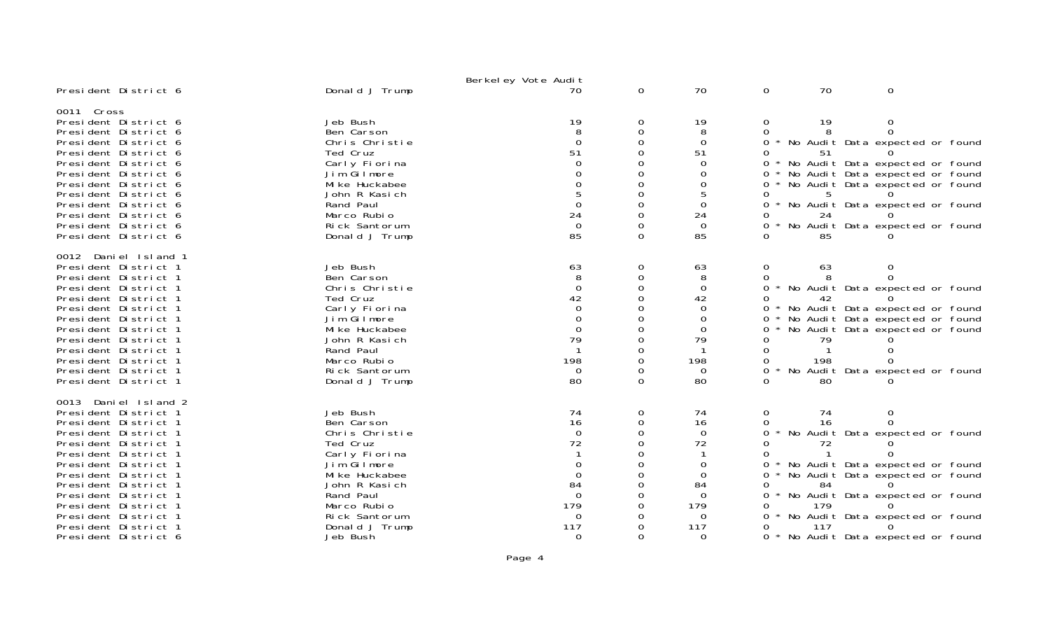|                                                                                                                                                                                                                                                                                                                                                 |                                                                                                                                                                                                    | Berkeley Vote Audit                                                                                                       |                                                                                                                            |                                                                                                                              |                                                                                                                      |                                          |                                                                                                                                                                                                                                 |
|-------------------------------------------------------------------------------------------------------------------------------------------------------------------------------------------------------------------------------------------------------------------------------------------------------------------------------------------------|----------------------------------------------------------------------------------------------------------------------------------------------------------------------------------------------------|---------------------------------------------------------------------------------------------------------------------------|----------------------------------------------------------------------------------------------------------------------------|------------------------------------------------------------------------------------------------------------------------------|----------------------------------------------------------------------------------------------------------------------|------------------------------------------|---------------------------------------------------------------------------------------------------------------------------------------------------------------------------------------------------------------------------------|
| President District 6                                                                                                                                                                                                                                                                                                                            | Donald J Trump                                                                                                                                                                                     | 70                                                                                                                        | $\overline{0}$                                                                                                             | 70                                                                                                                           | $\mathbf 0$                                                                                                          | 70                                       | $\mathbf 0$                                                                                                                                                                                                                     |
| 0011 Cross<br>President District 6<br>President District 6<br>President District 6<br>President District 6<br>President District 6<br>President District 6<br>President District 6<br>President District 6<br>President District 6<br>President District 6<br>President District 6<br>President District 6                                      | Jeb Bush<br>Ben Carson<br>Chris Christie<br>Ted Cruz<br>Carly Fiorina<br>Jim Gilmore<br>Mi ke Huckabee<br>John R Kasich<br>Rand Paul<br>Marco Rubio<br>Rick Santorum<br>Donald J Trump             | 19<br>8<br>$\Omega$<br>51<br>$\Omega$<br>$\Omega$<br>5<br>$\mathbf 0$<br>24<br>$\Omega$<br>85                             | 0<br>$\Omega$<br>$\Omega$<br>$\Omega$<br>$\Omega$<br>$\Omega$<br>0<br>$\Omega$<br>$\mathbf 0$<br>0<br>$\Omega$<br>$\Omega$ | 19<br>8<br>$\Omega$<br>51<br>0<br>$\Omega$<br>0<br>0<br>24<br>$\Omega$<br>85                                                 | 0<br>$\Omega$<br>0<br>0<br>0<br>0<br>$0 *$<br>0<br>0<br>0<br>0<br>0                                                  | 19<br>51<br>24<br>85                     | 0<br>$\Omega$<br>No Audit Data expected or found<br>No Audit Data expected or found<br>No Audit Data expected or found<br>No Audit Data expected or found<br>No Audit Data expected or found<br>No Audit Data expected or found |
| 0012 Daniel Island 1<br>President District 1<br>President District 1<br>President District 1<br>President District 1<br>President District 1<br>President District 1<br>President District 1<br>President District 1<br>President District 1<br>President District 1<br>President District 1<br>President District 1                            | Jeb Bush<br>Ben Carson<br>Chris Christie<br>Ted Cruz<br>Carly Fiorina<br>Jim Gilmore<br>Mi ke Huckabee<br>John R Kasich<br>Rand Paul<br>Marco Rubio<br>Rick Santorum<br>Donald J Trump             | 63<br>8<br>$\Omega$<br>42<br>$\Omega$<br>$\Omega$<br>$\mathbf 0$<br>79<br>198<br>$\Omega$<br>80                           | 0<br>0<br>$\Omega$<br>$\Omega$<br>$\Omega$<br>0<br>$\Omega$<br>$\Omega$<br>0<br>$\Omega$                                   | 63<br>8<br>0<br>42<br>$\Omega$<br>$\Omega$<br>$\Omega$<br>79<br>198<br>$\Omega$<br>80                                        | $\mathbf 0$<br>0<br>0<br>0<br>0<br>$\star$<br>0<br>0<br>0<br>$\Omega$<br>0<br>$\star$<br>0                           | 63<br>42<br>79<br>198<br>80              | 0<br>$\Omega$<br>No Audit Data expected or found<br>No Audit Data expected or found<br>No Audit Data expected or found<br>No Audit Data expected or found<br>No Audit Data expected or found                                    |
| 0013<br>Daniel Island 2<br>President District 1<br>President District 1<br>President District 1<br>President District 1<br>President District 1<br>President District 1<br>President District 1<br>President District 1<br>President District 1<br>President District 1<br>President District 1<br>President District 1<br>President District 6 | Jeb Bush<br>Ben Carson<br>Chris Christie<br>Ted Cruz<br>Carly Fiorina<br>Jim Gilmore<br>Mi ke Huckabee<br>John R Kasich<br>Rand Paul<br>Marco Rubio<br>Rick Santorum<br>Donald J Trump<br>Jeb Bush | 74<br>16<br>$\Omega$<br>72<br>$\mathbf{1}$<br>$\mathbf 0$<br>$\mathbf 0$<br>84<br>$\Omega$<br>179<br>0<br>117<br>$\Omega$ | 0<br>0<br>$\Omega$<br>$\Omega$<br>$\Omega$<br>0<br>0<br>0<br>0<br>$\Omega$                                                 | 74<br>16<br>$\Omega$<br>72<br>$\mathbf 1$<br>$\Omega$<br>$\mathbf 0$<br>84<br>$\Omega$<br>179<br>$\Omega$<br>117<br>$\Omega$ | $\Omega$<br>$\Omega$<br>0<br>$\Omega$<br><sup>n</sup><br>O<br>$\mathbf{O}$<br>0<br>$0 *$<br>0<br>$\star$<br>0<br>ი ∗ | 74<br>16<br>72<br>-1<br>84<br>179<br>117 | 0<br>No Audit Data expected or found<br>No Audit Data expected or found<br>No Audit Data expected or found<br>No Audit Data expected or found<br>No Audit Data expected or found<br>No Audit Data expected or found             |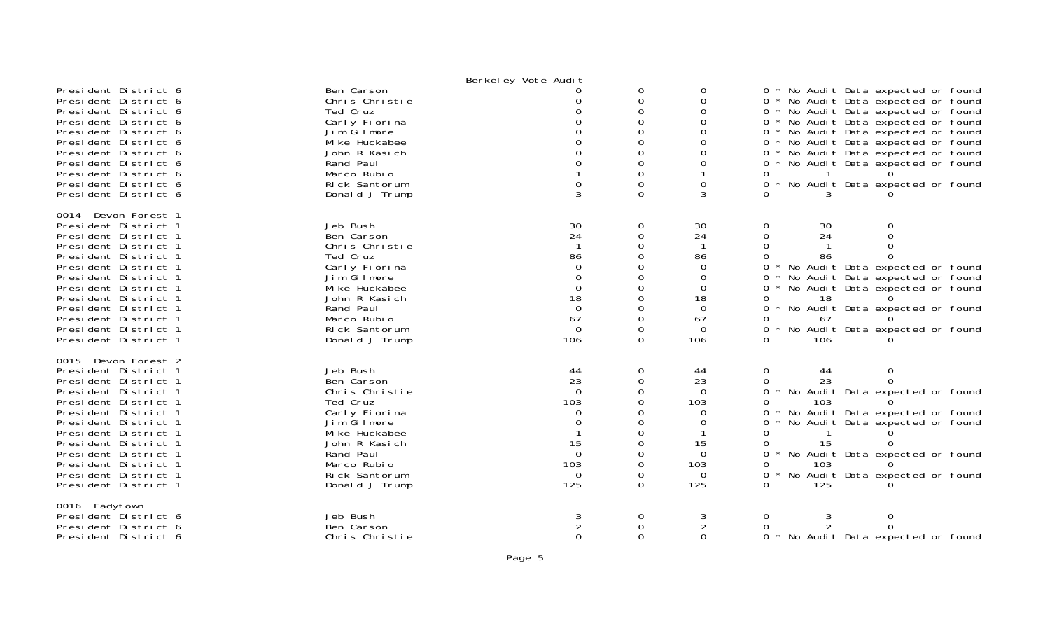|                      |                | Berkel ey Vote Audit |               |             |                                             |
|----------------------|----------------|----------------------|---------------|-------------|---------------------------------------------|
| President District 6 | Ben Carson     |                      | 0             | 0           | No Audit Data expected or found<br>$0 *$    |
| President District 6 | Chris Christie |                      | 0             | 0           | 0 * No Audit Data expected or found         |
| President District 6 | Ted Cruz       |                      | $\Omega$      | 0           | No Audit Data expected or found<br>$0 *$    |
| President District 6 | Carly Fiorina  |                      | 0             | 0           | No Audit Data expected or found<br>$0 *$    |
| President District 6 | Jim Gilmore    |                      | $\Omega$      |             | 0 * No Audit Data expected or found         |
|                      | Mi ke Huckabee |                      | 0             | 0           | 0 *                                         |
| President District 6 |                |                      |               | 0           | No Audit Data expected or found             |
| President District 6 | John R Kasich  |                      | 0<br>$\Omega$ |             | No Audit Data expected or found<br>$0 *$    |
| President District 6 | Rand Paul      |                      |               | 0           | No Audit Data expected or found<br>$0 *$    |
| President District 6 | Marco Rubio    |                      | $\Omega$      |             | 0                                           |
| President District 6 | Rick Santorum  | $\Omega$             | $\Omega$      | $\Omega$    | $0 *$<br>No Audit Data expected or found    |
| President District 6 | Donald J Trump | 3                    | $\Omega$      | 3           | 0                                           |
| 0014 Devon Forest 1  |                |                      |               |             |                                             |
| President District 1 | Jeb Bush       |                      | 0             | 30          | 0<br>30<br>0                                |
| President District 1 | Ben Carson     | $\frac{30}{24}$      | 0             | 24          | 24<br>0<br>$\Omega$                         |
| President District 1 | Chris Christie |                      | $\Omega$      |             | 0                                           |
| President District 1 | Ted Cruz       | 86                   | $\Omega$      | 86          | 0<br>86                                     |
| President District 1 | Carly Fiorina  | $\Omega$             | 0             | $\Omega$    | 0<br>No Audit Data expected or found        |
| President District 1 | Jim Gilmore    | $\Omega$             | 0             | 0           | 0                                           |
|                      |                | $\Omega$             | $\Omega$      |             | No Audit Data expected or found             |
| President District 1 | Mi ke Huckabee |                      |               | 0           | No Audit Data expected or found<br>0        |
| President District 1 | John R Kasich  | 18                   | 0             | 18          | 18<br>0.<br>$\star$                         |
| President District 1 | Rand Paul      | $\Omega$             | $\Omega$      | $\Omega$    | 0<br>No Audit Data expected or found        |
| President District 1 | Marco Rubio    | 67                   | $\Omega$      | 67          | 67                                          |
| President District 1 | Rick Santorum  | $\Omega$             | 0             | $\Omega$    | $\Omega$<br>No Audit Data expected or found |
| President District 1 | Donald J Trump | 106                  | $\Omega$      | 106         | $\Omega$<br>106                             |
| 0015 Devon Forest 2  |                |                      |               |             |                                             |
| President District 1 | Jeb Bush       |                      | 0             | 44          | 0<br>0<br>44                                |
| President District 1 | Ben Carson     | $\frac{44}{23}$      | 0             | 23          | 23<br>$\Omega$<br>0                         |
| President District 1 | Chris Christie | $\Omega$             | $\Omega$      | $\Omega$    | $\Omega$<br>No Audit Data expected or found |
| President District 1 | Ted Cruz       | 103                  | $\Omega$      | 103         | $\Omega$<br>103                             |
| President District 1 | Carly Fiorina  | 0                    | 0             | 0           | No Audit Data expected or found<br>0        |
| President District 1 | Jim Gilmore    | 0                    |               | 0           | 0<br>No Audit Data expected or found        |
| President District 1 | Mi ke Huckabee |                      | 0             |             | 0                                           |
| President District 1 | John R Kasich  | 15                   | $\Omega$      | 15          | 15<br>0                                     |
| President District 1 | Rand Paul      | $\Omega$             | $\Omega$      | $\Omega$    | $\Omega$<br>No Audit Data expected or found |
| President District 1 | Marco Rubio    | 103                  | $\Omega$      | 103         | 0<br>103                                    |
| President District 1 | Rick Santorum  | 0                    | 0             | $\mathbf 0$ | 0<br>No Audit Data expected or found        |
|                      |                |                      |               |             |                                             |
| President District 1 | Donald J Trump | 125                  | $\Omega$      | 125         | 0<br>125                                    |
| 0016 Eadytown        |                |                      |               |             |                                             |
| President District 6 | Jeb Bush       | 3                    | $\Omega$      |             | 0<br>$\Omega$                               |
| President District 6 | Ben Carson     |                      | 0             |             | 0<br>0                                      |
| President District 6 | Chris Christie | $\Omega$             | $\Omega$      | $\Omega$    | 0 * No Audit Data expected or found         |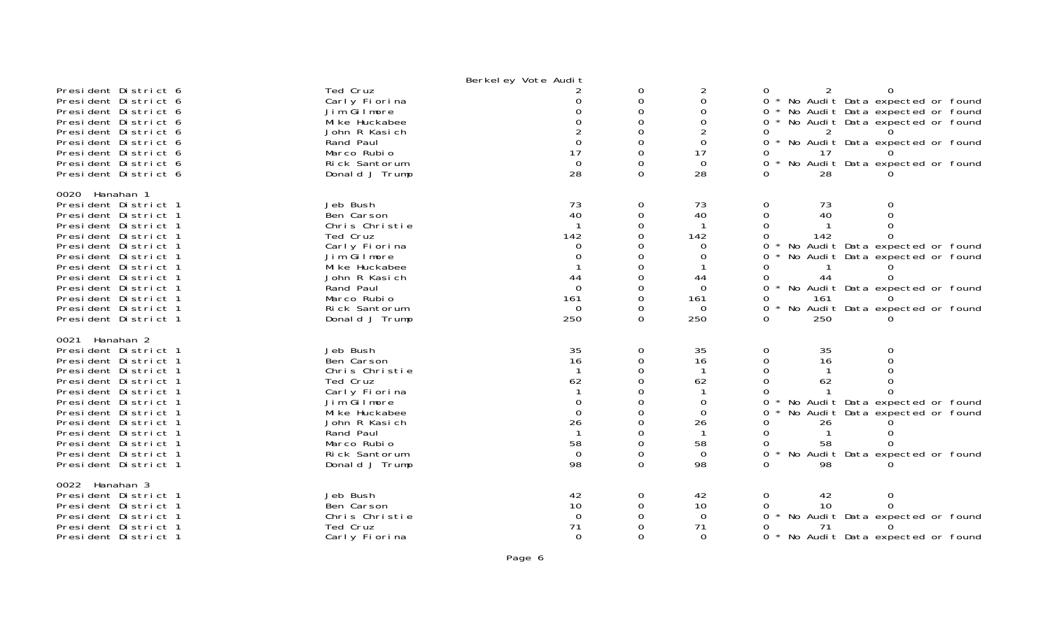|                                                                                                                                                                                                                                                                                                                |                                                                                                                                                                                        | Berkeley Vote Audit                                                           |                                                                                          |                                                                                              |                                                                                                                                                                                                                                               |
|----------------------------------------------------------------------------------------------------------------------------------------------------------------------------------------------------------------------------------------------------------------------------------------------------------------|----------------------------------------------------------------------------------------------------------------------------------------------------------------------------------------|-------------------------------------------------------------------------------|------------------------------------------------------------------------------------------|----------------------------------------------------------------------------------------------|-----------------------------------------------------------------------------------------------------------------------------------------------------------------------------------------------------------------------------------------------|
| President District 6<br>President District 6<br>President District 6<br>President District 6<br>President District 6<br>President District 6<br>President District 6<br>President District 6<br>President District 6                                                                                           | Ted Cruz<br>Carly Fiorina<br>Jim Gilmore<br>Mi ke Huckabee<br>John R Kasich<br>Rand Paul<br>Marco Rubio<br>Rick Santorum<br>Donald J Trump                                             | $\Omega$<br>17<br>$\Omega$<br>28                                              | 0<br>0<br>$\Omega$<br>$\Omega$<br>$\Omega$<br>0<br>$\Omega$<br>$\Omega$                  | $\overline{2}$<br>$\overline{0}$<br>$\Omega$<br>$\Omega$<br>$\Omega$<br>17<br>$\Omega$<br>28 | 2<br>0<br>0<br>* No Audit Data expected or found<br>$\Omega$<br>No Audit Data expected or found<br>0<br>No Audit Data expected or found<br>0<br>0<br>No Audit Data expected or found<br>0<br>17<br>No Audit Data expected or found<br>28<br>0 |
| 0020 Hanahan 1<br>President District 1<br>President District 1<br>President District 1<br>President District 1<br>President District 1<br>President District 1<br>President District 1<br>President District 1<br>President District 1<br>President District 1<br>President District 1<br>President District 1 | Jeb Bush<br>Ben Carson<br>Chris Christie<br>Ted Cruz<br>Carly Fiorina<br>Jim Gilmore<br>Mi ke Huckabee<br>John R Kasich<br>Rand Paul<br>Marco Rubio<br>Rick Santorum<br>Donald J Trump | 73<br>40<br>142<br>0<br>0<br>44<br>$\Omega$<br>161<br>$\overline{0}$<br>250   | 0<br>0<br>$\Omega$<br>$\Omega$<br>0<br>0<br>$\Omega$<br>$\Omega$<br>0<br>$\Omega$        | 73<br>40<br>142<br>0<br>0<br>44<br>$\Omega$<br>161<br>$\Omega$<br>250                        | 73<br>0<br>0<br>40<br>142<br>No Audit Data expected or found<br>No Audit Data expected or found<br>44<br><sup>o</sup><br>No Audit Data expected or found<br>0<br>161<br>No Audit Data expected or found<br>$\Omega$<br>250<br>0               |
| 0021 Hanahan 2<br>President District 1<br>President District 1<br>President District 1<br>President District 1<br>President District 1<br>President District 1<br>President District 1<br>President District 1<br>President District 1<br>President District 1<br>President District 1<br>President District 1 | Jeb Bush<br>Ben Carson<br>Chris Christie<br>Ted Cruz<br>Carly Fiorina<br>Jim Gilmore<br>Mi ke Huckabee<br>John R Kasich<br>Rand Paul<br>Marco Rubio<br>Rick Santorum<br>Donald J Trump | 35<br>16<br>62<br>$\Omega$<br>$\mathbf 0$<br>26<br>58<br>$\overline{0}$<br>98 | 0<br>0<br>$\Omega$<br>$\Omega$<br>$\Omega$<br>$\Omega$<br>$\Omega$<br>0<br>0<br>$\Omega$ | 35<br>16<br>62<br>$\overline{0}$<br>$\Omega$<br>26<br>58<br>$\Omega$<br>98                   | 35<br>0<br>0<br>16<br>$\Omega$<br>62<br>No Audit Data expected or found<br>No Audit Data expected or found<br>0<br>26<br>58<br>No Audit Data expected or found<br>98                                                                          |
| 0022 Hanahan 3<br>President District 1<br>President District 1<br>President District 1<br>President District 1<br>President District 1                                                                                                                                                                         | Jeb Bush<br>Ben Carson<br>Chris Christie<br>Ted Cruz<br>Carly Fiorina                                                                                                                  | 42<br>10<br>$\Omega$<br>71<br>$\Omega$                                        | 0<br>0<br>$\Omega$                                                                       | 42<br>10<br>$\Omega$<br>71<br>$\Omega$                                                       | 42<br>0<br>0<br>10<br>$\Omega$<br>No Audit Data expected or found<br>0<br>71<br>No Audit Data expected or found<br>0                                                                                                                          |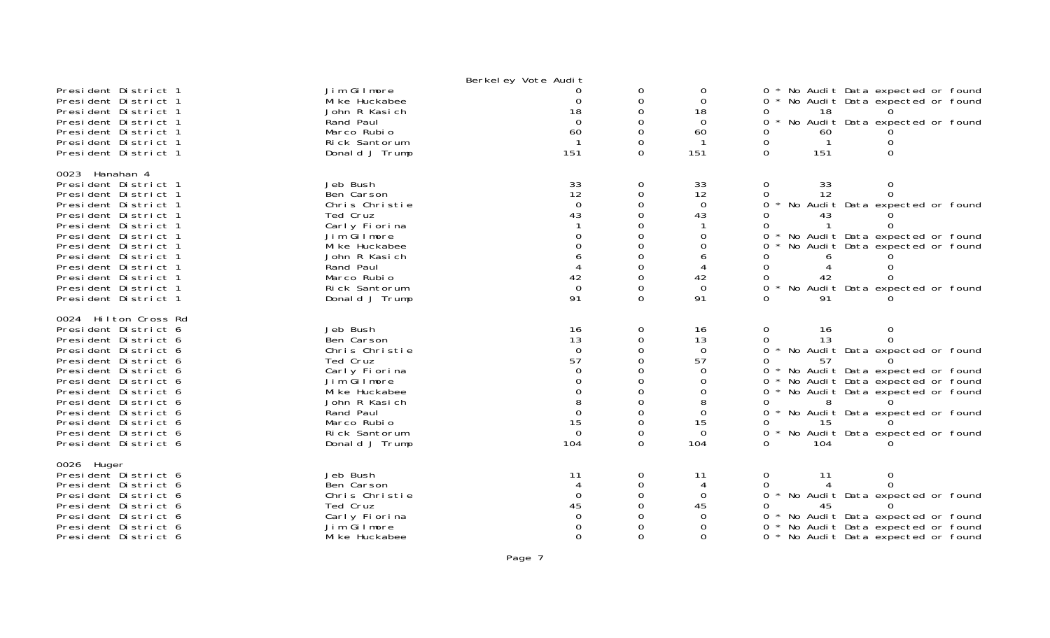|                                                                                                                                                                                                                                                                                                                      |                                                                                                                                                                                        | Berkeley Vote Audit                                                                                     |                                                                  |                                                                                     |                                                                                                                                                                                                                                                                                                                     |
|----------------------------------------------------------------------------------------------------------------------------------------------------------------------------------------------------------------------------------------------------------------------------------------------------------------------|----------------------------------------------------------------------------------------------------------------------------------------------------------------------------------------|---------------------------------------------------------------------------------------------------------|------------------------------------------------------------------|-------------------------------------------------------------------------------------|---------------------------------------------------------------------------------------------------------------------------------------------------------------------------------------------------------------------------------------------------------------------------------------------------------------------|
| President District 1<br>President District 1<br>President District 1<br>President District 1<br>President District 1<br>President District 1<br>President District 1                                                                                                                                                 | Jim Gilmore<br>Mi ke Huckabee<br>John R Kasich<br>Rand Paul<br>Marco Rubio<br>Rick Santorum<br>Donald J Trump                                                                          | 0<br>18<br>$\Omega$<br>60<br>151                                                                        | 0<br>$\Omega$<br>O<br>0<br>$\Omega$<br>0<br>$\Omega$             | 0<br>$\Omega$<br>18<br>$\Omega$<br>60<br>151                                        | No Audit Data expected or found<br>0<br>0<br>No Audit Data expected or found<br>18<br>No Audit Data expected or found<br>0<br>60<br>0<br>$\mathbf{1}$<br>$\Omega$<br>151<br>$\Omega$                                                                                                                                |
| 0023<br>Hanahan 4<br>President District 1<br>President District 1<br>President District 1<br>President District 1<br>President District 1<br>President District 1<br>President District 1<br>President District 1<br>President District 1<br>President District 1<br>President District 1<br>President District 1    | Jeb Bush<br>Ben Carson<br>Chris Christie<br>Ted Cruz<br>Carly Fiorina<br>Jim Gilmore<br>Mi ke Huckabee<br>John R Kasich<br>Rand Paul<br>Marco Rubio<br>Rick Santorum<br>Donald J Trump | $\begin{array}{c} 33 \\ 12 \end{array}$<br>$\overline{0}$<br>43<br>$\Omega$<br>42<br>$\mathbf 0$<br>91  | 0<br>$\Omega$<br>0<br>0<br>O<br>$\Omega$<br>$\Omega$<br>$\Omega$ | 33<br>12<br>$\mathbf 0$<br>43<br>$\Omega$<br>0<br>42<br>$\mathbf 0$<br>91           | 0<br>33<br>0<br>$\Omega$<br>12<br>0<br>0<br>No Audit Data expected or found<br>No Audit Data expected or found<br>0<br>No Audit Data expected or found<br>0<br>0<br>No Audit Data expected or found<br>0<br>0<br>91                                                                                                 |
| 0024 Hilton Cross Rd<br>President District 6<br>President District 6<br>President District 6<br>President District 6<br>President District 6<br>President District 6<br>President District 6<br>President District 6<br>President District 6<br>President District 6<br>President District 6<br>President District 6 | Jeb Bush<br>Ben Carson<br>Chris Christie<br>Ted Cruz<br>Carly Fiorina<br>Jim Gilmore<br>Mi ke Huckabee<br>John R Kasich<br>Rand Paul<br>Marco Rubio<br>Rick Santorum<br>Donald J Trump | 16<br>13<br>$\Omega$<br>57<br>$\Omega$<br>0<br>$\Omega$<br>8<br>$\overline{0}$<br>15<br>$\Omega$<br>104 | 0<br>0<br>0<br>0<br>O<br>$\Omega$<br>$\Omega$<br>$\Omega$        | 16<br>13<br>$\Omega$<br>57<br>$\Omega$<br>0<br>0<br>8<br>0<br>15<br>$\Omega$<br>104 | 0<br>16<br>0<br>0<br>13<br>0<br>No Audit Data expected or found<br>0<br>57<br>0<br>No Audit Data expected or found<br>No Audit Data expected or found<br>0<br>0<br>No Audit Data expected or found<br>8<br>0<br>0<br>No Audit Data expected or found<br>15<br>0<br>0<br>No Audit Data expected or found<br>0<br>104 |
| 0026 Huger<br>President District 6<br>President District 6<br>President District 6<br>President District 6<br>President District 6<br>President District 6<br>President District 6                                                                                                                                   | Jeb Bush<br>Ben Carson<br>Chris Christie<br>Ted Cruz<br>Carly Fiorina<br>Jim Gilmore<br>Mi ke Huckabee                                                                                 | 11<br>$\Omega$<br>45<br>$\Omega$<br>$\Omega$                                                            | 0<br>0<br>0<br>$\Omega$                                          | 11<br>$\Omega$<br>45<br>$\Omega$<br>0<br>$\Omega$                                   | 0<br>11<br>0<br>0<br>No Audit Data expected or found<br>0<br>0<br>No Audit Data expected or found<br>No Audit Data expected or found<br>0<br>No Audit Data expected or found                                                                                                                                        |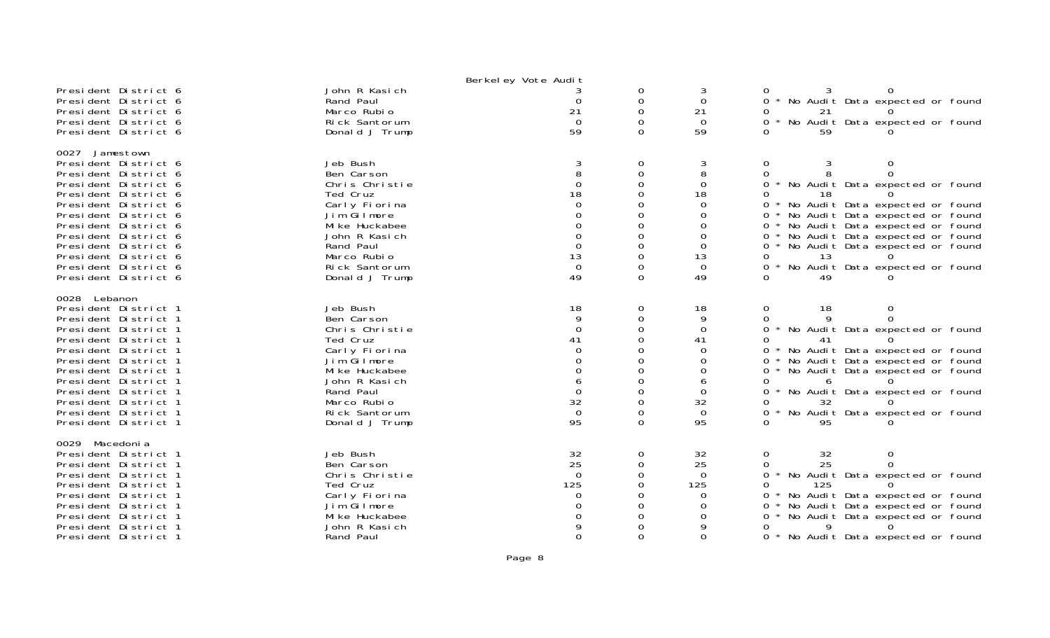|                                                                                                                                                                                                                                                                                                                |                                                                                                                                                                                        | Berkel ey Vote Audit                                               |                                                      |                                                                                                           |                                                                                                                                                                                                                                                                                                                                                                                         |
|----------------------------------------------------------------------------------------------------------------------------------------------------------------------------------------------------------------------------------------------------------------------------------------------------------------|----------------------------------------------------------------------------------------------------------------------------------------------------------------------------------------|--------------------------------------------------------------------|------------------------------------------------------|-----------------------------------------------------------------------------------------------------------|-----------------------------------------------------------------------------------------------------------------------------------------------------------------------------------------------------------------------------------------------------------------------------------------------------------------------------------------------------------------------------------------|
| President District 6<br>President District 6<br>President District 6<br>President District 6<br>President District 6                                                                                                                                                                                           | John R Kasich<br>Rand Paul<br>Marco Rubio<br>Rick Santorum<br>Donald J Trump                                                                                                           | 3<br>$\Omega$<br>21<br>$\Omega$<br>59                              | 0<br>$\mathbf 0$<br>$\Omega$<br>$\Omega$<br>$\Omega$ | 3<br>$\Omega$<br>21<br>$\Omega$<br>59                                                                     | 0<br>$\Omega$<br>No Audit Data expected or found<br>21<br>No Audit Data expected or found<br>$\Omega$<br>59                                                                                                                                                                                                                                                                             |
| 0027 Jamestown<br>President District 6<br>President District 6<br>President District 6<br>President District 6<br>President District 6<br>President District 6<br>President District 6<br>President District 6<br>President District 6<br>President District 6<br>President District 6<br>President District 6 | Jeb Bush<br>Ben Carson<br>Chris Christie<br>Ted Cruz<br>Carly Fiorina<br>Jim Gilmore<br>Mi ke Huckabee<br>John R Kasich<br>Rand Paul<br>Marco Rubio<br>Rick Santorum<br>Donald J Trump | 3<br>8<br>$\Omega$<br>18<br>$\Omega$<br>13<br>$\overline{0}$<br>49 | 0<br>0<br>∩<br>0<br>$\Omega$<br>$\Omega$<br>$\Omega$ | 3<br>8<br>$\Omega$<br>18<br>$\overline{0}$<br>0<br>$\Omega$<br>$\Omega$<br>0<br>13<br>$\mathbf 0$<br>49   | $\mathbf 0$<br>3<br>0<br>0<br>0<br>No Audit Data expected or found<br>$\star$<br>18<br>0<br>$\mathbf{O}$<br>No Audit Data expected or found<br>No Audit Data expected or found<br>0<br>No Audit Data expected or found<br>0<br>No Audit Data expected or found<br>0<br>No Audit Data expected or found<br>0<br>13<br>$\Omega$<br>No Audit Data expected or found<br>0<br>$\Omega$<br>49 |
| 0028 Lebanon<br>President District 1<br>President District 1<br>President District 1<br>President District 1<br>President District 1<br>President District 1<br>President District 1<br>President District 1<br>President District 1<br>President District 1<br>President District 1<br>President District 1   | Jeb Bush<br>Ben Carson<br>Chris Christie<br>Ted Cruz<br>Carly Fiorina<br>Jim Gilmore<br>Mi ke Huckabee<br>John R Kasich<br>Rand Paul<br>Marco Rubio<br>Rick Santorum<br>Donald J Trump | 18<br>9<br>∩<br>41<br>6<br>$\mathbf 0$<br>32<br>$\mathbf 0$<br>95  | 0<br>0<br>0<br>∩<br>0<br>$\Omega$                    | 18<br>9<br>$\Omega$<br>41<br>$\Omega$<br>$\Omega$<br>$\Omega$<br>6<br>$\Omega$<br>32<br>$\mathbf 0$<br>95 | 0<br>18<br>0<br>Q<br>0<br><sup>n</sup><br>No Audit Data expected or found<br>$\Omega$<br>0<br>No Audit Data expected or found<br>0<br>No Audit Data expected or found<br>0<br>No Audit Data expected or found<br>0<br>6<br>0<br>No Audit Data expected or found<br>0<br>32<br><sup>0</sup><br>No Audit Data expected or found<br>0<br>95<br>0                                           |
| 0029<br>Macedoni a<br>President District 1<br>President District 1<br>President District 1<br>President District 1<br>President District 1<br>President District 1<br>President District 1<br>President District 1<br>President District 1                                                                     | Jeb Bush<br>Ben Carson<br>Chris Christie<br>Ted Cruz<br>Carly Fiorina<br>Jim Gilmore<br>Mi ke Huckabee<br>John R Kasich<br>Rand Paul                                                   | 32<br>25<br>$\Omega$<br>125<br>0<br>∩                              | 0<br>0<br>$\Omega$                                   | 32<br>25<br>$\overline{0}$<br>125<br>$\Omega$<br>$\Omega$<br>$\Omega$<br>$\Omega$                         | 0<br>32<br>0<br>25<br>0<br>0<br>$\star$<br>No Audit Data expected or found<br>125<br>0<br>No Audit Data expected or found<br>0<br>No Audit Data expected or found<br>$\Omega$<br>No Audit Data expected or found<br>0<br>Q.<br>Ω<br>No Audit Data expected or found<br>0                                                                                                                |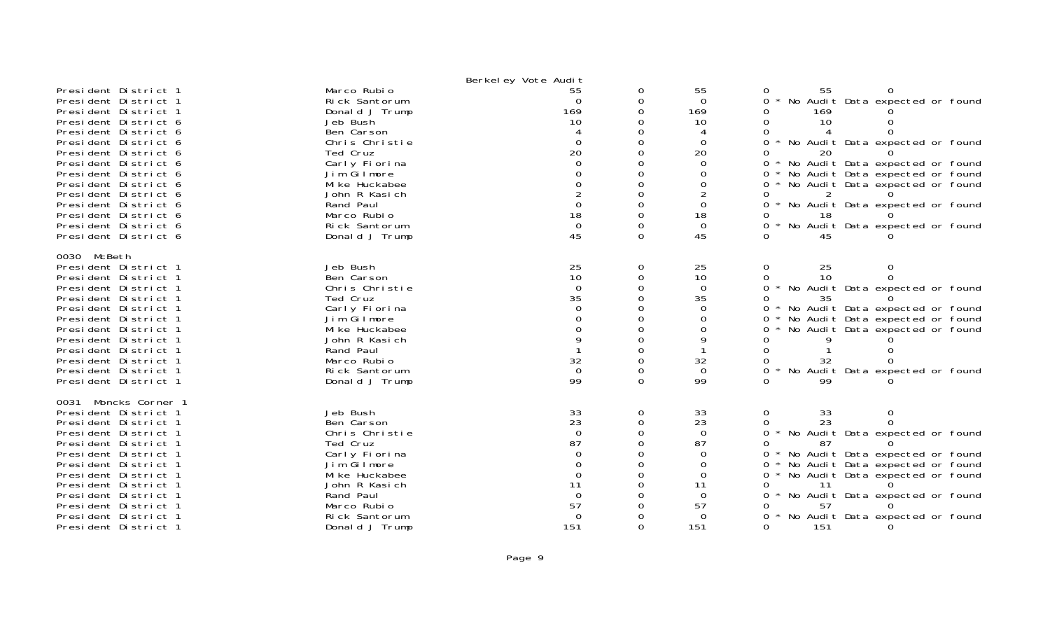|                                                                                                                                                                                                                                                                                                                                                                      |                                                                                                                                                                                                                                          | Berkel ey Vote Audit                                                                                            |                                                                                                                       |                                                                                                                                |                                                                                                                                                                                                                                                                                                                                                                                                                                      |
|----------------------------------------------------------------------------------------------------------------------------------------------------------------------------------------------------------------------------------------------------------------------------------------------------------------------------------------------------------------------|------------------------------------------------------------------------------------------------------------------------------------------------------------------------------------------------------------------------------------------|-----------------------------------------------------------------------------------------------------------------|-----------------------------------------------------------------------------------------------------------------------|--------------------------------------------------------------------------------------------------------------------------------|--------------------------------------------------------------------------------------------------------------------------------------------------------------------------------------------------------------------------------------------------------------------------------------------------------------------------------------------------------------------------------------------------------------------------------------|
| President District 1<br>President District 1<br>President District 1<br>President District 6<br>President District 6<br>President District 6<br>President District 6<br>President District 6<br>President District 6<br>President District 6<br>President District 6<br>President District 6<br>President District 6<br>President District 6<br>President District 6 | Marco Rubio<br>Rick Santorum<br>Donald J Trump<br>Jeb Bush<br>Ben Carson<br>Chris Christie<br>Ted Cruz<br>Carly Fiorina<br>Jim Gilmore<br>Mi ke Huckabee<br>John R Kasich<br>Rand Paul<br>Marco Rubio<br>Rick Santorum<br>Donald J Trump | 55<br>$\Omega$<br>169<br>10<br>$\Omega$<br>20<br>$\Omega$<br>$\Omega$<br>18<br>$\mathbf{0}$<br>45               | 0<br>0<br>$\Omega$<br>0<br>$\Omega$<br>$\Omega$<br>0<br>$\Omega$<br>$\Omega$<br>$\Omega$<br>$\Omega$<br>$\Omega$<br>0 | 55<br>$\Omega$<br>169<br>10<br>4<br>$\Omega$<br>20<br>0<br>$\Omega$<br>$\Omega$<br>$\overline{2}$<br>0<br>18<br>$\Omega$<br>45 | 55<br>0<br>No Audit Data expected or found<br>$\Omega$<br>169<br>$\Omega$<br>10<br>$\Omega$<br>0<br>$\star$<br>No Audit Data expected or found<br>$\Omega$<br>20<br>No Audit Data expected or found<br>0<br>No Audit Data expected or found<br>0<br>No Audit Data expected or found<br>0<br>$\Omega$<br>* No Audit Data expected or found<br>0<br>18<br>$\Omega$<br>No Audit Data expected or found<br>$\star$<br><sup>n</sup><br>45 |
| 0030 McBeth<br>President District 1<br>President District 1<br>President District 1<br>President District 1<br>President District 1<br>President District 1<br>President District 1<br>President District 1<br>President District 1<br>President District 1<br>President District 1<br>President District 1                                                          | Jeb Bush<br>Ben Carson<br>Chris Christie<br>Ted Cruz<br>Carly Fiorina<br>Jim Gilmore<br>Mi ke Huckabee<br>John R Kasich<br>Rand Paul<br>Marco Rubio<br>Rick Santorum<br>Donald J Trump                                                   | 25<br>10<br>$\Omega$<br>35<br>$\Omega$<br>$\Omega$<br>$\mathsf Q$<br>32<br>$\Omega$<br>99                       | 0<br>0<br>$\Omega$<br>0<br>$\Omega$<br>0<br>$\Omega$<br>$\Omega$<br>$\Omega$<br>$\Omega$                              | 25<br>10<br>$\Omega$<br>35<br>$\Omega$<br>$\Omega$<br>$\Omega$<br>9<br>32<br>$\Omega$<br>99                                    | $\mathbf 0$<br>25<br>0<br>$\Omega$<br>10<br>0<br>* No Audit Data expected or found<br>0<br>$\Omega$<br>35<br>No Audit Data expected or found<br>No Audit Data expected or found<br>$\Omega$<br>No Audit Data expected or found<br>0<br>$\Omega$<br>$\Omega$<br>32<br>No Audit Data expected or found<br>$\Omega$<br>∩<br>99                                                                                                          |
| Moncks Corner 1<br>0031<br>President District 1<br>President District 1<br>President District 1<br>President District 1<br>President District 1<br>President District 1<br>President District 1<br>President District 1<br>President District 1<br>President District 1<br>President District 1<br>President District 1                                              | Jeb Bush<br>Ben Carson<br>Chris Christie<br>Ted Cruz<br>Carly Fiorina<br>Jim Gilmore<br>Mi ke Huckabee<br>John R Kasich<br>Rand Paul<br>Marco Rubio<br>Rick Santorum<br>Donald J Trump                                                   | 33<br>23<br>$\Omega$<br>87<br>$\Omega$<br>$\Omega$<br>$\Omega$<br>11<br>$\mathbf 0$<br>57<br>$\mathbf 0$<br>151 | 0<br>0<br>$\Omega$<br>$\Omega$<br>0<br>$\Omega$<br>$\Omega$<br>0                                                      | 33<br>23<br>$\Omega$<br>87<br>$\Omega$<br>$\Omega$<br>$\Omega$<br>11<br>$\mathbf 0$<br>57<br>$\Omega$<br>151                   | 0<br>33<br>0<br>23<br>$\Omega$<br>0<br>No Audit Data expected or found<br>$\star$<br>$\Omega$<br>$\Omega$<br>87<br>No Audit Data expected or found<br>$0^*$<br>No Audit Data expected or found<br>0<br>No Audit Data expected or found<br>$0 *$<br>-11<br>No Audit Data expected or found<br>0<br>$\star$<br>0<br>57<br>No Audit Data expected or found<br>0<br>151                                                                  |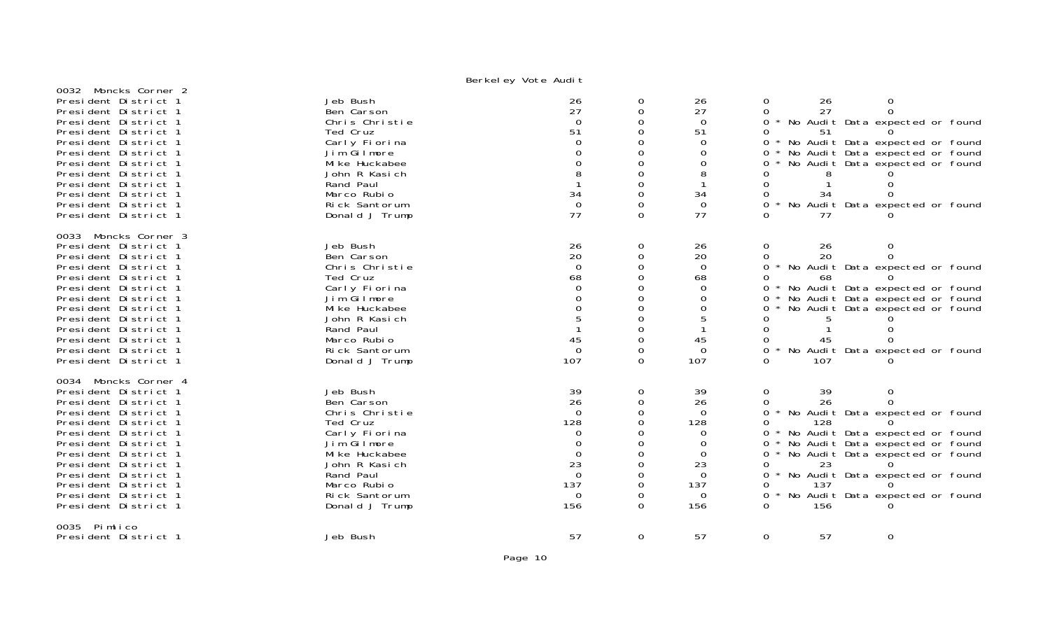| 0032 Moncks Corner 2 |                |                |             |             |                    |                                     |
|----------------------|----------------|----------------|-------------|-------------|--------------------|-------------------------------------|
| President District 1 | Jeb Bush       | 26             | 0           | 26          | 26<br>0            | $\overline{0}$                      |
| President District 1 | Ben Carson     | 27             | 0           | 27          | 27<br>$\Omega$     | $\Omega$                            |
|                      | Chris Christie | $\Omega$       |             |             |                    |                                     |
| President District 1 |                |                | 0           | $\mathbf 0$ |                    | 0 * No Audit Data expected or found |
| President District 1 | Ted Cruz       | 51             | $\Omega$    | 51          | 0<br>51            |                                     |
| President District 1 | Carly Fiorina  | $\Omega$       | $\Omega$    | $\Omega$    | 0                  | No Audit Data expected or found     |
| President District 1 | Jim Gilmore    | $\Omega$       | 0           | $\Omega$    | 0                  | No Audit Data expected or found     |
| President District 1 | Mi ke Huckabee |                | $\mathbf 0$ | 0           |                    | No Audit Data expected or found     |
| President District 1 | John R Kasich  | 8              | $\Omega$    |             |                    |                                     |
| President District 1 | Rand Paul      |                | 0           |             | $\Omega$           |                                     |
| President District 1 | Marco Rubio    | 34             | $\mathbf 0$ | 34          | 0<br>34            |                                     |
| President District 1 | Rick Santorum  | $\mathbf 0$    | $\Omega$    | $\Omega$    | $\Omega$           | * No Audit Data expected or found   |
| President District 1 | Donald J Trump | 77             | $\Omega$    | 77          | 77                 |                                     |
|                      |                |                |             |             |                    |                                     |
| 0033 Moncks Corner 3 |                |                |             |             |                    |                                     |
| President District 1 | Jeb Bush       |                | 0           | 26          | $\mathbf{0}$<br>26 | 0                                   |
| President District 1 | Ben Carson     | ${}^{26}_{20}$ | $\mathbf 0$ | 20          | 20<br>$\Omega$     | ∩                                   |
|                      |                | $\Omega$       |             |             | $\Omega$           |                                     |
| President District 1 | Chris Christie |                | 0           | $\Omega$    |                    | * No Audit Data expected or found   |
| President District 1 | Ted Cruz       | 68             | $\Omega$    | 68          | 0<br>68            |                                     |
| President District 1 | Carly Fiorina  | $\Omega$       | 0           | $\Omega$    |                    | 0 * No Audit Data expected or found |
| President District 1 | Jim Gilmore    | $\Omega$       | $\Omega$    | $\Omega$    | $\Omega$           | No Audit Data expected or found     |
| President District 1 | Mi ke Huckabee | $\Omega$       | $\Omega$    | 0           | 0                  | No Audit Data expected or found     |
| President District 1 | John R Kasich  | 5              | 0           |             | 0<br>5             |                                     |
| President District 1 | Rand Paul      |                | $\Omega$    |             | $\Omega$           |                                     |
| President District 1 | Marco Rubio    | 45             | $\Omega$    | 45          | 45<br>0            |                                     |
| President District 1 | Rick Santorum  | $\overline{0}$ | $\Omega$    | $\Omega$    | $\Omega$           | * No Audit Data expected or found   |
| President District 1 | Donald J Trump | 107            | $\Omega$    | 107         | $\Omega$<br>107    |                                     |
|                      |                |                |             |             |                    |                                     |
| 0034 Moncks Corner 4 |                |                |             |             |                    |                                     |
| President District 1 | Jeb Bush       | 39             | 0           | 39          | $\mathbf 0$<br>39  | $\overline{0}$                      |
| President District 1 | Ben Carson     | 26             | 0           | 26          | $\Omega$<br>26.    | $\Omega$                            |
| President District 1 | Chris Christie | $\Omega$       | $\Omega$    | $\Omega$    | $\Omega$           | * No Audit Data expected or found   |
| President District 1 | Ted Cruz       | 128            | 0           | 128         | $\Omega$<br>128    |                                     |
| President District 1 | Carly Fiorina  | 0              | $\Omega$    | 0           | 0                  | No Audit Data expected or found     |
| President District 1 | Jim Gilmore    | $\Omega$       | $\Omega$    | $\Omega$    | 0                  | No Audit Data expected or found     |
| President District 1 | Mi ke Huckabee | $\mathbf 0$    | $\mathbf 0$ | $\Omega$    | 0                  | * No Audit Data expected or found   |
| President District 1 | John R Kasich  | 23             | $\mathbf 0$ | 23          | $\Omega$<br>23     |                                     |
| President District 1 | Rand Paul      | $\overline{0}$ | $\Omega$    | $\Omega$    | 0                  | * No Audit Data expected or found   |
| President District 1 | Marco Rubio    | 137            | 0           | 137         | 137<br>0           |                                     |
| President District 1 | Rick Santorum  | $\Omega$       | $\Omega$    | $\Omega$    | 0                  |                                     |
|                      |                |                |             |             |                    | No Audit Data expected or found     |
| President District 1 | Donald J Trump | 156            | $\Omega$    | 156         | 156<br>$\Omega$    |                                     |
| 0035 Pimlico         |                |                |             |             |                    |                                     |
| President District 1 | Jeb Bush       | 57             | 0           | 57          | $\mathbf 0$<br>57  | $\mathbf 0$                         |
|                      |                |                |             |             |                    |                                     |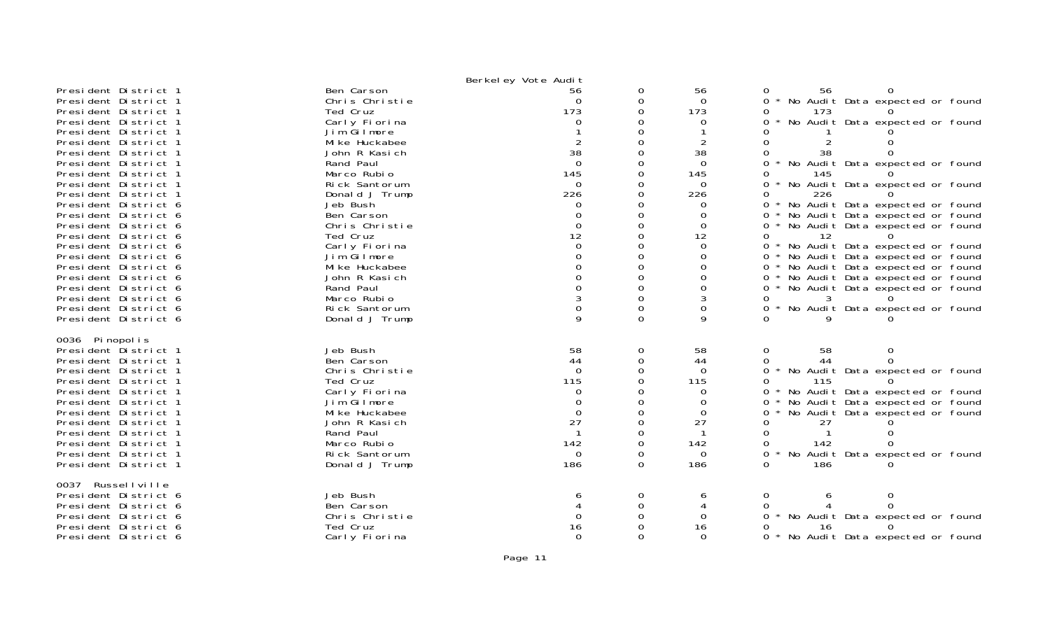| President District 1<br>President District 1<br>President District 1<br>President District 1<br>President District 1<br>President District 1<br>President District 1<br>President District 1<br>President District 1<br>President District 1<br>President District 1<br>President District 6<br>President District 6<br>President District 6<br>President District 6<br>President District 6<br>President District 6<br>President District 6<br>President District 6<br>President District 6 | Ben Carson<br>Chris Christie<br>Ted Cruz<br>Carly Fiorina<br>Jim Gilmore<br>Mi ke Huckabee<br>John R Kasich<br>Rand Paul<br>Marco Rubio<br>Rick Santorum<br>Donald J Trump<br>Jeb Bush<br>Ben Carson<br>Chris Christie<br>Ted Cruz<br>Carly Fiorina<br>Jim Gilmore<br>Mi ke Huckabee<br>John R Kasich<br>Rand Paul | Berkel ey Vote Audit<br>56<br>$\Omega$<br>173<br>0<br>$\overline{2}$<br>38<br>$\Omega$<br>145<br>$\Omega$<br>226<br>$\Omega$<br>0<br>$\Omega$<br>12<br>$\Omega$<br>$\Omega$<br>$\Omega$<br>$\Omega$ | 0<br>0<br>$\Omega$<br>0<br>$\Omega$<br>$\Omega$<br>0<br>0<br>$\Omega$<br>0<br>0<br>$\Omega$<br>0<br>$\Omega$<br>0<br>0<br>$\Omega$<br>0 | 56<br>$\Omega$<br>173<br>0<br>$\overline{2}$<br>38<br>$\Omega$<br>145<br>$\Omega$<br>226<br>0<br>0<br>$\Omega$<br>12<br>$\Omega$<br>$\Omega$<br>0<br>$\Omega$<br>0 | 0<br>56<br>No Audit Data expected or found<br>0<br>173<br>0<br>No Audit Data expected or found<br>$\overline{O}$<br>$\Omega$<br>0<br>38<br>No Audit Data expected or found<br>0<br>0<br>145<br>0<br>No Audit Data expected or found<br>226<br>0<br>$0 *$<br>No Audit Data expected or found<br>No Audit Data expected or found<br>0<br>No Audit Data expected or found<br>0<br>0<br>12<br>$0 *$<br>No Audit Data expected or found<br>No Audit Data expected or found<br>$0 *$<br>No Audit Data expected or found<br>$0 *$<br>No Audit Data expected or found<br>$0^*$<br>No Audit Data expected or found<br>$0 *$ |
|----------------------------------------------------------------------------------------------------------------------------------------------------------------------------------------------------------------------------------------------------------------------------------------------------------------------------------------------------------------------------------------------------------------------------------------------------------------------------------------------|--------------------------------------------------------------------------------------------------------------------------------------------------------------------------------------------------------------------------------------------------------------------------------------------------------------------|-----------------------------------------------------------------------------------------------------------------------------------------------------------------------------------------------------|-----------------------------------------------------------------------------------------------------------------------------------------|--------------------------------------------------------------------------------------------------------------------------------------------------------------------|--------------------------------------------------------------------------------------------------------------------------------------------------------------------------------------------------------------------------------------------------------------------------------------------------------------------------------------------------------------------------------------------------------------------------------------------------------------------------------------------------------------------------------------------------------------------------------------------------------------------|
| President District 6<br>President District 6                                                                                                                                                                                                                                                                                                                                                                                                                                                 | Marco Rubio<br>Rick Santorum                                                                                                                                                                                                                                                                                       |                                                                                                                                                                                                     | $\Omega$<br>$\mathbf 0$                                                                                                                 | 0                                                                                                                                                                  | 0<br>3<br>$0 *$<br>No Audit Data expected or found                                                                                                                                                                                                                                                                                                                                                                                                                                                                                                                                                                 |
| President District 6                                                                                                                                                                                                                                                                                                                                                                                                                                                                         | Donald J Trump                                                                                                                                                                                                                                                                                                     | 9                                                                                                                                                                                                   | $\Omega$                                                                                                                                | 9                                                                                                                                                                  | 0                                                                                                                                                                                                                                                                                                                                                                                                                                                                                                                                                                                                                  |
| 0036 Pinopolis<br>President District 1<br>President District 1<br>President District 1<br>President District 1<br>President District 1<br>President District 1<br>President District 1<br>President District 1<br>President District 1<br>President District 1<br>President District 1<br>President District 1                                                                                                                                                                               | Jeb Bush<br>Ben Carson<br>Chris Christie<br>Ted Cruz<br>Carly Fiorina<br>Jim Gilmore<br>Mi ke Huckabee<br>John R Kasich<br>Rand Paul<br>Marco Rubio<br>Rick Santorum<br>Donald J Trump                                                                                                                             | 58<br>44<br>$\Omega$<br>115<br>0<br>$\Omega$<br>$\Omega$<br>27<br>$\mathbf 1$<br>142<br>$\Omega$<br>186                                                                                             | 0<br>0<br>$\Omega$<br>$\Omega$<br>$\Omega$<br>0<br>0<br>$\Omega$<br>0<br>0<br>0<br>0                                                    | 58<br>44<br>$\Omega$<br>115<br>$\Omega$<br>0<br>0<br>27<br>$\mathbf{1}$<br>142<br>$\Omega$<br>186                                                                  | 0<br>58<br>0<br>$\Omega$<br>44<br>0<br>$\overline{0}$<br>No Audit Data expected or found<br>0<br>115<br>No Audit Data expected or found<br>0<br>No Audit Data expected or found<br>$0 *$<br>No Audit Data expected or found<br>$\Omega$<br>27<br>0<br>0<br>0<br>142<br>ი<br>No Audit Data expected or found<br>0<br>186<br>0                                                                                                                                                                                                                                                                                       |
| 0037 Russellville<br>President District 6<br>President District 6<br>President District 6<br>President District 6<br>President District 6                                                                                                                                                                                                                                                                                                                                                    | Jeb Bush<br>Ben Carson<br>Chris Christie<br>Ted Cruz<br>Carly Fiorina                                                                                                                                                                                                                                              | 6<br>0<br>16<br>$\Omega$                                                                                                                                                                            | 0<br>$\Omega$<br>$\Omega$<br>$\Omega$                                                                                                   | 6<br>4<br>$\Omega$<br>16<br>$\Omega$                                                                                                                               | 0<br>0<br>6<br>0<br>O<br>0<br>No Audit Data expected or found<br>0<br>16<br>No Audit Data expected or found<br>0 *                                                                                                                                                                                                                                                                                                                                                                                                                                                                                                 |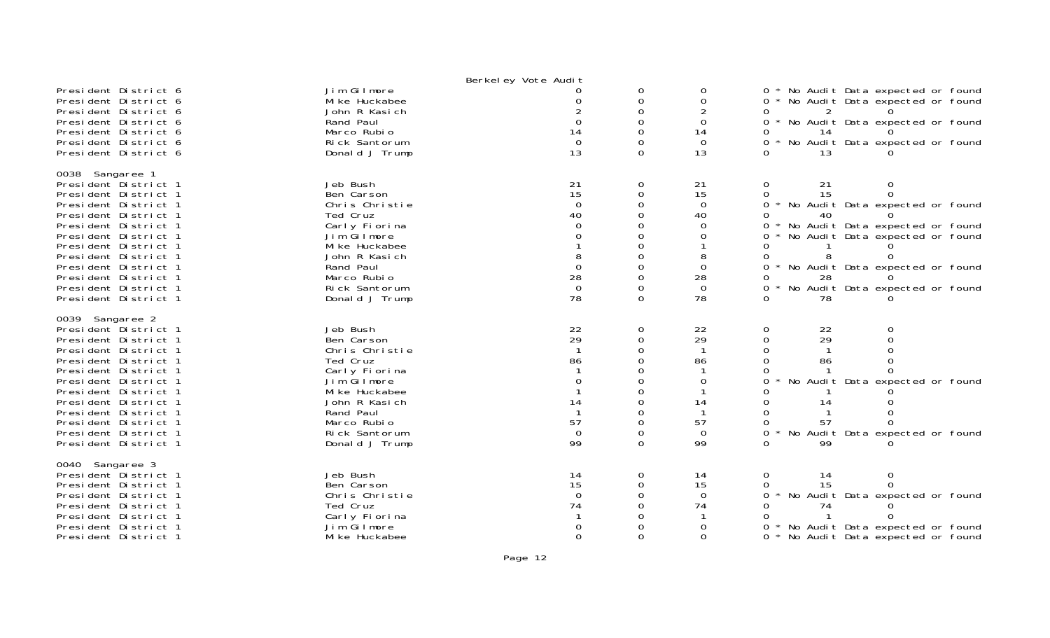|                                                                                                                                                                                                                                                                                                                 |                                                                                                                                                                                        | Berkel ey Vote Audit                                                                   |                                                                       |                                                                                      |                                                                                                                                                                                                                                                                                    |
|-----------------------------------------------------------------------------------------------------------------------------------------------------------------------------------------------------------------------------------------------------------------------------------------------------------------|----------------------------------------------------------------------------------------------------------------------------------------------------------------------------------------|----------------------------------------------------------------------------------------|-----------------------------------------------------------------------|--------------------------------------------------------------------------------------|------------------------------------------------------------------------------------------------------------------------------------------------------------------------------------------------------------------------------------------------------------------------------------|
| President District 6<br>President District 6<br>President District 6<br>President District 6<br>President District 6<br>President District 6<br>President District 6                                                                                                                                            | Jim Gilmore<br>Mi ke Huckabee<br>John R Kasich<br>Rand Paul<br>Marco Rubio<br>Rick Santorum<br>Donald J Trump                                                                          | ∩<br>14<br>$\Omega$<br>13                                                              | 0<br>$\Omega$<br>$\Omega$<br>O<br>$\Omega$<br>$\Omega$<br>$\Omega$    | 0<br>$\Omega$<br>0<br>14<br>$\Omega$<br>13                                           | No Audit Data expected or found<br>0<br>No Audit Data expected or found<br>$0 *$<br>No Audit Data expected or found<br>ი ∗<br>$\Omega$<br>No Audit Data expected or found<br>0<br>13                                                                                               |
| 0038 Sangaree 1<br>President District 1<br>President District 1<br>President District 1<br>President District 1<br>President District 1<br>President District 1<br>President District 1<br>President District 1<br>President District 1<br>President District 1<br>President District 1<br>President District 1 | Jeb Bush<br>Ben Carson<br>Chris Christie<br>Ted Cruz<br>Carly Fiorina<br>Jim Gilmore<br>Mi ke Huckabee<br>John R Kasich<br>Rand Paul<br>Marco Rubio<br>Rick Santorum<br>Donald J Trump | 21<br>15<br>$\Omega$<br>40<br>$\Omega$<br>$\overline{0}$<br>28<br>$\overline{0}$<br>78 | 0<br>$\Omega$<br>0<br>O<br>$\Omega$<br>$\Omega$<br>O                  | 21<br>15<br>$\Omega$<br>40<br>$\Omega$<br>0<br>8<br>$\Omega$<br>28<br>$\Omega$<br>78 | $\Omega$<br>21<br>0<br>$\Omega$<br>15<br>0<br>0<br>No Audit Data expected or found<br>0<br>No Audit Data expected or found<br>0<br>No Audit Data expected or found<br>0<br>0<br>0<br>No Audit Data expected or found<br>0<br>28<br>No Audit Data expected or found<br>0<br>0<br>78 |
| 0039 Sangaree 2<br>President District 1<br>President District 1<br>President District 1<br>President District 1<br>President District 1<br>President District 1<br>President District 1<br>President District 1<br>President District 1<br>President District 1<br>President District 1<br>President District 1 | Jeb Bush<br>Ben Carson<br>Chris Christie<br>Ted Cruz<br>Carly Fiorina<br>Jim Gilmore<br>Mi ke Huckabee<br>John R Kasich<br>Rand Paul<br>Marco Rubio<br>Rick Santorum<br>Donald J Trump | 22<br>29<br>86<br>14<br>57<br>$\mathbf 0$<br>99                                        | 0<br>$\Omega$<br>$\Omega$<br>0<br>0<br>O<br>$\Omega$<br>0<br>$\Omega$ | 22<br>29<br>86<br>0<br>14<br>57<br>$\overline{0}$<br>99                              | 22<br>0<br>$\Omega$<br>29<br>$\Omega$<br>$\Omega$<br>$\Omega$<br>0<br>86<br>No Audit Data expected or found<br>0<br>14<br>0<br>57<br>0<br>No Audit Data expected or found<br>0<br>0<br>99                                                                                          |
| 0040 Sangaree 3<br>President District 1<br>President District 1<br>President District 1<br>President District 1<br>President District 1<br>President District 1<br>President District 1                                                                                                                         | Jeb Bush<br>Ben Carson<br>Chris Christie<br>Ted Cruz<br>Carly Fiorina<br>Jim Gilmore<br>Mi ke Huckabee                                                                                 | 14<br>15<br>$\Omega$<br>74<br>$\Omega$                                                 | 0<br>0<br>0<br>$\Omega$                                               | 14<br>15<br>$\Omega$<br>74<br>0<br>$\Omega$                                          | 0<br>0<br>14<br>15<br>$\Omega$<br>0<br>No Audit Data expected or found<br>0<br>74<br>No Audit Data expected or found<br>0<br>No Audit Data expected or found                                                                                                                       |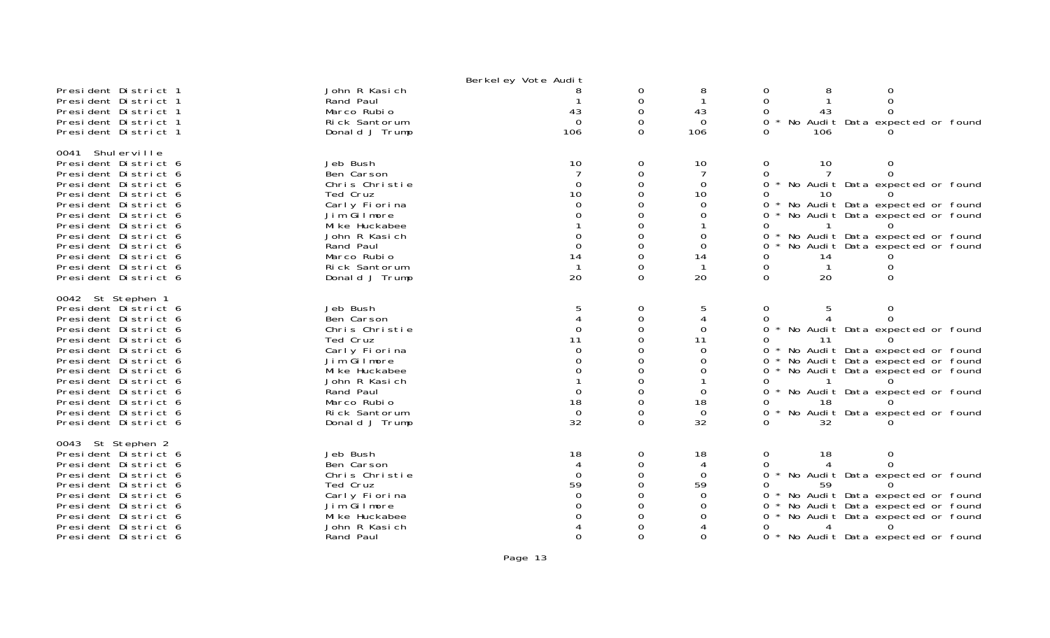|                                              |                            | Berkeley Vote Audit |          |                |                                                        |  |
|----------------------------------------------|----------------------------|---------------------|----------|----------------|--------------------------------------------------------|--|
| President District 1                         | John R Kasich              |                     | 0        | 8              | 0<br>0                                                 |  |
| President District 1                         | Rand Paul                  |                     | 0        |                | $\Omega$<br>$\Omega$                                   |  |
| President District 1                         | Marco Rubio                | 43                  | $\Omega$ | 43             | $\Omega$<br>0<br>43                                    |  |
| President District 1                         | Rick Santorum              | $\Omega$            | $\Omega$ | $\Omega$       | No Audit Data expected or found<br>0.                  |  |
| President District 1                         | Donald J Trump             | 106                 | $\Omega$ | 106            | 106<br>0                                               |  |
| 0041 Shulerville                             |                            |                     |          |                |                                                        |  |
| President District 6                         | Jeb Bush                   | 10                  | 0        | 10             | 0<br>10<br>0<br>$\Omega$                               |  |
| President District 6                         | Ben Carson                 |                     | $\Omega$ |                | 0                                                      |  |
| President District 6                         | Chris Christie<br>Ted Cruz | $\Omega$<br>10      | $\Omega$ | $\Omega$<br>10 | $\Omega$<br>No Audit Data expected or found<br>0<br>10 |  |
| President District 6                         | Carly Fiorina              | $\Omega$            |          | $\Omega$       | No Audit Data expected or found                        |  |
| President District 6<br>President District 6 | Jim Gilmore                |                     |          | $\Omega$       | No Audit Data expected or found<br>0                   |  |
| President District 6                         | Mi ke Huckabee             |                     |          |                | 0                                                      |  |
| President District 6                         | John R Kasich              |                     | $\Omega$ | 0              | 0<br>No Audit Data expected or found                   |  |
| President District 6                         | Rand Paul                  | $\Omega$            | ∩        | $\Omega$       | No Audit Data expected or found<br>0                   |  |
| President District 6                         | Marco Rubio                | 14                  | 0        | 14             | 0<br>14                                                |  |
| President District 6                         | Rick Santorum              |                     | Ω        | -1             | 0<br>0                                                 |  |
| President District 6                         | Donald J Trump             | 20                  | $\Omega$ | 20             | 20<br>$\Omega$<br>$\Omega$                             |  |
|                                              |                            |                     |          |                |                                                        |  |
| 0042 St Stephen 1                            |                            |                     |          |                |                                                        |  |
| President District 6                         | Jeb Bush                   |                     | 0        |                | 0<br>0                                                 |  |
| President District 6                         | Ben Carson                 |                     | 0        |                | 0                                                      |  |
| President District 6                         | Chris Christie             |                     | $\Omega$ | $\Omega$       | $\Omega$<br>No Audit Data expected or found            |  |
| President District 6                         | Ted Cruz                   |                     |          | 11             | 0<br>-11                                               |  |
| President District 6                         | Carly Fiorina              |                     |          | $\Omega$       | No Audit Data expected or found<br>0                   |  |
| President District 6                         | Jim Gilmore                |                     |          | ∩              | No Audit Data expected or found<br>0                   |  |
| President District 6                         | Mi ke Huckabee             |                     | ∩        |                | No Audit Data expected or found<br>0                   |  |
| President District 6                         | John R Kasich              |                     | 0        |                | 0                                                      |  |
| President District 6                         | Rand Paul                  | $\Omega$            |          | 0              | No Audit Data expected or found<br>0                   |  |
| President District 6                         | Marco Rubio                | 18                  | $\Omega$ | 18             | 18<br>0.                                               |  |
| President District 6                         | Rick Santorum              | $\Omega$            | 0        | $\Omega$       | No Audit Data expected or found<br>0                   |  |
| President District 6                         | Donald J Trump             | 32                  | 0        | 32             | 32<br>0                                                |  |
| 0043 St Stephen 2                            |                            |                     |          |                |                                                        |  |
| President District 6                         | Jeb Bush                   | 18                  | 0        | 18             | 0<br>18<br>0                                           |  |
| President District 6                         | Ben Carson                 |                     | 0        | 4              | 0                                                      |  |
| President District 6                         | Chris Christie             | $\Omega$            | 0        | $\Omega$       | $\Omega$<br>No Audit Data expected or found            |  |
| President District 6                         | Ted Cruz                   | 59                  |          | 59             | 0<br>59                                                |  |
| President District 6                         | Carly Fiorina              | $\Omega$            |          | $\Omega$       | No Audit Data expected or found<br>ი ∗                 |  |
| President District 6                         | Jim Gilmore                |                     |          | 0              | No Audit Data expected or found<br>0                   |  |
| President District 6                         | Mi ke Huckabee             |                     |          |                | No Audit Data expected or found<br>0                   |  |
| President District 6                         | John R Kasich              |                     |          |                | 0<br>4                                                 |  |
| President District 6                         | Rand Paul                  | $\Omega$            | 0        | $\Omega$       | $0 *$<br>No Audit Data expected or found               |  |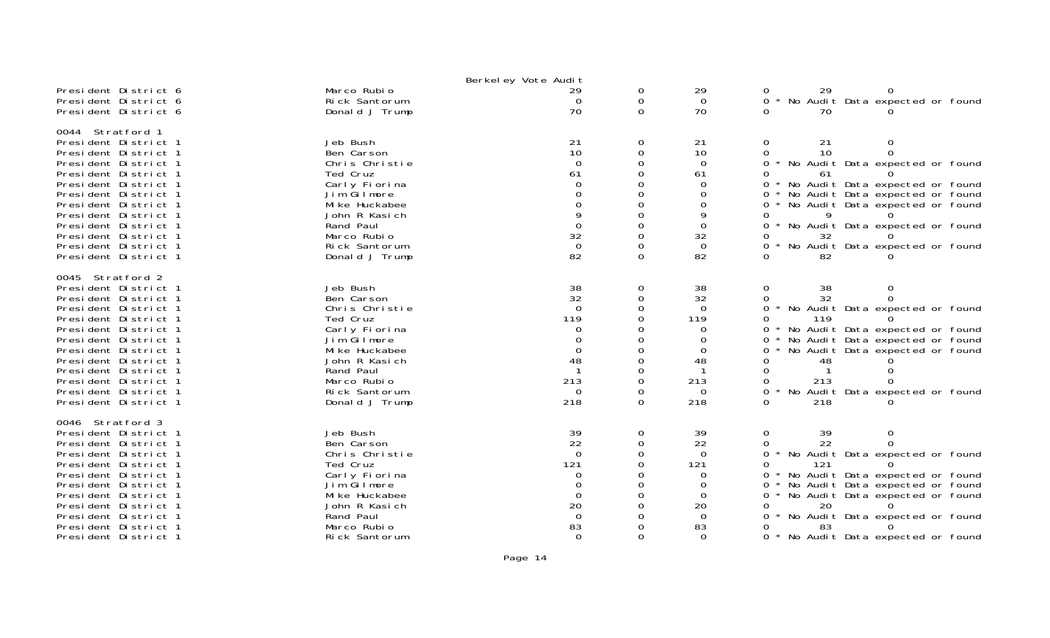|                                                                                                                                                                                                                                                                                                                  |                                                                                                                                                                                        | Berkel ey Vote Audit                                                                  |                                                             |                                                                                                  |                                                                                                                                                                                                                                                                                                 |
|------------------------------------------------------------------------------------------------------------------------------------------------------------------------------------------------------------------------------------------------------------------------------------------------------------------|----------------------------------------------------------------------------------------------------------------------------------------------------------------------------------------|---------------------------------------------------------------------------------------|-------------------------------------------------------------|--------------------------------------------------------------------------------------------------|-------------------------------------------------------------------------------------------------------------------------------------------------------------------------------------------------------------------------------------------------------------------------------------------------|
| President District 6<br>President District 6<br>President District 6                                                                                                                                                                                                                                             | Marco Rubio<br>Rick Santorum<br>Donald J Trump                                                                                                                                         | 29<br>$\Omega$<br>70                                                                  | 0<br>0<br>$\Omega$                                          | 29<br>$\Omega$<br>70                                                                             | 29<br>No Audit Data expected or found<br>0<br>70                                                                                                                                                                                                                                                |
| 0044 Stratford 1<br>President District 1<br>President District 1<br>President District 1<br>President District 1<br>President District 1<br>President District 1<br>President District 1<br>President District 1<br>President District 1<br>President District 1<br>President District 1<br>President District 1 | Jeb Bush<br>Ben Carson<br>Chris Christie<br>Ted Cruz<br>Carly Fiorina<br>Jim Gilmore<br>Mi ke Huckabee<br>John R Kasich<br>Rand Paul<br>Marco Rubio<br>Rick Santorum<br>Donald J Trump | 21<br>10<br>$\Omega$<br>61<br>9<br>$\Omega$<br>32<br>$\mathbf 0$<br>82                | 0<br>0<br>∩<br>$\Omega$<br>$\Omega$<br>$\Omega$<br>$\Omega$ | 21<br>10<br>$\Omega$<br>61<br>$\Omega$<br>$\Omega$<br>0<br>9<br>$\Omega$<br>32<br>$\Omega$<br>82 | 21<br>0<br>0<br>10<br>* No Audit Data expected or found<br>$\Omega$<br>61<br>* No Audit Data expected or found<br>∩.<br>* No Audit Data expected or found<br>* No Audit Data expected or found<br>0<br>0<br>No Audit Data expected or found<br>32<br>No Audit Data expected or found<br>0<br>82 |
| 0045 Stratford 2<br>President District 1<br>President District 1<br>President District 1<br>President District 1<br>President District 1<br>President District 1<br>President District 1<br>President District 1<br>President District 1<br>President District 1<br>President District 1<br>President District 1 | Jeb Bush<br>Ben Carson<br>Chris Christie<br>Ted Cruz<br>Carly Fiorina<br>Jim Gilmore<br>Mi ke Huckabee<br>John R Kasich<br>Rand Paul<br>Marco Rubio<br>Rick Santorum<br>Donald J Trump | 38<br>32<br>$\Omega$<br>119<br>∩<br>$\Omega$<br>48<br>213<br>$\Omega$<br>218          | 0<br>$\Omega$<br>∩<br>0<br>$\Omega$                         | 38<br>32<br>$\Omega$<br>119<br>0<br>$\Omega$<br>0<br>48<br>213<br>$\Omega$<br>218                | 38<br>0<br>32<br>No Audit Data expected or found<br>0<br>119<br>No Audit Data expected or found<br>No Audit Data expected or found<br>0<br>No Audit Data expected or found<br>0<br>48<br>213<br>0<br>No Audit Data expected or found<br>218                                                     |
| 0046 Stratford 3<br>President District 1<br>President District 1<br>President District 1<br>President District 1<br>President District 1<br>President District 1<br>President District 1<br>President District 1<br>President District 1<br>President District 1<br>President District 1                         | Jeb Bush<br>Ben Carson<br>Chris Christie<br>Ted Cruz<br>Carly Fiorina<br>Jim Gilmore<br>Mi ke Huckabee<br>John R Kasich<br>Rand Paul<br>Marco Rubio<br>Rick Santorum                   | 39<br>22<br>$\Omega$<br>121<br>0<br>Ω<br>$\Omega$<br>20<br>$\Omega$<br>83<br>$\Omega$ | 0<br>0<br>0                                                 | 39<br>22<br>$\Omega$<br>121<br>0<br>0<br>$\Omega$<br>20<br>-0<br>83<br>$\Omega$                  | 39<br>0<br>22<br>No Audit Data expected or found<br>0<br>121<br>* No Audit Data expected or found<br>No Audit Data expected or found<br>0<br>* No Audit Data expected or found<br>0<br>0<br>20<br>No Audit Data expected or found<br>0<br>83<br>* No Audit Data expected or found               |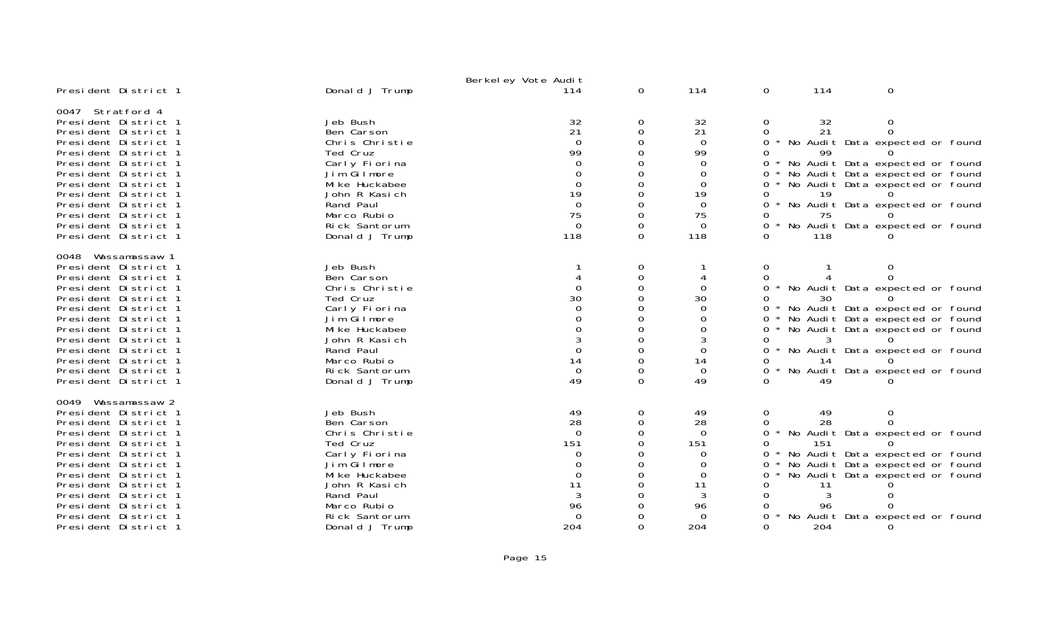|                                                                                                                                                                                                                                                                                                                       |                                                                                                                                                                                        | Berkel ey Vote Audit                                                                                                   |                                                                            |                                                                                                 |                                                                                             |                                          |                                                                                                                                                                                                                                 |
|-----------------------------------------------------------------------------------------------------------------------------------------------------------------------------------------------------------------------------------------------------------------------------------------------------------------------|----------------------------------------------------------------------------------------------------------------------------------------------------------------------------------------|------------------------------------------------------------------------------------------------------------------------|----------------------------------------------------------------------------|-------------------------------------------------------------------------------------------------|---------------------------------------------------------------------------------------------|------------------------------------------|---------------------------------------------------------------------------------------------------------------------------------------------------------------------------------------------------------------------------------|
| President District 1                                                                                                                                                                                                                                                                                                  | Donald J Trump                                                                                                                                                                         | 114                                                                                                                    | $\overline{0}$                                                             | 114                                                                                             | 0                                                                                           | 114                                      | $\mathbf 0$                                                                                                                                                                                                                     |
| 0047 Stratford 4<br>President District 1<br>President District 1<br>President District 1<br>President District 1<br>President District 1<br>President District 1<br>President District 1<br>President District 1<br>President District 1<br>President District 1<br>President District 1<br>President District 1      | Jeb Bush<br>Ben Carson<br>Chris Christie<br>Ted Cruz<br>Carly Fiorina<br>Jim Gilmore<br>Mi ke Huckabee<br>John R Kasich<br>Rand Paul<br>Marco Rubio<br>Rick Santorum<br>Donald J Trump | $\frac{32}{21}$<br>$\Omega$<br>99<br>$\Omega$<br>$\Omega$<br>$\Omega$<br>19<br>$\Omega$<br>75<br>$\overline{0}$<br>118 | 0<br>0<br>$\Omega$<br>O<br>0<br>$\Omega$<br>$\Omega$<br>$\Omega$<br>0<br>0 | 32<br>21<br>$\Omega$<br>99<br>0<br>0<br>$\Omega$<br>19<br>$\Omega$<br>75<br>$\Omega$<br>118     | 0<br>0<br>$\Omega$<br>0<br>$0 *$<br>0<br>0<br>0<br>$\Omega$<br>$\star$<br>$0 *$<br>$\Omega$ | 32<br>21<br>99<br>19<br>75<br>118        | 0<br>$\Omega$<br>No Audit Data expected or found<br>No Audit Data expected or found<br>No Audit Data expected or found<br>No Audit Data expected or found<br>No Audit Data expected or found<br>No Audit Data expected or found |
| Wassamassaw 1<br>0048<br>President District 1<br>President District 1<br>President District 1<br>President District 1<br>President District 1<br>President District 1<br>President District 1<br>President District 1<br>President District 1<br>President District 1<br>President District 1<br>President District 1 | Jeb Bush<br>Ben Carson<br>Chris Christie<br>Ted Cruz<br>Carly Fiorina<br>Jim Gilmore<br>Mi ke Huckabee<br>John R Kasich<br>Rand Paul<br>Marco Rubio<br>Rick Santorum<br>Donald J Trump | $\Omega$<br>30<br>$\Omega$<br>14<br>$\Omega$<br>49                                                                     | 0<br>0<br>$\Omega$<br>O<br>0<br>$\Omega$<br>$\Omega$<br>0<br>$\Omega$      | 0<br>30<br>$\Omega$<br>$\Omega$<br>$\Omega$<br>$\Omega$<br>14<br>$\Omega$<br>49                 | 0<br>0<br>$0^*$<br>$\Omega$<br>0<br>$0 *$<br>0<br>0<br>0<br>$\Omega$                        | 30<br>14<br>49                           | 0<br>$\Omega$<br>No Audit Data expected or found<br>No Audit Data expected or found<br>No Audit Data expected or found<br>No Audit Data expected or found<br>No Audit Data expected or found<br>No Audit Data expected or found |
| 0049<br>Wassamassaw 2<br>President District 1<br>President District 1<br>President District 1<br>President District 1<br>President District 1<br>President District 1<br>President District 1<br>President District 1<br>President District 1<br>President District 1<br>President District 1<br>President District 1 | Jeb Bush<br>Ben Carson<br>Chris Christie<br>Ted Cruz<br>Carly Fiorina<br>Jim Gilmore<br>Mi ke Huckabee<br>John R Kasich<br>Rand Paul<br>Marco Rubio<br>Rick Santorum<br>Donald J Trump | 49<br>28<br>$\Omega$<br>151<br>0<br>$\Omega$<br>11<br>96<br>$\Omega$<br>204                                            | 0<br>0<br>$\Omega$<br>O<br>0                                               | 49<br>28<br>$\Omega$<br>151<br>0<br>$\Omega$<br>$\mathbf 0$<br>11<br>3<br>96<br>$\Omega$<br>204 | 0<br>0<br>$\Omega$<br>0<br>0<br>0<br>0<br>0<br>0<br>0<br>0<br>0                             | 49<br>28<br>151<br>-11<br>3<br>96<br>204 | 0<br>$\Omega$<br>No Audit Data expected or found<br>No Audit Data expected or found<br>No Audit Data expected or found<br>No Audit Data expected or found<br>No Audit Data expected or found<br>$\Omega$                        |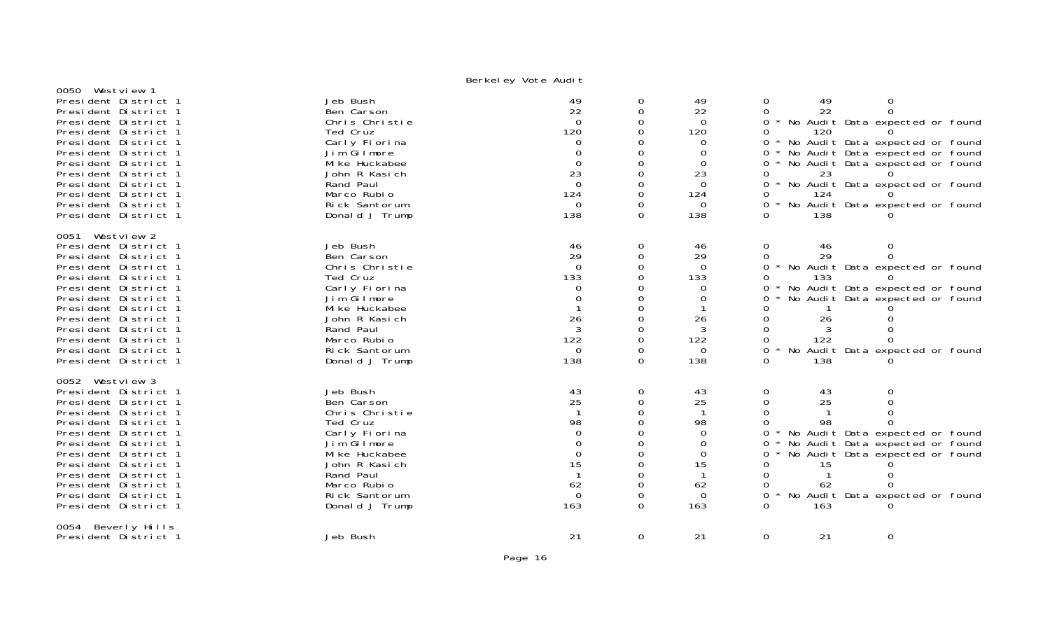| 0050 Westview 1                                                                                                                                                                                                                                                                                                 | - - · · · · <i>- 」</i>                                                                                                                                                                 |                                                                                                                      |                                                                                        |                                                                                                               |                                                                                                                                                                                                                                                                                                                                                          |
|-----------------------------------------------------------------------------------------------------------------------------------------------------------------------------------------------------------------------------------------------------------------------------------------------------------------|----------------------------------------------------------------------------------------------------------------------------------------------------------------------------------------|----------------------------------------------------------------------------------------------------------------------|----------------------------------------------------------------------------------------|---------------------------------------------------------------------------------------------------------------|----------------------------------------------------------------------------------------------------------------------------------------------------------------------------------------------------------------------------------------------------------------------------------------------------------------------------------------------------------|
| President District 1<br>President District 1<br>President District 1<br>President District 1<br>President District 1<br>President District 1<br>President District 1<br>President District 1<br>President District 1<br>President District 1<br>President District 1<br>President District 1                    | Jeb Bush<br>Ben Carson<br>Chris Christie<br>Ted Cruz<br>Carly Fiorina<br>Jim Gilmore<br>Mi ke Huckabee<br>John R Kasich<br>Rand Paul<br>Marco Rubio<br>Rick Santorum<br>Donald J Trump | 49<br>22<br>$\Omega$<br>120<br>$\Omega$<br>$\Omega$<br>$\mathbf 0$<br>23<br>$\overline{0}$<br>124<br>$\Omega$<br>138 | 0<br>$\Omega$<br>0<br>0<br>$\Omega$<br>0<br>$\Omega$<br>$\Omega$<br>0<br>$\Omega$      | 49<br>22<br>$\overline{0}$<br>120<br>0<br>$\Omega$<br>$\mathbf 0$<br>23<br>$\Omega$<br>124<br>$\Omega$<br>138 | 49<br>0<br>0<br>$\Omega$<br>22<br>0<br>$0 *$<br>No Audit Data expected or found<br>120<br>0<br>$0 *$<br>No Audit Data expected or found<br>No Audit Data expected or found<br>$\mathbf{O}$<br>No Audit Data expected or found<br>$0 *$<br>23<br>0<br>No Audit Data expected or found<br>0<br>0<br>124<br>0 * No Audit Data expected or found<br>138<br>0 |
| 0051 Westview 2<br>President District 1<br>President District 1<br>President District 1<br>President District 1<br>President District 1<br>President District 1<br>President District 1<br>President District 1<br>President District 1<br>President District 1<br>President District 1<br>President District 1 | Jeb Bush<br>Ben Carson<br>Chris Christie<br>Ted Cruz<br>Carly Fiorina<br>Jim Gilmore<br>Mi ke Huckabee<br>John R Kasich<br>Rand Paul<br>Marco Rubio<br>Rick Santorum<br>Donald J Trump | 46<br>29<br>$\Omega$<br>133<br>$\Omega$<br>$\Omega$<br>26<br>3<br>122<br>$\Omega$<br>138                             | 0<br>$\mathbf 0$<br>$\Omega$<br>$\Omega$<br>0<br>0<br>0<br>0<br>0<br>$\Omega$<br>0     | 46<br>29<br>$\Omega$<br>133<br>0<br>0<br>26<br>3<br>122<br>$\Omega$<br>138                                    | $\mathbf{O}$<br>46<br>0<br>29<br>$\Omega$<br>0<br>0 * No Audit Data expected or found<br>133<br>0<br>No Audit Data expected or found<br>$0 *$<br>No Audit Data expected or found<br>0<br>0<br>0<br>26<br>0<br>122<br>0<br>$0 *$<br>No Audit Data expected or found<br>0<br>138                                                                           |
| 0052 Westview 3<br>President District 1<br>President District 1<br>President District 1<br>President District 1<br>President District 1<br>President District 1<br>President District 1<br>President District 1<br>President District 1<br>President District 1<br>President District 1<br>President District 1 | Jeb Bush<br>Ben Carson<br>Chris Christie<br>Ted Cruz<br>Carly Fiorina<br>Jim Gilmore<br>Mi ke Huckabee<br>John R Kasich<br>Rand Paul<br>Marco Rubio<br>Rick Santorum<br>Donald J Trump | 43<br>25<br>-1<br>98<br>$\Omega$<br>$\Omega$<br>0<br>15<br>62<br>$\Omega$<br>163                                     | 0<br>0<br>$\Omega$<br>0<br>$\Omega$<br>0<br>$\Omega$<br>$\Omega$<br>0<br>0<br>$\Omega$ | 43<br>25<br>$\mathbf 1$<br>98<br>$\Omega$<br>$\Omega$<br>$\mathbf 0$<br>15<br>62<br>$\Omega$<br>163           | 0<br>$\mathbf 0$<br>43<br>$\Omega$<br>$\Omega$<br>25<br>$\Omega$<br>$\Omega$<br>0<br>98<br>No Audit Data expected or found<br>0<br>No Audit Data expected or found<br>$0 *$<br>No Audit Data expected or found<br>$0 *$<br>0<br>15<br>$\Omega$<br>0<br>62<br>No Audit Data expected or found<br>0<br>0<br>163                                            |
| 0054 Beverly Hills<br>President District 1                                                                                                                                                                                                                                                                      | Jeb Bush                                                                                                                                                                               | 21                                                                                                                   | 0                                                                                      | 21                                                                                                            | 0<br>21<br>0                                                                                                                                                                                                                                                                                                                                             |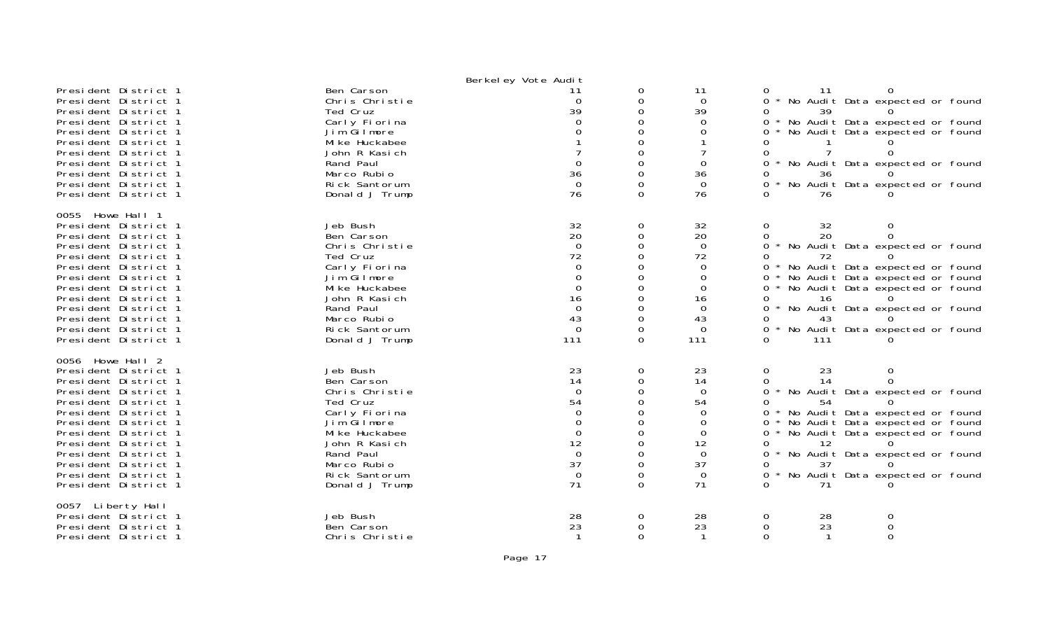|                                                                                                                                                                                                                                                                                                                  |                                                                                                                                                                                        | Berkel ey Vote Audit                                                                                                 |                                                                                                                               |                                                                                                          |                                                                 |                                  |                                                                                                                                                                                                                                 |  |
|------------------------------------------------------------------------------------------------------------------------------------------------------------------------------------------------------------------------------------------------------------------------------------------------------------------|----------------------------------------------------------------------------------------------------------------------------------------------------------------------------------------|----------------------------------------------------------------------------------------------------------------------|-------------------------------------------------------------------------------------------------------------------------------|----------------------------------------------------------------------------------------------------------|-----------------------------------------------------------------|----------------------------------|---------------------------------------------------------------------------------------------------------------------------------------------------------------------------------------------------------------------------------|--|
| President District 1<br>President District 1<br>President District 1<br>President District 1<br>President District 1<br>President District 1<br>President District 1<br>President District 1<br>President District 1<br>President District 1<br>President District 1                                             | Ben Carson<br>Chris Christie<br>Ted Cruz<br>Carly Fiorina<br>Jim Gilmore<br>Mi ke Huckabee<br>John R Kasich<br>Rand Paul<br>Marco Rubio<br>Rick Santorum<br>Donald J Trump             | -11<br>$\Omega$<br>39<br>∩<br>$\Omega$<br>36<br>$\overline{0}$<br>76                                                 | 0<br>0<br>0<br>$\Omega$<br>$\Omega$<br>0<br>$\Omega$<br>$\Omega$<br>$\Omega$<br>$\Omega$                                      | 11<br>$\Omega$<br>39<br>$\Omega$<br>0<br>$\Omega$<br>36<br>$\Omega$<br>76                                | 0<br>0<br>0<br>0<br>0<br>0<br>0                                 | -11<br>39<br>36<br>76            | No Audit Data expected or found<br>No Audit Data expected or found<br>No Audit Data expected or found<br>No Audit Data expected or found<br>No Audit Data expected or found                                                     |  |
| 0055 Howe Hall 1<br>President District 1<br>President District 1<br>President District 1<br>President District 1<br>President District 1<br>President District 1<br>President District 1<br>President District 1<br>President District 1<br>President District 1<br>President District 1<br>President District 1 | Jeb Bush<br>Ben Carson<br>Chris Christie<br>Ted Cruz<br>Carly Fiorina<br>Jim Gilmore<br>Mi ke Huckabee<br>John R Kasich<br>Rand Paul<br>Marco Rubio<br>Rick Santorum<br>Donald J Trump | 32<br>20<br>$\Omega$<br>72<br>$\Omega$<br>$\Omega$<br>$\Omega$<br>16<br>$\Omega$<br>43<br>$\mathbf 0$<br>111         | 0<br>0<br>0<br>$\Omega$<br>0<br>0<br>$\Omega$<br>$\Omega$<br>$\Omega$<br>$\Omega$<br>0<br>$\Omega$                            | 32<br>20<br>$\mathbf 0$<br>72<br>$\Omega$<br>0<br>$\Omega$<br>16<br>$\Omega$<br>43<br>$\mathbf 0$<br>111 | 0<br>0<br>0<br>0<br>0<br>0<br>0<br>0<br>0<br>0<br>$\star$<br>0  | 32<br>20<br>16<br>111            | 0<br>0<br>No Audit Data expected or found<br>No Audit Data expected or found<br>No Audit Data expected or found<br>No Audit Data expected or found<br>No Audit Data expected or found<br>No Audit Data expected or found        |  |
| 0056 Howe Hall 2<br>President District 1<br>President District 1<br>President District 1<br>President District 1<br>President District 1<br>President District 1<br>President District 1<br>President District 1<br>President District 1<br>President District 1<br>President District 1<br>President District 1 | Jeb Bush<br>Ben Carson<br>Chris Christie<br>Ted Cruz<br>Carly Fiorina<br>Jim Gilmore<br>Mi ke Huckabee<br>John R Kasich<br>Rand Paul<br>Marco Rubio<br>Rick Santorum<br>Donald J Trump | 23<br>14<br>$\Omega$<br>54<br>$\Omega$<br>$\Omega$<br>$\Omega$<br>12<br>$\overline{0}$<br>37<br>$\overline{0}$<br>71 | 0<br>$\Omega$<br>$\mathbf 0$<br>$\Omega$<br>$\Omega$<br>$\mathbf 0$<br>0<br>$\Omega$<br>0<br>$\Omega$<br>$\Omega$<br>$\Omega$ | 23<br>14<br>$\Omega$<br>54<br>$\Omega$<br>$\mathbf 0$<br>0<br>12<br>$\Omega$<br>37<br>$\Omega$<br>71     | 0<br>0<br>0<br>0<br>0<br>$0 *$<br>$0 *$<br>$0 *$<br>0<br>0<br>0 | 23<br>14<br>54<br>12<br>37<br>71 | 0<br>$\Omega$<br>No Audit Data expected or found<br>No Audit Data expected or found<br>No Audit Data expected or found<br>No Audit Data expected or found<br>No Audit Data expected or found<br>No Audit Data expected or found |  |
| 0057 Liberty Hall<br>President District 1<br>President District 1<br>President District 1                                                                                                                                                                                                                        | Jeb Bush<br>Ben Carson<br>Chris Christie                                                                                                                                               | 28<br>23                                                                                                             | 0<br>$\Omega$<br>$\Omega$                                                                                                     | 28<br>23<br>$\mathbf 1$                                                                                  | 0<br>0<br>$\Omega$                                              | 28<br>23                         | 0<br>$\Omega$<br>$\Omega$                                                                                                                                                                                                       |  |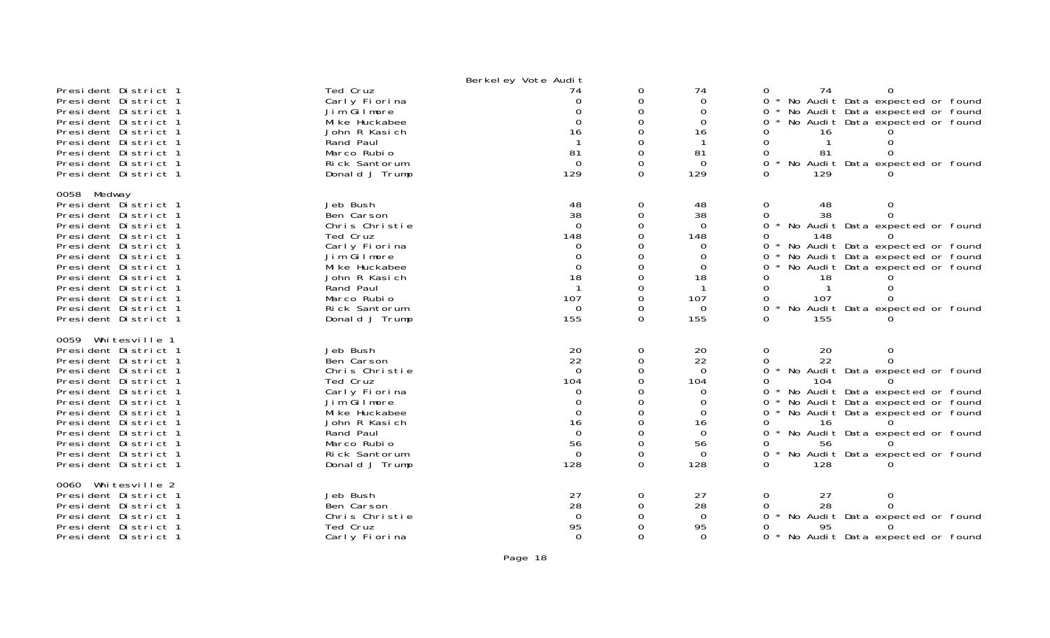| Ted Cruz<br>President District 1<br>0<br>74<br>$\Omega$<br>74<br>74<br>0<br>President District 1<br>0 * No Audit Data expected or found<br>Carly Fiorina<br>$\Omega$<br>$\Omega$<br>$\Omega$<br>$\Omega$<br>No Audit Data expected or found<br>President District 1<br>Jim Gilmore<br>∩<br>$\Omega$<br>$0 *$<br>Mi ke Huckabee<br>$\Omega$<br>$\Omega$<br>No Audit Data expected or found<br>President District 1<br>$\Omega$<br>0<br>John R Kasich<br>President District 1<br>16<br>$\Omega$<br>16<br>0<br>16<br>Rand Paul<br>-1<br>$\Omega$<br>President District 1<br>-1<br>$\Omega$<br>$\mathbf{1}$<br>$\Omega$<br>Marco Rubio<br>81<br>$\Omega$<br>81<br>President District 1<br>0<br>81<br>President District 1<br>Rick Santorum<br>$\Omega$<br>$\Omega$<br>$\Omega$<br>0<br>$^\star$<br>No Audit Data expected or found<br>129<br>129<br>President District 1<br>Donald J Trump<br>$\Omega$<br>129<br>$\Omega$<br>0058 Medway<br>President District 1<br>Jeb Bush<br>48<br>48<br>0<br>$\mathbf{0}$<br>48<br>0<br>38<br>38<br>38<br>$\mathbf 0$<br>$\Omega$<br>President District 1<br>Ben Carson<br>$\Omega$<br>Chris Christie<br>$\Omega$<br>$\Omega$<br>0<br>President District 1<br>$\Omega$<br>No Audit Data expected or found<br>148<br>$\Omega$<br>148<br>President District 1<br>Ted Cruz<br>148<br>0<br>Carly Fiorina<br>$0 *$<br>No Audit Data expected or found<br>President District 1<br>$\Omega$<br>$\Omega$<br>Jim Gilmore<br>$\Omega$<br>$\Omega$<br>No Audit Data expected or found<br>President District 1<br>$\Omega$<br>0<br>$\mathbf 0$<br>Mi ke Huckabee<br>0<br>President District 1<br>$\mathbf 0$<br>No Audit Data expected or found<br>0<br>18<br>President District 1<br>John R Kasich<br>$\Omega$<br>18<br>18<br>0<br>Rand Paul<br>President District 1<br>-1<br>$\Omega$<br>-1<br>-1<br>$\Omega$<br>0<br>107<br>Marco Rubio<br>$\Omega$<br>107<br>President District 1<br>107<br>0<br>President District 1<br>Rick Santorum<br>$\Omega$<br>* No Audit Data expected or found<br>$\Omega$<br>0<br>$\overline{0}$<br>155<br>155<br>$\Omega$<br>155<br>President District 1<br>Donald J Trump<br>$\Omega$<br>0059 Whitesville 1<br>Jeb Bush<br>20<br>President District 1<br>0<br>20<br>$\mathbf{O}$<br>20<br>0<br>22<br>22<br>22<br>Ben Carson<br>$\mathbf 0$<br>$\Omega$<br>$\Omega$<br>President District 1<br>$\Omega$<br>$\Omega$<br>Chris Christie<br>$\overline{0}$<br>$0 *$<br>No Audit Data expected or found<br>President District 1<br>Ted Cruz<br>104<br>President District 1<br>$\Omega$<br>104<br>104<br>0<br>President District 1<br>Carly Fiorina<br>0<br>$\Omega$<br>$0 *$<br>No Audit Data expected or found<br>Jim Gilmore<br>$\Omega$<br>No Audit Data expected or found<br>President District 1<br>$\Omega$<br>$\Omega$<br>0<br>$\Omega$<br>Mi ke Huckabee<br>$\Omega$<br>No Audit Data expected or found<br>President District 1<br>$\Omega$<br>$\Omega$<br>16<br>John R Kasich<br>$\Omega$<br>President District 1<br>16<br>16<br>0<br>Rand Paul<br>$\Omega$<br>President District 1<br>$\Omega$<br>$\Omega$<br>0<br>No Audit Data expected or found<br>Marco Rubio<br>56<br>President District 1<br>0<br>56<br>56<br>0<br>Rick Santorum<br>$\Omega$<br>President District 1<br>0<br>$\Omega$<br>$\Omega$<br>No Audit Data expected or found<br>President District 1<br>128<br>$\Omega$<br>128<br>128<br>Donald J Trump<br>$\Omega$<br>Whitesville 2<br>0060<br>Jeb Bush<br>27<br>27<br>President District 1<br>0<br>$\mathbf{0}$<br>27<br>0<br>28<br>28<br>Ben Carson<br>28<br>President District 1<br>0<br>$\Omega$<br>0<br>No Audit Data expected or found<br>$\Omega$<br>President District 1<br>Chris Christie<br>$\Omega$<br>$\Omega$<br>$\Omega$<br>95<br>Ted Cruz<br>95<br>President District 1<br>0<br>95 |                      |               | Berkel ey Vote Audit |          |          |                                          |
|---------------------------------------------------------------------------------------------------------------------------------------------------------------------------------------------------------------------------------------------------------------------------------------------------------------------------------------------------------------------------------------------------------------------------------------------------------------------------------------------------------------------------------------------------------------------------------------------------------------------------------------------------------------------------------------------------------------------------------------------------------------------------------------------------------------------------------------------------------------------------------------------------------------------------------------------------------------------------------------------------------------------------------------------------------------------------------------------------------------------------------------------------------------------------------------------------------------------------------------------------------------------------------------------------------------------------------------------------------------------------------------------------------------------------------------------------------------------------------------------------------------------------------------------------------------------------------------------------------------------------------------------------------------------------------------------------------------------------------------------------------------------------------------------------------------------------------------------------------------------------------------------------------------------------------------------------------------------------------------------------------------------------------------------------------------------------------------------------------------------------------------------------------------------------------------------------------------------------------------------------------------------------------------------------------------------------------------------------------------------------------------------------------------------------------------------------------------------------------------------------------------------------------------------------------------------------------------------------------------------------------------------------------------------------------------------------------------------------------------------------------------------------------------------------------------------------------------------------------------------------------------------------------------------------------------------------------------------------------------------------------------------------------------------------------------------------------------------------------------------------------------------------------------------------------------------------------------------------------------------------------------------------------------------------------------------------------------------------------------------------------------------------------------------------------------------------------------------------------------------------------------------------------------------------------------------------------------------------------------------------------------------------------------------------------------------------------------------------------------------------------------------------|----------------------|---------------|----------------------|----------|----------|------------------------------------------|
|                                                                                                                                                                                                                                                                                                                                                                                                                                                                                                                                                                                                                                                                                                                                                                                                                                                                                                                                                                                                                                                                                                                                                                                                                                                                                                                                                                                                                                                                                                                                                                                                                                                                                                                                                                                                                                                                                                                                                                                                                                                                                                                                                                                                                                                                                                                                                                                                                                                                                                                                                                                                                                                                                                                                                                                                                                                                                                                                                                                                                                                                                                                                                                                                                                                                                                                                                                                                                                                                                                                                                                                                                                                                                                                                                                           |                      |               |                      |          |          |                                          |
|                                                                                                                                                                                                                                                                                                                                                                                                                                                                                                                                                                                                                                                                                                                                                                                                                                                                                                                                                                                                                                                                                                                                                                                                                                                                                                                                                                                                                                                                                                                                                                                                                                                                                                                                                                                                                                                                                                                                                                                                                                                                                                                                                                                                                                                                                                                                                                                                                                                                                                                                                                                                                                                                                                                                                                                                                                                                                                                                                                                                                                                                                                                                                                                                                                                                                                                                                                                                                                                                                                                                                                                                                                                                                                                                                                           |                      |               |                      |          |          |                                          |
|                                                                                                                                                                                                                                                                                                                                                                                                                                                                                                                                                                                                                                                                                                                                                                                                                                                                                                                                                                                                                                                                                                                                                                                                                                                                                                                                                                                                                                                                                                                                                                                                                                                                                                                                                                                                                                                                                                                                                                                                                                                                                                                                                                                                                                                                                                                                                                                                                                                                                                                                                                                                                                                                                                                                                                                                                                                                                                                                                                                                                                                                                                                                                                                                                                                                                                                                                                                                                                                                                                                                                                                                                                                                                                                                                                           |                      |               |                      |          |          |                                          |
|                                                                                                                                                                                                                                                                                                                                                                                                                                                                                                                                                                                                                                                                                                                                                                                                                                                                                                                                                                                                                                                                                                                                                                                                                                                                                                                                                                                                                                                                                                                                                                                                                                                                                                                                                                                                                                                                                                                                                                                                                                                                                                                                                                                                                                                                                                                                                                                                                                                                                                                                                                                                                                                                                                                                                                                                                                                                                                                                                                                                                                                                                                                                                                                                                                                                                                                                                                                                                                                                                                                                                                                                                                                                                                                                                                           |                      |               |                      |          |          |                                          |
|                                                                                                                                                                                                                                                                                                                                                                                                                                                                                                                                                                                                                                                                                                                                                                                                                                                                                                                                                                                                                                                                                                                                                                                                                                                                                                                                                                                                                                                                                                                                                                                                                                                                                                                                                                                                                                                                                                                                                                                                                                                                                                                                                                                                                                                                                                                                                                                                                                                                                                                                                                                                                                                                                                                                                                                                                                                                                                                                                                                                                                                                                                                                                                                                                                                                                                                                                                                                                                                                                                                                                                                                                                                                                                                                                                           |                      |               |                      |          |          |                                          |
|                                                                                                                                                                                                                                                                                                                                                                                                                                                                                                                                                                                                                                                                                                                                                                                                                                                                                                                                                                                                                                                                                                                                                                                                                                                                                                                                                                                                                                                                                                                                                                                                                                                                                                                                                                                                                                                                                                                                                                                                                                                                                                                                                                                                                                                                                                                                                                                                                                                                                                                                                                                                                                                                                                                                                                                                                                                                                                                                                                                                                                                                                                                                                                                                                                                                                                                                                                                                                                                                                                                                                                                                                                                                                                                                                                           |                      |               |                      |          |          |                                          |
|                                                                                                                                                                                                                                                                                                                                                                                                                                                                                                                                                                                                                                                                                                                                                                                                                                                                                                                                                                                                                                                                                                                                                                                                                                                                                                                                                                                                                                                                                                                                                                                                                                                                                                                                                                                                                                                                                                                                                                                                                                                                                                                                                                                                                                                                                                                                                                                                                                                                                                                                                                                                                                                                                                                                                                                                                                                                                                                                                                                                                                                                                                                                                                                                                                                                                                                                                                                                                                                                                                                                                                                                                                                                                                                                                                           |                      |               |                      |          |          |                                          |
|                                                                                                                                                                                                                                                                                                                                                                                                                                                                                                                                                                                                                                                                                                                                                                                                                                                                                                                                                                                                                                                                                                                                                                                                                                                                                                                                                                                                                                                                                                                                                                                                                                                                                                                                                                                                                                                                                                                                                                                                                                                                                                                                                                                                                                                                                                                                                                                                                                                                                                                                                                                                                                                                                                                                                                                                                                                                                                                                                                                                                                                                                                                                                                                                                                                                                                                                                                                                                                                                                                                                                                                                                                                                                                                                                                           |                      |               |                      |          |          |                                          |
|                                                                                                                                                                                                                                                                                                                                                                                                                                                                                                                                                                                                                                                                                                                                                                                                                                                                                                                                                                                                                                                                                                                                                                                                                                                                                                                                                                                                                                                                                                                                                                                                                                                                                                                                                                                                                                                                                                                                                                                                                                                                                                                                                                                                                                                                                                                                                                                                                                                                                                                                                                                                                                                                                                                                                                                                                                                                                                                                                                                                                                                                                                                                                                                                                                                                                                                                                                                                                                                                                                                                                                                                                                                                                                                                                                           |                      |               |                      |          |          |                                          |
|                                                                                                                                                                                                                                                                                                                                                                                                                                                                                                                                                                                                                                                                                                                                                                                                                                                                                                                                                                                                                                                                                                                                                                                                                                                                                                                                                                                                                                                                                                                                                                                                                                                                                                                                                                                                                                                                                                                                                                                                                                                                                                                                                                                                                                                                                                                                                                                                                                                                                                                                                                                                                                                                                                                                                                                                                                                                                                                                                                                                                                                                                                                                                                                                                                                                                                                                                                                                                                                                                                                                                                                                                                                                                                                                                                           |                      |               |                      |          |          |                                          |
|                                                                                                                                                                                                                                                                                                                                                                                                                                                                                                                                                                                                                                                                                                                                                                                                                                                                                                                                                                                                                                                                                                                                                                                                                                                                                                                                                                                                                                                                                                                                                                                                                                                                                                                                                                                                                                                                                                                                                                                                                                                                                                                                                                                                                                                                                                                                                                                                                                                                                                                                                                                                                                                                                                                                                                                                                                                                                                                                                                                                                                                                                                                                                                                                                                                                                                                                                                                                                                                                                                                                                                                                                                                                                                                                                                           |                      |               |                      |          |          |                                          |
|                                                                                                                                                                                                                                                                                                                                                                                                                                                                                                                                                                                                                                                                                                                                                                                                                                                                                                                                                                                                                                                                                                                                                                                                                                                                                                                                                                                                                                                                                                                                                                                                                                                                                                                                                                                                                                                                                                                                                                                                                                                                                                                                                                                                                                                                                                                                                                                                                                                                                                                                                                                                                                                                                                                                                                                                                                                                                                                                                                                                                                                                                                                                                                                                                                                                                                                                                                                                                                                                                                                                                                                                                                                                                                                                                                           |                      |               |                      |          |          |                                          |
|                                                                                                                                                                                                                                                                                                                                                                                                                                                                                                                                                                                                                                                                                                                                                                                                                                                                                                                                                                                                                                                                                                                                                                                                                                                                                                                                                                                                                                                                                                                                                                                                                                                                                                                                                                                                                                                                                                                                                                                                                                                                                                                                                                                                                                                                                                                                                                                                                                                                                                                                                                                                                                                                                                                                                                                                                                                                                                                                                                                                                                                                                                                                                                                                                                                                                                                                                                                                                                                                                                                                                                                                                                                                                                                                                                           |                      |               |                      |          |          |                                          |
|                                                                                                                                                                                                                                                                                                                                                                                                                                                                                                                                                                                                                                                                                                                                                                                                                                                                                                                                                                                                                                                                                                                                                                                                                                                                                                                                                                                                                                                                                                                                                                                                                                                                                                                                                                                                                                                                                                                                                                                                                                                                                                                                                                                                                                                                                                                                                                                                                                                                                                                                                                                                                                                                                                                                                                                                                                                                                                                                                                                                                                                                                                                                                                                                                                                                                                                                                                                                                                                                                                                                                                                                                                                                                                                                                                           |                      |               |                      |          |          |                                          |
|                                                                                                                                                                                                                                                                                                                                                                                                                                                                                                                                                                                                                                                                                                                                                                                                                                                                                                                                                                                                                                                                                                                                                                                                                                                                                                                                                                                                                                                                                                                                                                                                                                                                                                                                                                                                                                                                                                                                                                                                                                                                                                                                                                                                                                                                                                                                                                                                                                                                                                                                                                                                                                                                                                                                                                                                                                                                                                                                                                                                                                                                                                                                                                                                                                                                                                                                                                                                                                                                                                                                                                                                                                                                                                                                                                           |                      |               |                      |          |          |                                          |
|                                                                                                                                                                                                                                                                                                                                                                                                                                                                                                                                                                                                                                                                                                                                                                                                                                                                                                                                                                                                                                                                                                                                                                                                                                                                                                                                                                                                                                                                                                                                                                                                                                                                                                                                                                                                                                                                                                                                                                                                                                                                                                                                                                                                                                                                                                                                                                                                                                                                                                                                                                                                                                                                                                                                                                                                                                                                                                                                                                                                                                                                                                                                                                                                                                                                                                                                                                                                                                                                                                                                                                                                                                                                                                                                                                           |                      |               |                      |          |          |                                          |
|                                                                                                                                                                                                                                                                                                                                                                                                                                                                                                                                                                                                                                                                                                                                                                                                                                                                                                                                                                                                                                                                                                                                                                                                                                                                                                                                                                                                                                                                                                                                                                                                                                                                                                                                                                                                                                                                                                                                                                                                                                                                                                                                                                                                                                                                                                                                                                                                                                                                                                                                                                                                                                                                                                                                                                                                                                                                                                                                                                                                                                                                                                                                                                                                                                                                                                                                                                                                                                                                                                                                                                                                                                                                                                                                                                           |                      |               |                      |          |          |                                          |
|                                                                                                                                                                                                                                                                                                                                                                                                                                                                                                                                                                                                                                                                                                                                                                                                                                                                                                                                                                                                                                                                                                                                                                                                                                                                                                                                                                                                                                                                                                                                                                                                                                                                                                                                                                                                                                                                                                                                                                                                                                                                                                                                                                                                                                                                                                                                                                                                                                                                                                                                                                                                                                                                                                                                                                                                                                                                                                                                                                                                                                                                                                                                                                                                                                                                                                                                                                                                                                                                                                                                                                                                                                                                                                                                                                           |                      |               |                      |          |          |                                          |
|                                                                                                                                                                                                                                                                                                                                                                                                                                                                                                                                                                                                                                                                                                                                                                                                                                                                                                                                                                                                                                                                                                                                                                                                                                                                                                                                                                                                                                                                                                                                                                                                                                                                                                                                                                                                                                                                                                                                                                                                                                                                                                                                                                                                                                                                                                                                                                                                                                                                                                                                                                                                                                                                                                                                                                                                                                                                                                                                                                                                                                                                                                                                                                                                                                                                                                                                                                                                                                                                                                                                                                                                                                                                                                                                                                           |                      |               |                      |          |          |                                          |
|                                                                                                                                                                                                                                                                                                                                                                                                                                                                                                                                                                                                                                                                                                                                                                                                                                                                                                                                                                                                                                                                                                                                                                                                                                                                                                                                                                                                                                                                                                                                                                                                                                                                                                                                                                                                                                                                                                                                                                                                                                                                                                                                                                                                                                                                                                                                                                                                                                                                                                                                                                                                                                                                                                                                                                                                                                                                                                                                                                                                                                                                                                                                                                                                                                                                                                                                                                                                                                                                                                                                                                                                                                                                                                                                                                           |                      |               |                      |          |          |                                          |
|                                                                                                                                                                                                                                                                                                                                                                                                                                                                                                                                                                                                                                                                                                                                                                                                                                                                                                                                                                                                                                                                                                                                                                                                                                                                                                                                                                                                                                                                                                                                                                                                                                                                                                                                                                                                                                                                                                                                                                                                                                                                                                                                                                                                                                                                                                                                                                                                                                                                                                                                                                                                                                                                                                                                                                                                                                                                                                                                                                                                                                                                                                                                                                                                                                                                                                                                                                                                                                                                                                                                                                                                                                                                                                                                                                           |                      |               |                      |          |          |                                          |
|                                                                                                                                                                                                                                                                                                                                                                                                                                                                                                                                                                                                                                                                                                                                                                                                                                                                                                                                                                                                                                                                                                                                                                                                                                                                                                                                                                                                                                                                                                                                                                                                                                                                                                                                                                                                                                                                                                                                                                                                                                                                                                                                                                                                                                                                                                                                                                                                                                                                                                                                                                                                                                                                                                                                                                                                                                                                                                                                                                                                                                                                                                                                                                                                                                                                                                                                                                                                                                                                                                                                                                                                                                                                                                                                                                           |                      |               |                      |          |          |                                          |
|                                                                                                                                                                                                                                                                                                                                                                                                                                                                                                                                                                                                                                                                                                                                                                                                                                                                                                                                                                                                                                                                                                                                                                                                                                                                                                                                                                                                                                                                                                                                                                                                                                                                                                                                                                                                                                                                                                                                                                                                                                                                                                                                                                                                                                                                                                                                                                                                                                                                                                                                                                                                                                                                                                                                                                                                                                                                                                                                                                                                                                                                                                                                                                                                                                                                                                                                                                                                                                                                                                                                                                                                                                                                                                                                                                           |                      |               |                      |          |          |                                          |
|                                                                                                                                                                                                                                                                                                                                                                                                                                                                                                                                                                                                                                                                                                                                                                                                                                                                                                                                                                                                                                                                                                                                                                                                                                                                                                                                                                                                                                                                                                                                                                                                                                                                                                                                                                                                                                                                                                                                                                                                                                                                                                                                                                                                                                                                                                                                                                                                                                                                                                                                                                                                                                                                                                                                                                                                                                                                                                                                                                                                                                                                                                                                                                                                                                                                                                                                                                                                                                                                                                                                                                                                                                                                                                                                                                           |                      |               |                      |          |          |                                          |
|                                                                                                                                                                                                                                                                                                                                                                                                                                                                                                                                                                                                                                                                                                                                                                                                                                                                                                                                                                                                                                                                                                                                                                                                                                                                                                                                                                                                                                                                                                                                                                                                                                                                                                                                                                                                                                                                                                                                                                                                                                                                                                                                                                                                                                                                                                                                                                                                                                                                                                                                                                                                                                                                                                                                                                                                                                                                                                                                                                                                                                                                                                                                                                                                                                                                                                                                                                                                                                                                                                                                                                                                                                                                                                                                                                           |                      |               |                      |          |          |                                          |
|                                                                                                                                                                                                                                                                                                                                                                                                                                                                                                                                                                                                                                                                                                                                                                                                                                                                                                                                                                                                                                                                                                                                                                                                                                                                                                                                                                                                                                                                                                                                                                                                                                                                                                                                                                                                                                                                                                                                                                                                                                                                                                                                                                                                                                                                                                                                                                                                                                                                                                                                                                                                                                                                                                                                                                                                                                                                                                                                                                                                                                                                                                                                                                                                                                                                                                                                                                                                                                                                                                                                                                                                                                                                                                                                                                           |                      |               |                      |          |          |                                          |
|                                                                                                                                                                                                                                                                                                                                                                                                                                                                                                                                                                                                                                                                                                                                                                                                                                                                                                                                                                                                                                                                                                                                                                                                                                                                                                                                                                                                                                                                                                                                                                                                                                                                                                                                                                                                                                                                                                                                                                                                                                                                                                                                                                                                                                                                                                                                                                                                                                                                                                                                                                                                                                                                                                                                                                                                                                                                                                                                                                                                                                                                                                                                                                                                                                                                                                                                                                                                                                                                                                                                                                                                                                                                                                                                                                           |                      |               |                      |          |          |                                          |
|                                                                                                                                                                                                                                                                                                                                                                                                                                                                                                                                                                                                                                                                                                                                                                                                                                                                                                                                                                                                                                                                                                                                                                                                                                                                                                                                                                                                                                                                                                                                                                                                                                                                                                                                                                                                                                                                                                                                                                                                                                                                                                                                                                                                                                                                                                                                                                                                                                                                                                                                                                                                                                                                                                                                                                                                                                                                                                                                                                                                                                                                                                                                                                                                                                                                                                                                                                                                                                                                                                                                                                                                                                                                                                                                                                           |                      |               |                      |          |          |                                          |
|                                                                                                                                                                                                                                                                                                                                                                                                                                                                                                                                                                                                                                                                                                                                                                                                                                                                                                                                                                                                                                                                                                                                                                                                                                                                                                                                                                                                                                                                                                                                                                                                                                                                                                                                                                                                                                                                                                                                                                                                                                                                                                                                                                                                                                                                                                                                                                                                                                                                                                                                                                                                                                                                                                                                                                                                                                                                                                                                                                                                                                                                                                                                                                                                                                                                                                                                                                                                                                                                                                                                                                                                                                                                                                                                                                           |                      |               |                      |          |          |                                          |
|                                                                                                                                                                                                                                                                                                                                                                                                                                                                                                                                                                                                                                                                                                                                                                                                                                                                                                                                                                                                                                                                                                                                                                                                                                                                                                                                                                                                                                                                                                                                                                                                                                                                                                                                                                                                                                                                                                                                                                                                                                                                                                                                                                                                                                                                                                                                                                                                                                                                                                                                                                                                                                                                                                                                                                                                                                                                                                                                                                                                                                                                                                                                                                                                                                                                                                                                                                                                                                                                                                                                                                                                                                                                                                                                                                           |                      |               |                      |          |          |                                          |
|                                                                                                                                                                                                                                                                                                                                                                                                                                                                                                                                                                                                                                                                                                                                                                                                                                                                                                                                                                                                                                                                                                                                                                                                                                                                                                                                                                                                                                                                                                                                                                                                                                                                                                                                                                                                                                                                                                                                                                                                                                                                                                                                                                                                                                                                                                                                                                                                                                                                                                                                                                                                                                                                                                                                                                                                                                                                                                                                                                                                                                                                                                                                                                                                                                                                                                                                                                                                                                                                                                                                                                                                                                                                                                                                                                           |                      |               |                      |          |          |                                          |
|                                                                                                                                                                                                                                                                                                                                                                                                                                                                                                                                                                                                                                                                                                                                                                                                                                                                                                                                                                                                                                                                                                                                                                                                                                                                                                                                                                                                                                                                                                                                                                                                                                                                                                                                                                                                                                                                                                                                                                                                                                                                                                                                                                                                                                                                                                                                                                                                                                                                                                                                                                                                                                                                                                                                                                                                                                                                                                                                                                                                                                                                                                                                                                                                                                                                                                                                                                                                                                                                                                                                                                                                                                                                                                                                                                           |                      |               |                      |          |          |                                          |
|                                                                                                                                                                                                                                                                                                                                                                                                                                                                                                                                                                                                                                                                                                                                                                                                                                                                                                                                                                                                                                                                                                                                                                                                                                                                                                                                                                                                                                                                                                                                                                                                                                                                                                                                                                                                                                                                                                                                                                                                                                                                                                                                                                                                                                                                                                                                                                                                                                                                                                                                                                                                                                                                                                                                                                                                                                                                                                                                                                                                                                                                                                                                                                                                                                                                                                                                                                                                                                                                                                                                                                                                                                                                                                                                                                           |                      |               |                      |          |          |                                          |
|                                                                                                                                                                                                                                                                                                                                                                                                                                                                                                                                                                                                                                                                                                                                                                                                                                                                                                                                                                                                                                                                                                                                                                                                                                                                                                                                                                                                                                                                                                                                                                                                                                                                                                                                                                                                                                                                                                                                                                                                                                                                                                                                                                                                                                                                                                                                                                                                                                                                                                                                                                                                                                                                                                                                                                                                                                                                                                                                                                                                                                                                                                                                                                                                                                                                                                                                                                                                                                                                                                                                                                                                                                                                                                                                                                           |                      |               |                      |          |          |                                          |
|                                                                                                                                                                                                                                                                                                                                                                                                                                                                                                                                                                                                                                                                                                                                                                                                                                                                                                                                                                                                                                                                                                                                                                                                                                                                                                                                                                                                                                                                                                                                                                                                                                                                                                                                                                                                                                                                                                                                                                                                                                                                                                                                                                                                                                                                                                                                                                                                                                                                                                                                                                                                                                                                                                                                                                                                                                                                                                                                                                                                                                                                                                                                                                                                                                                                                                                                                                                                                                                                                                                                                                                                                                                                                                                                                                           |                      |               |                      |          |          |                                          |
|                                                                                                                                                                                                                                                                                                                                                                                                                                                                                                                                                                                                                                                                                                                                                                                                                                                                                                                                                                                                                                                                                                                                                                                                                                                                                                                                                                                                                                                                                                                                                                                                                                                                                                                                                                                                                                                                                                                                                                                                                                                                                                                                                                                                                                                                                                                                                                                                                                                                                                                                                                                                                                                                                                                                                                                                                                                                                                                                                                                                                                                                                                                                                                                                                                                                                                                                                                                                                                                                                                                                                                                                                                                                                                                                                                           |                      |               |                      |          |          |                                          |
|                                                                                                                                                                                                                                                                                                                                                                                                                                                                                                                                                                                                                                                                                                                                                                                                                                                                                                                                                                                                                                                                                                                                                                                                                                                                                                                                                                                                                                                                                                                                                                                                                                                                                                                                                                                                                                                                                                                                                                                                                                                                                                                                                                                                                                                                                                                                                                                                                                                                                                                                                                                                                                                                                                                                                                                                                                                                                                                                                                                                                                                                                                                                                                                                                                                                                                                                                                                                                                                                                                                                                                                                                                                                                                                                                                           |                      |               |                      |          |          |                                          |
|                                                                                                                                                                                                                                                                                                                                                                                                                                                                                                                                                                                                                                                                                                                                                                                                                                                                                                                                                                                                                                                                                                                                                                                                                                                                                                                                                                                                                                                                                                                                                                                                                                                                                                                                                                                                                                                                                                                                                                                                                                                                                                                                                                                                                                                                                                                                                                                                                                                                                                                                                                                                                                                                                                                                                                                                                                                                                                                                                                                                                                                                                                                                                                                                                                                                                                                                                                                                                                                                                                                                                                                                                                                                                                                                                                           |                      |               |                      |          |          |                                          |
|                                                                                                                                                                                                                                                                                                                                                                                                                                                                                                                                                                                                                                                                                                                                                                                                                                                                                                                                                                                                                                                                                                                                                                                                                                                                                                                                                                                                                                                                                                                                                                                                                                                                                                                                                                                                                                                                                                                                                                                                                                                                                                                                                                                                                                                                                                                                                                                                                                                                                                                                                                                                                                                                                                                                                                                                                                                                                                                                                                                                                                                                                                                                                                                                                                                                                                                                                                                                                                                                                                                                                                                                                                                                                                                                                                           |                      |               |                      |          |          |                                          |
|                                                                                                                                                                                                                                                                                                                                                                                                                                                                                                                                                                                                                                                                                                                                                                                                                                                                                                                                                                                                                                                                                                                                                                                                                                                                                                                                                                                                                                                                                                                                                                                                                                                                                                                                                                                                                                                                                                                                                                                                                                                                                                                                                                                                                                                                                                                                                                                                                                                                                                                                                                                                                                                                                                                                                                                                                                                                                                                                                                                                                                                                                                                                                                                                                                                                                                                                                                                                                                                                                                                                                                                                                                                                                                                                                                           |                      |               |                      |          |          |                                          |
|                                                                                                                                                                                                                                                                                                                                                                                                                                                                                                                                                                                                                                                                                                                                                                                                                                                                                                                                                                                                                                                                                                                                                                                                                                                                                                                                                                                                                                                                                                                                                                                                                                                                                                                                                                                                                                                                                                                                                                                                                                                                                                                                                                                                                                                                                                                                                                                                                                                                                                                                                                                                                                                                                                                                                                                                                                                                                                                                                                                                                                                                                                                                                                                                                                                                                                                                                                                                                                                                                                                                                                                                                                                                                                                                                                           |                      |               |                      |          |          |                                          |
|                                                                                                                                                                                                                                                                                                                                                                                                                                                                                                                                                                                                                                                                                                                                                                                                                                                                                                                                                                                                                                                                                                                                                                                                                                                                                                                                                                                                                                                                                                                                                                                                                                                                                                                                                                                                                                                                                                                                                                                                                                                                                                                                                                                                                                                                                                                                                                                                                                                                                                                                                                                                                                                                                                                                                                                                                                                                                                                                                                                                                                                                                                                                                                                                                                                                                                                                                                                                                                                                                                                                                                                                                                                                                                                                                                           |                      |               |                      |          |          |                                          |
|                                                                                                                                                                                                                                                                                                                                                                                                                                                                                                                                                                                                                                                                                                                                                                                                                                                                                                                                                                                                                                                                                                                                                                                                                                                                                                                                                                                                                                                                                                                                                                                                                                                                                                                                                                                                                                                                                                                                                                                                                                                                                                                                                                                                                                                                                                                                                                                                                                                                                                                                                                                                                                                                                                                                                                                                                                                                                                                                                                                                                                                                                                                                                                                                                                                                                                                                                                                                                                                                                                                                                                                                                                                                                                                                                                           |                      |               |                      |          |          |                                          |
|                                                                                                                                                                                                                                                                                                                                                                                                                                                                                                                                                                                                                                                                                                                                                                                                                                                                                                                                                                                                                                                                                                                                                                                                                                                                                                                                                                                                                                                                                                                                                                                                                                                                                                                                                                                                                                                                                                                                                                                                                                                                                                                                                                                                                                                                                                                                                                                                                                                                                                                                                                                                                                                                                                                                                                                                                                                                                                                                                                                                                                                                                                                                                                                                                                                                                                                                                                                                                                                                                                                                                                                                                                                                                                                                                                           | President District 1 | Carly Fiorina | $\Omega$             | $\Omega$ | $\Omega$ | No Audit Data expected or found<br>$0 *$ |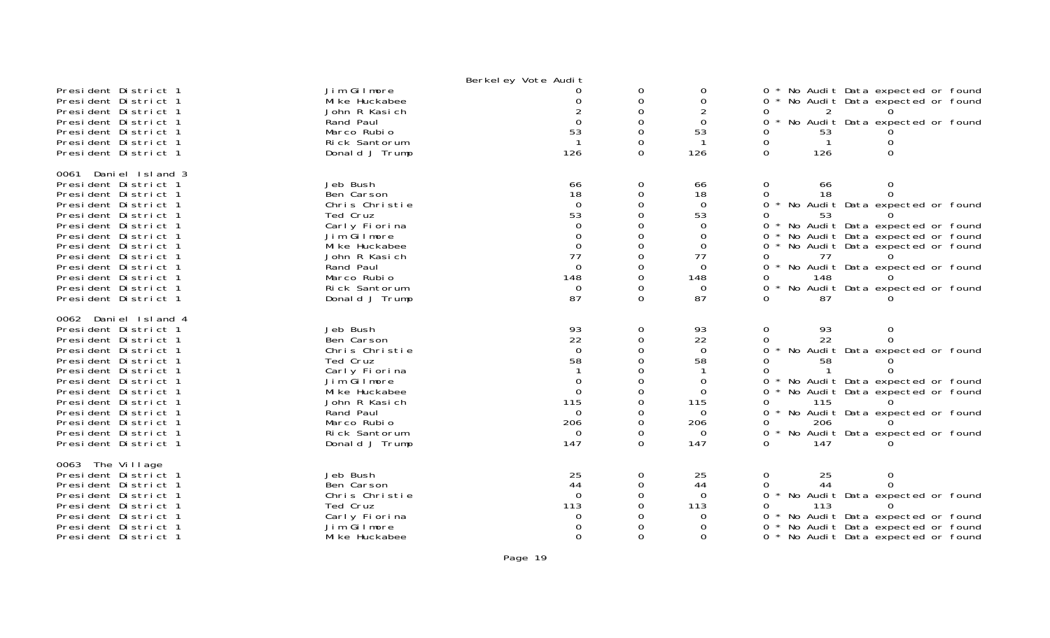| President District 1<br>President District 1<br>President District 1<br>President District 1<br>President District 1<br>President District 1<br>President District 1                                                                                                                                                 | Jim Gilmore<br>Mi ke Huckabee<br>John R Kasich<br>Rand Paul<br>Marco Rubio<br>Rick Santorum<br>Donald J Trump                                                                          | Berkel ey Vote Audit<br>$\Omega$<br>53<br>$\mathbf{1}$<br>126                                      | 0<br>$\Omega$<br>$\Omega$<br>0<br>$\Omega$<br>0<br>0                            | 0<br>$\Omega$<br>$\Omega$<br>53<br>126                                                                | No Audit Data expected or found<br>$0 *$<br>$\Omega$<br>No Audit Data expected or found<br>No Audit Data expected or found<br>0<br>0<br>53<br>$\mathbf{1}$<br>0<br>$\Omega$<br>126<br>0                                                                                                                                                     |
|----------------------------------------------------------------------------------------------------------------------------------------------------------------------------------------------------------------------------------------------------------------------------------------------------------------------|----------------------------------------------------------------------------------------------------------------------------------------------------------------------------------------|----------------------------------------------------------------------------------------------------|---------------------------------------------------------------------------------|-------------------------------------------------------------------------------------------------------|---------------------------------------------------------------------------------------------------------------------------------------------------------------------------------------------------------------------------------------------------------------------------------------------------------------------------------------------|
| 0061 Daniel Island 3<br>President District 1<br>President District 1<br>President District 1<br>President District 1<br>President District 1<br>President District 1<br>President District 1<br>President District 1<br>President District 1<br>President District 1<br>President District 1<br>President District 1 | Jeb Bush<br>Ben Carson<br>Chris Christie<br>Ted Cruz<br>Carly Fiorina<br>Jim Gilmore<br>Mi ke Huckabee<br>John R Kasich<br>Rand Paul<br>Marco Rubio<br>Rick Santorum<br>Donald J Trump | 66<br>18<br>$\mathbf 0$<br>53<br>$\Omega$<br>$\Omega$<br>0<br>77<br>$\Omega$<br>148<br>0<br>87     | 0<br>$\Omega$<br>$\Omega$<br>0<br>O<br>0<br>$\Omega$<br>$\Omega$<br>0<br>0<br>0 | 66<br>18<br>$\Omega$<br>53<br>0<br>$\Omega$<br>$\Omega$<br>77<br>$\Omega$<br>148<br>$\mathbf 0$<br>87 | 0<br>0<br>66<br>$\Omega$<br>18<br>0<br>0<br>No Audit Data expected or found<br>0<br>53<br>0<br>No Audit Data expected or found<br>No Audit Data expected or found<br>0<br>$0 *$<br>No Audit Data expected or found<br>77<br>0<br>$\Omega$<br>No Audit Data expected or found<br>0<br>148<br>No Audit Data expected or found<br>0<br>87<br>0 |
| 0062 Daniel Island 4<br>President District 1<br>President District 1<br>President District 1<br>President District 1<br>President District 1<br>President District 1<br>President District 1<br>President District 1<br>President District 1<br>President District 1<br>President District 1<br>President District 1 | Jeb Bush<br>Ben Carson<br>Chris Christie<br>Ted Cruz<br>Carly Fiorina<br>Jim Gilmore<br>Mi ke Huckabee<br>John R Kasich<br>Rand Paul<br>Marco Rubio<br>Rick Santorum<br>Donald J Trump | 93<br>22<br>$\Omega$<br>58<br>$\Omega$<br>$\mathbf 0$<br>115<br>$\Omega$<br>206<br>$\Omega$<br>147 | 0<br>0<br>$\Omega$<br>0<br>$\Omega$<br>0<br>$\Omega$<br>0<br>0<br>0<br>0        | 93<br>22<br>$\mathbf 0$<br>58<br>$\Omega$<br>$\Omega$<br>115<br>$\Omega$<br>206<br>0<br>147           | $\mathbf 0$<br>93<br>$\Omega$<br>22<br>0<br>0<br>No Audit Data expected or found<br>0<br>0<br>58<br>0<br>No Audit Data expected or found<br>0<br>$\Omega$<br>No Audit Data expected or found<br>115<br>0<br>No Audit Data expected or found<br>0<br>0<br>206<br>$\Omega$<br>No Audit Data expected or found<br>147<br>0                     |
| 0063 The Village<br>President District 1<br>President District 1<br>President District 1<br>President District 1<br>President District 1<br>President District 1<br>President District 1                                                                                                                             | Jeb Bush<br>Ben Carson<br>Chris Christie<br>Ted Cruz<br>Carly Fiorina<br>Jim Gilmore<br>Mi ke Huckabee                                                                                 | 25<br>44<br>$\Omega$<br>113<br>0<br>$\Omega$                                                       | 0<br>0<br>$\Omega$<br>0                                                         | 25<br>44<br>$\Omega$<br>113<br>$\Omega$<br>$\Omega$<br>$\Omega$                                       | $\mathbf 0$<br>25<br>0<br>44<br>0<br>$\Omega$<br>No Audit Data expected or found<br>$\Omega$<br>113<br>0<br>No Audit Data expected or found<br>0<br>No Audit Data expected or found<br>0<br>∩ *<br>No Audit Data expected or found                                                                                                          |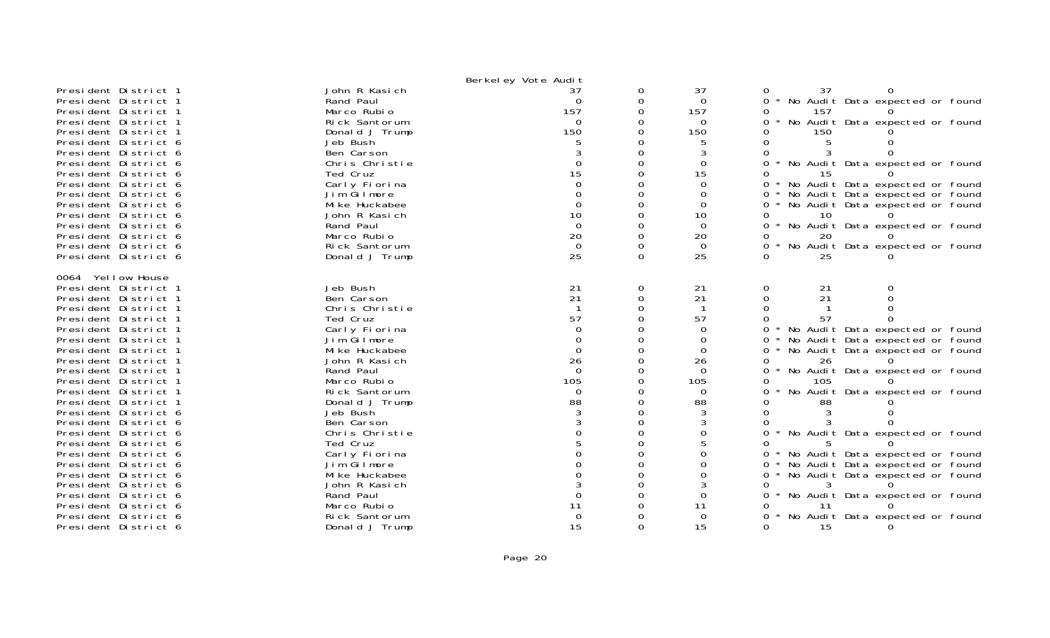|                      |                | Berkel ey Vote Audit |          |          |                                                        |
|----------------------|----------------|----------------------|----------|----------|--------------------------------------------------------|
| President District 1 | John R Kasich  | 37                   | 0        | 37       | 37<br>0                                                |
| President District 1 | Rand Paul      | $\Omega$             | $\Omega$ | $\Omega$ | No Audit Data expected or found<br>$\Omega$<br>$\star$ |
| President District 1 | Marco Rubio    | 157                  | 0        | 157      | 157<br>0                                               |
| President District 1 | Rick Santorum  | $\Omega$             | 0        | $\Omega$ | No Audit Data expected or found<br>0<br>$\star$        |
| President District 1 | Donald J Trump | 150                  | $\Omega$ | 150      | 150                                                    |
| President District 6 | Jeb Bush       |                      | ∩        |          | $\Omega$                                               |
| President District 6 | Ben Carson     |                      | $\Omega$ | 3        | $\Omega$                                               |
| President District 6 | Chris Christie | $\Omega$             |          | $\Omega$ | $\star$<br>No Audit Data expected or found<br>$\Omega$ |
| President District 6 | Ted Cruz       | 15                   | $\Omega$ | 15       | 15<br>0                                                |
| President District 6 | Carly Fiorina  | $\Omega$             | 0        | $\Omega$ | No Audit Data expected or found<br>0<br>$\star$        |
| President District 6 | Jim Gilmore    |                      | $\Omega$ | $\Omega$ | No Audit Data expected or found<br>0                   |
| President District 6 | Mi ke Huckabee | $\Omega$             | $\Omega$ | $\Omega$ | No Audit Data expected or found<br>0                   |
| President District 6 | John R Kasich  | 10                   | 0        | 10       | 10<br>$\Omega$                                         |
| President District 6 | Rand Paul      | $\Omega$             | $\Omega$ | $\Omega$ | No Audit Data expected or found<br>0                   |
| President District 6 | Marco Rubio    | 20                   | $\Omega$ | 20       | 20<br>0                                                |
| President District 6 | Rick Santorum  | $\Omega$             | $\Omega$ | $\Omega$ | No Audit Data expected or found<br>$\Omega$            |
| President District 6 | Donald J Trump | 25                   | $\Omega$ | 25       | 0<br>25                                                |
|                      |                |                      |          |          |                                                        |
| 0064 Yellow House    |                |                      |          |          |                                                        |
| President District 1 | Jeb Bush       | 21                   | 0        | 21       | 0<br>21                                                |
| President District 1 | Ben Carson     | 21                   | $\Omega$ | 21       | $\Omega$<br>21                                         |
| President District 1 | Chris Christie | $\mathbf{1}$         | $\Omega$ | -1       | $\Omega$                                               |
| President District 1 | Ted Cruz       | 57                   |          | 57       | 57                                                     |
| President District 1 | Carly Fiorina  | $\Omega$             | $\Omega$ | $\Omega$ | No Audit Data expected or found<br>0                   |
| President District 1 | Jim Gilmore    | $\Omega$             | 0        | $\Omega$ | No Audit Data expected or found<br>0                   |
| President District 1 | Mi ke Huckabee | $\Omega$             |          | 0        | No Audit Data expected or found<br>0                   |
| President District 1 | John R Kasich  | 26                   | $\Omega$ | 26       | $\Omega$<br>26                                         |
| President District 1 | Rand Paul      | $\Omega$             | $\Omega$ | $\Omega$ | No Audit Data expected or found<br>$\Omega$            |
| President District 1 | Marco Rubio    | 105                  |          | 105      | $\Omega$<br>105                                        |
| President District 1 | Rick Santorum  | $\Omega$             |          | $\Omega$ | $\star$<br>No Audit Data expected or found<br>0        |
| President District 1 | Donald J Trump | 88                   | $\Omega$ | 88       | 88                                                     |
| President District 6 | Jeb Bush       |                      |          |          |                                                        |
| President District 6 | Ben Carson     |                      | $\Omega$ |          | 0                                                      |
| President District 6 | Chris Christie |                      | $\Omega$ | $\Omega$ | No Audit Data expected or found<br>$\Omega$            |
| President District 6 | Ted Cruz       |                      |          |          | O                                                      |
| President District 6 | Carly Fiorina  |                      | $\Omega$ |          | No Audit Data expected or found<br>0                   |
| President District 6 | Jim Gilmore    |                      | $\Omega$ | $\Omega$ | No Audit Data expected or found<br>0                   |
| President District 6 | Mi ke Huckabee |                      | 0        | 0        | No Audit Data expected or found<br>$0 *$               |
| President District 6 | John R Kasich  |                      | $\Omega$ | 3        | $\Omega$                                               |
| President District 6 | Rand Paul      | $\Omega$             | $\Omega$ | $\Omega$ | No Audit Data expected or found<br>0                   |
| President District 6 | Marco Rubio    | 11                   | 0        | 11       | -11<br>Ω                                               |
| President District 6 | Rick Santorum  | $\Omega$             |          | $\Omega$ | No Audit Data expected or found<br>0                   |
| President District 6 | Donald J Trump | 15                   | $\Omega$ | 15       | 15<br>$\Omega$                                         |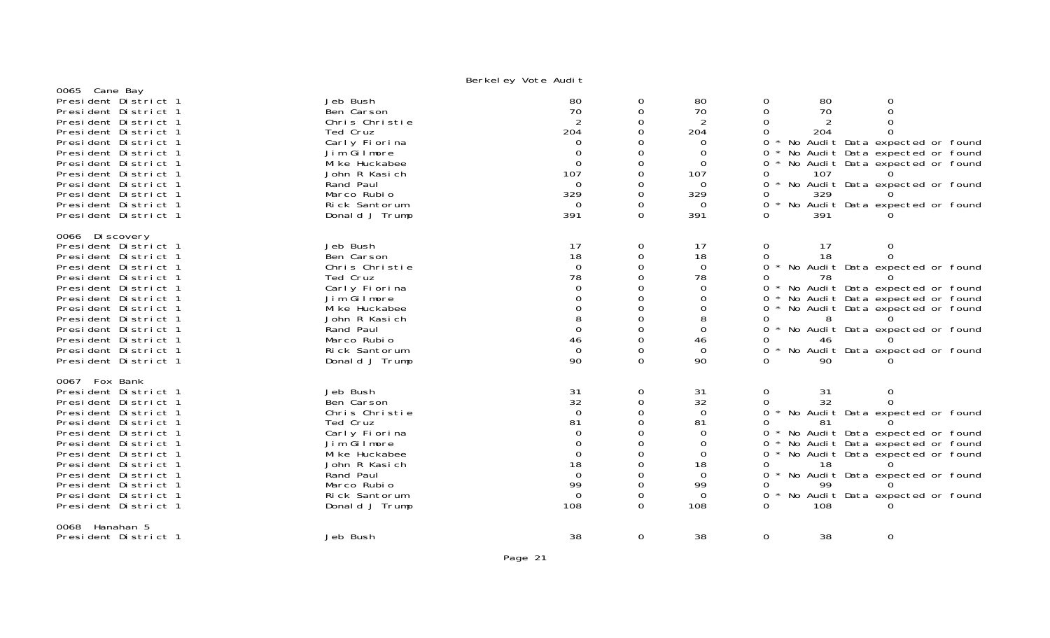| 0065 Cane Bay        | - - · · · · <i>- 」</i> |                                         |          |                |                                                 |
|----------------------|------------------------|-----------------------------------------|----------|----------------|-------------------------------------------------|
| President District 1 | Jeb Bush               | 80                                      | 0        | 80             | 80<br>0<br>0                                    |
| President District 1 | Ben Carson             | 70                                      | $\Omega$ | 70             | $\Omega$<br>70<br>$\Omega$                      |
| President District 1 | Chris Christie         | 2                                       | 0        | 2              |                                                 |
| President District 1 | Ted Cruz               | 204                                     |          | 204            | 204                                             |
| President District 1 | Carly Fiorina          | $\Omega$                                |          | 0              | No Audit Data expected or found                 |
| President District 1 | Jim Gilmore            | $\Omega$                                | 0        | $\Omega$       | No Audit Data expected or found<br>0            |
| President District 1 | Mi ke Huckabee         | $\overline{0}$                          | 0        | $\overline{0}$ | No Audit Data expected or found<br>0            |
| President District 1 | John R Kasich          | 107                                     | 0        | 107            | 107<br>0                                        |
| President District 1 | Rand Paul              | $\Omega$                                | 0        | $\Omega$       | No Audit Data expected or found<br>0            |
| President District 1 | Marco Rubio            | 329                                     | 0        | 329            | 329                                             |
| President District 1 | Rick Santorum          | $\Omega$                                |          | $\Omega$       | $\star$<br>No Audit Data expected or found<br>0 |
| President District 1 | Donald J Trump         | 391                                     | $\Omega$ | 391            | 391                                             |
|                      |                        |                                         |          |                |                                                 |
| 0066 Discovery       |                        |                                         |          |                |                                                 |
| President District 1 | Jeb Bush               | 17                                      | 0        | 17             | 17<br>$\mathbf{O}$                              |
| President District 1 | Ben Carson             | 18                                      | 0        | 18             | 18<br>0                                         |
| President District 1 | Chris Christie         | $\Omega$                                | 0        | $\overline{0}$ | * No Audit Data expected or found<br>$\Omega$   |
| President District 1 | Ted Cruz               | 78                                      | 0        | 78             | 78                                              |
| President District 1 | Carly Fiorina          | $\Omega$                                |          | 0              | No Audit Data expected or found<br>0            |
| President District 1 | Jim Gilmore            |                                         |          | $\Omega$       | No Audit Data expected or found<br>0            |
| President District 1 | Mi ke Huckabee         | $\Omega$                                | 0        | 0              | No Audit Data expected or found                 |
| President District 1 | John R Kasich          | 8                                       | 0        | 8              | 8<br>0                                          |
| President District 1 | Rand Paul              | $\Omega$                                |          | $\Omega$       | No Audit Data expected or found<br>$\Omega$     |
| President District 1 | Marco Rubio            | 46                                      | $\Omega$ | 46             | 46                                              |
| President District 1 | Rick Santorum          | $\Omega$                                | $\Omega$ | $\Omega$       | No Audit Data expected or found<br>$\Omega$     |
| President District 1 | Donald J Trump         | 90                                      | $\Omega$ | 90             | 90                                              |
| 0067 Fox Bank        |                        |                                         |          |                |                                                 |
| President District 1 | Jeb Bush               |                                         | 0        | 31             | $\mathsf{O}\xspace$<br>0<br>31                  |
| President District 1 | Ben Carson             | $\begin{array}{c} 31 \\ 32 \end{array}$ | 0        | 32             | 32<br>0<br>0                                    |
| President District 1 | Chris Christie         | $\overline{0}$                          | $\Omega$ | $\overline{0}$ | No Audit Data expected or found<br>0            |
| President District 1 | Ted Cruz               | 81                                      |          | 81             | 81                                              |
| President District 1 | Carly Fiorina          | $\Omega$                                |          | $\Omega$       | No Audit Data expected or found                 |
| President District 1 | Jim Gilmore            | $\Omega$                                | $\Omega$ | $\Omega$       | No Audit Data expected or found<br>0            |
| President District 1 | Mi ke Huckabee         | 0                                       | 0        | $\overline{0}$ | No Audit Data expected or found<br>0            |
| President District 1 | John R Kasich          | 18                                      |          | 18             | 18<br>0                                         |
| President District 1 | Rand Paul              | $\Omega$                                | 0        | $\Omega$       | No Audit Data expected or found<br>0            |
| President District 1 | Marco Rubio            | 99                                      | $\Omega$ | 99             | 99                                              |
| President District 1 | Rick Santorum          | $\Omega$                                | 0        | $\Omega$       | No Audit Data expected or found                 |
| President District 1 | Donald J Trump         | 108                                     | $\Omega$ | 108            | $\Omega$<br>108                                 |
|                      |                        |                                         |          |                |                                                 |
| Hanahan 5<br>0068    |                        |                                         |          |                |                                                 |
| President District 1 | Jeb Bush               | 38                                      | 0        | 38             | 0<br>$\mathbf 0$<br>38                          |
|                      |                        |                                         |          |                |                                                 |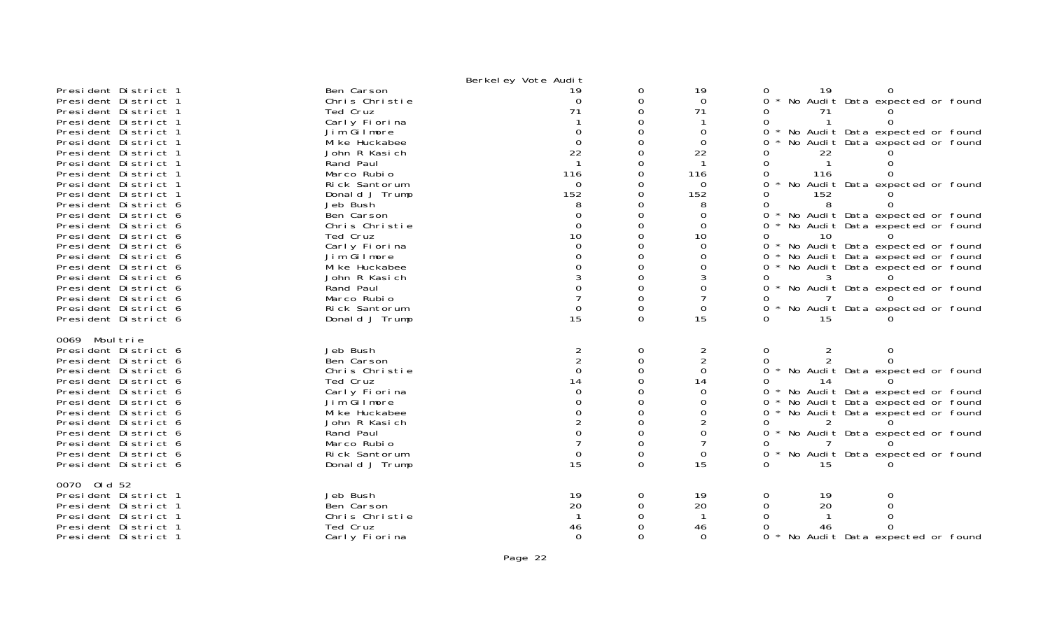|                                                                                                                                        |                                                                            | Berkel ey Vote Audit                              |                           |                                                            |                                                                                                                                         |
|----------------------------------------------------------------------------------------------------------------------------------------|----------------------------------------------------------------------------|---------------------------------------------------|---------------------------|------------------------------------------------------------|-----------------------------------------------------------------------------------------------------------------------------------------|
| President District 1<br>President District 1<br>President District 1<br>President District 1                                           | Ben Carson<br>Chris Christie<br>Ted Cruz<br>Carly Fiorina                  | 19<br>$\Omega$<br>71                              | 0<br>0<br>0               | 19<br>$\Omega$<br>71                                       | 19<br>0<br>No Audit Data expected or found<br>$\Omega$<br>71                                                                            |
| President District 1<br>President District 1<br>President District 1<br>President District 1<br>President District 1                   | Jim Gilmore<br>Mi ke Huckabee<br>John R Kasich<br>Rand Paul<br>Marco Rubio | $\Omega$<br>22<br>116                             |                           | $\Omega$<br>$\Omega$<br>22<br>116                          | No Audit Data expected or found<br>0<br>No Audit Data expected or found<br>22<br>116                                                    |
| President District 1<br>President District 1<br>President District 6<br>President District 6                                           | Rick Santorum<br>Donald J Trump<br>Jeb Bush<br>Ben Carson                  | $\Omega$<br>152<br>8<br>0                         |                           | 0<br>152<br>8<br>0                                         | No Audit Data expected or found<br>152<br>8<br>No Audit Data expected or found                                                          |
| President District 6<br>President District 6<br>President District 6                                                                   | Chris Christie<br>Ted Cruz<br>Carly Fiorina                                | $\Omega$<br>10                                    |                           | $\Omega$<br>10<br>$\Omega$                                 | No Audit Data expected or found<br>0<br>0<br>10<br>* No Audit Data expected or found<br>0                                               |
| President District 6<br>President District 6<br>President District 6<br>President District 6                                           | Jim Gilmore<br>Mi ke Huckabee<br>John R Kasich<br>Rand Paul                |                                                   |                           | 0<br>0                                                     | No Audit Data expected or found<br>0<br>No Audit Data expected or found<br>3<br>0<br>No Audit Data expected or found<br>0               |
| President District 6<br>President District 6<br>President District 6                                                                   | Marco Rubio<br>Rick Santorum<br>Donald J Trump                             | $\Omega$<br>15                                    | $\Omega$                  | $\Omega$<br>15                                             | No Audit Data expected or found<br>$\Omega$<br>15                                                                                       |
| 0069 Moul trie<br>President District 6<br>President District 6<br>President District 6<br>President District 6<br>President District 6 | Jeb Bush<br>Ben Carson<br>Chris Christie<br>Ted Cruz<br>Carly Fiorina      | 2<br>$\overline{2}$<br>$\Omega$<br>14<br>$\Omega$ | 0<br>$\Omega$             | $\overline{a}$<br>$\overline{2}$<br>$\mathbf 0$<br>14<br>0 | $\overline{2}$<br>0<br>0<br>$\overline{2}$<br>0<br>No Audit Data expected or found<br>$\Omega$<br>14<br>No Audit Data expected or found |
| President District 6<br>President District 6<br>President District 6<br>President District 6<br>President District 6                   | Jim Gilmore<br>Mi ke Huckabee<br>John R Kasich<br>Rand Paul<br>Marco Rubio |                                                   |                           | 0<br>0                                                     | No Audit Data expected or found<br>0<br>No Audit Data expected or found<br>$\Omega$<br>* No Audit Data expected or found<br>0<br>0      |
| President District 6<br>President District 6<br>0070 0ld 52                                                                            | Rick Santorum<br>Donald J Trump                                            | $\Omega$<br>15                                    | $\Omega$                  | 0<br>15                                                    | No Audit Data expected or found<br>0<br>15                                                                                              |
| President District 1<br>President District 1<br>President District 1<br>President District 1<br>President District 1                   | Jeb Bush<br>Ben Carson<br>Chris Christie<br>Ted Cruz<br>Carly Fiorina      | 19<br>20<br>46<br>$\Omega$                        | 0<br>$\Omega$<br>$\Omega$ | 19<br>20<br>46<br>$\Omega$                                 | 0<br>19<br>0<br>20<br>$\Omega$<br>0<br>No Audit Data expected or found                                                                  |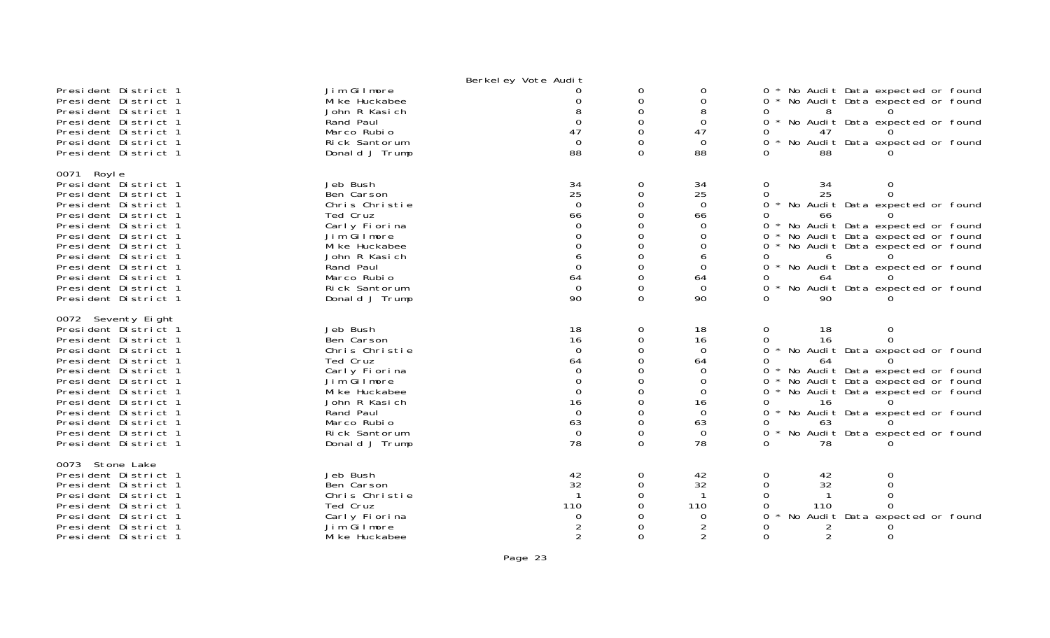|                                                                                                                                                                                                                                                                                                                    |                                                                                                                                                                                        | Berkel ey Vote Audit                                                                                           |                                                                                                                         |                                                                                                   |                                                                                                                                                                                                                                                                                                                                                          |
|--------------------------------------------------------------------------------------------------------------------------------------------------------------------------------------------------------------------------------------------------------------------------------------------------------------------|----------------------------------------------------------------------------------------------------------------------------------------------------------------------------------------|----------------------------------------------------------------------------------------------------------------|-------------------------------------------------------------------------------------------------------------------------|---------------------------------------------------------------------------------------------------|----------------------------------------------------------------------------------------------------------------------------------------------------------------------------------------------------------------------------------------------------------------------------------------------------------------------------------------------------------|
| President District 1<br>President District 1<br>President District 1<br>President District 1<br>President District 1<br>President District 1<br>President District 1                                                                                                                                               | Jim Gilmore<br>Mi ke Huckabee<br>John R Kasich<br>Rand Paul<br>Marco Rubio<br>Rick Santorum<br>Donald J Trump                                                                          | ∩<br>$\Omega$<br>47<br>$\Omega$<br>88                                                                          | 0<br>0<br>$\Omega$<br>0<br>$\Omega$<br>$\Omega$<br>$\Omega$                                                             | 0<br>$\Omega$<br>8<br>$\Omega$<br>47<br>$\Omega$<br>88                                            | No Audit Data expected or found<br>$0 *$<br>* No Audit Data expected or found<br>0<br>0<br>8<br>No Audit Data expected or found<br>0<br>$\star$<br>$\Omega$<br>47<br>$\star$<br>No Audit Data expected or found<br>0<br>88<br>0                                                                                                                          |
|                                                                                                                                                                                                                                                                                                                    |                                                                                                                                                                                        |                                                                                                                |                                                                                                                         |                                                                                                   |                                                                                                                                                                                                                                                                                                                                                          |
| 0071 Royle<br>President District 1<br>President District 1<br>President District 1<br>President District 1<br>President District 1<br>President District 1<br>President District 1<br>President District 1<br>President District 1<br>President District 1<br>President District 1<br>President District 1         | Jeb Bush<br>Ben Carson<br>Chris Christie<br>Ted Cruz<br>Carly Fiorina<br>Jim Gilmore<br>Mi ke Huckabee<br>John R Kasich<br>Rand Paul<br>Marco Rubio<br>Rick Santorum<br>Donald J Trump | 34<br>25<br>$\Omega$<br>66<br>$\Omega$<br>$\Omega$<br>$\Omega$<br>6<br>$\mathbf{0}$<br>64<br>$\Omega$<br>90    | 0<br>0<br>$\Omega$<br>$\Omega$<br>$\Omega$<br>$\Omega$<br>0<br>$\Omega$<br>$\Omega$<br>$\Omega$<br>$\Omega$<br>$\Omega$ | 34<br>25<br>$\Omega$<br>66<br>$\Omega$<br>$\Omega$<br>0<br>6<br>$\Omega$<br>64<br>$\Omega$<br>90  | 0<br>34<br>0<br>25<br>$\Omega$<br>0<br>No Audit Data expected or found<br>$\Omega$<br>$\Omega$<br>66<br>No Audit Data expected or found<br>0<br>No Audit Data expected or found<br>0<br>0<br>No Audit Data expected or found<br>0<br>6<br>No Audit Data expected or found<br>0<br>0<br>64<br>No Audit Data expected or found<br>0<br>90<br>$\Omega$      |
| 0072 Seventy Eight<br>President District 1<br>President District 1<br>President District 1<br>President District 1<br>President District 1<br>President District 1<br>President District 1<br>President District 1<br>President District 1<br>President District 1<br>President District 1<br>President District 1 | Jeb Bush<br>Ben Carson<br>Chris Christie<br>Ted Cruz<br>Carly Fiorina<br>Jim Gilmore<br>Mi ke Huckabee<br>John R Kasich<br>Rand Paul<br>Marco Rubio<br>Rick Santorum<br>Donald J Trump | 18<br>16<br>$\Omega$<br>64<br>$\Omega$<br>$\Omega$<br>$\mathbf 0$<br>16<br>$\mathbf 0$<br>63<br>$\Omega$<br>78 | 0<br>0<br>$\Omega$<br>$\Omega$<br>$\Omega$<br>$\Omega$<br>0<br>$\Omega$<br>$\Omega$<br>$\Omega$<br>0<br>$\Omega$        | 18<br>16<br>$\Omega$<br>64<br>$\Omega$<br>$\Omega$<br>0<br>16<br>$\Omega$<br>63<br>$\Omega$<br>78 | 0<br>18<br>0<br>$\Omega$<br>16<br>∩<br>0<br>No Audit Data expected or found<br>64<br>$\Omega$<br>No Audit Data expected or found<br>$\Omega$<br>No Audit Data expected or found<br>0<br>No Audit Data expected or found<br>0<br>0<br>16<br>No Audit Data expected or found<br>0<br>O<br>63<br>0<br>$\star$<br>No Audit Data expected or found<br>78<br>∩ |
| 0073 Stone Lake<br>President District 1<br>President District 1<br>President District 1<br>President District 1<br>President District 1<br>President District 1<br>President District 1                                                                                                                            | Jeb Bush<br>Ben Carson<br>Chris Christie<br>Ted Cruz<br>Carly Fiorina<br>Jim Gilmore<br>Mi ke Huckabee                                                                                 | 42<br>32<br>110<br>0<br>$\mathcal{P}$                                                                          | 0<br>0<br>$\Omega$<br>$\Omega$<br>$\Omega$                                                                              | 42<br>32<br>110<br>$\Omega$<br>$\mathcal{P}$                                                      | 0<br>42<br>0<br>32<br>$\mathbf 0$<br>0<br>$\Omega$<br>∩<br>110<br>0<br>∩<br>No Audit Data expected or found<br>∩<br>$\overline{2}$<br>$\Omega$<br>$\Omega$                                                                                                                                                                                               |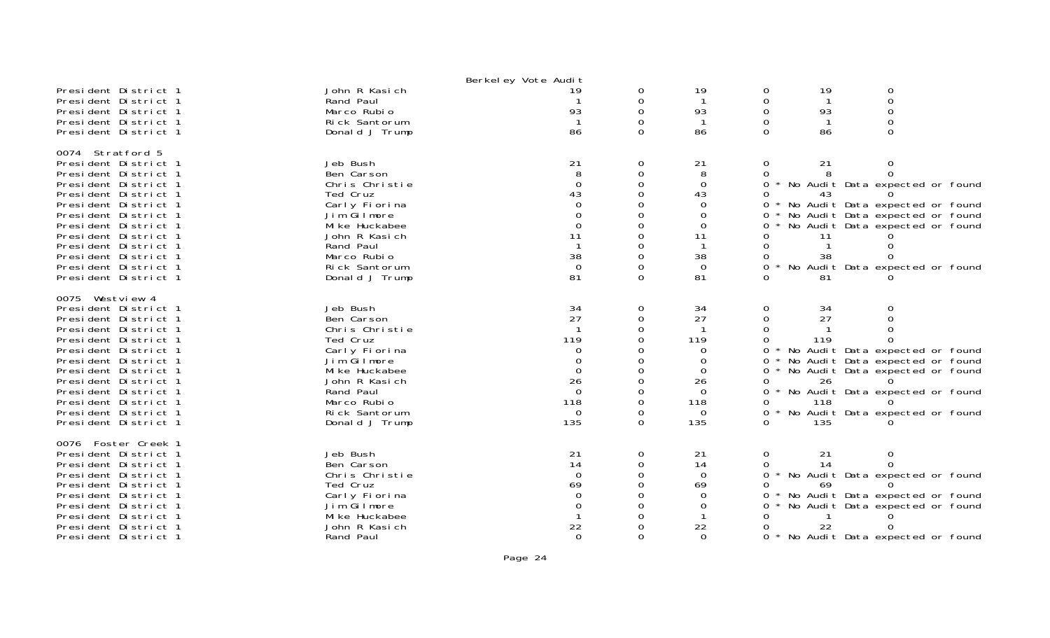|                                              |                        | Berkel ey Vote Audit |          |          |              |          |                                   |
|----------------------------------------------|------------------------|----------------------|----------|----------|--------------|----------|-----------------------------------|
| President District 1                         | John R Kasich          | 19                   | 0        | 19       | 0            | 19       | 0                                 |
| President District 1                         | Rand Paul              |                      | $\Omega$ |          | $\Omega$     |          | $\mathbf 0$                       |
| President District 1                         | Marco Rubio            | 93                   | $\Omega$ | 93       | $\Omega$     | 93       | $\mathbf 0$                       |
| President District 1                         | Rick Santorum          |                      |          |          |              |          | $\Omega$                          |
| President District 1                         | Donald J Trump         | 86                   | $\Omega$ | 86       | $\Omega$     | 86       | $\Omega$                          |
|                                              |                        |                      |          |          |              |          |                                   |
| 0074 Stratford 5                             |                        |                      |          |          |              |          |                                   |
| President District 1                         | Jeb Bush               | 21                   | 0        | 21       | 0            | 21       | 0                                 |
| President District 1                         | Ben Carson             | 8                    | $\Omega$ | 8        | $\Omega$     |          | $\Omega$                          |
| President District 1                         | Chris Christie         | $\Omega$             | $\Omega$ | $\Omega$ | $\Omega$     |          | * No Audit Data expected or found |
| President District 1                         | Ted Cruz               | 43                   | $\Omega$ | 43       | 0            | 43       |                                   |
| President District 1                         | Carly Fiorina          |                      |          | $\Omega$ | $\Omega$     |          | * No Audit Data expected or found |
| President District 1                         | Jim Gilmore            | $\Omega$             | $\Omega$ | 0        | 0            |          | No Audit Data expected or found   |
| President District 1                         | Mi ke Huckabee         | $\Omega$             |          | $\Omega$ |              |          | No Audit Data expected or found   |
| President District 1                         | John R Kasich          | 11                   |          | 11       |              | 11       |                                   |
| President District 1                         | Rand Paul              |                      |          |          |              |          |                                   |
| President District 1                         | Marco Rubio            | 38                   | 0        | 38       |              | 38       |                                   |
| President District 1                         | Rick Santorum          | $\Omega$             |          | $\Omega$ |              |          | No Audit Data expected or found   |
| President District 1                         | Donald J Trump         | 81                   | $\Omega$ | 81       |              | 81       |                                   |
|                                              |                        |                      |          |          |              |          |                                   |
| 0075 Westview 4                              |                        |                      |          |          |              |          |                                   |
| President District 1                         | Jeb Bush<br>Ben Carson | 34<br>27             | 0        | 34<br>27 | 0            | 34<br>27 |                                   |
| President District 1<br>President District 1 | Chris Christie         |                      | 0<br>0   |          | 0            |          |                                   |
|                                              | Ted Cruz               | 119                  |          | 119      |              | 119      |                                   |
| President District 1                         | Carly Fiorina          | $\Omega$             |          | $\Omega$ | 0            |          | * No Audit Data expected or found |
| President District 1<br>President District 1 | Jim Gilmore            | $\Omega$             |          | $\Omega$ | $\Omega$     |          | No Audit Data expected or found   |
| President District 1                         | Mi ke Huckabee         | $\Omega$             |          | $\Omega$ | $\Omega$     |          | No Audit Data expected or found   |
| President District 1                         | John R Kasich          | 26                   | 0        | 26       | 0            | 26       |                                   |
| President District 1                         | Rand Paul              | $\Omega$             |          | $\Omega$ | 0            |          | * No Audit Data expected or found |
| President District 1                         | Marco Rubio            | 118                  | $\Omega$ | 118      | 0            | 118      |                                   |
| President District 1                         | Rick Santorum          | $\Omega$             | $\Omega$ | $\Omega$ | 0<br>$\star$ |          | No Audit Data expected or found   |
| President District 1                         | Donald J Trump         | 135                  | $\Omega$ | 135      |              | 135      |                                   |
|                                              |                        |                      |          |          |              |          |                                   |
| 0076 Foster Creek 1                          |                        |                      |          |          |              |          |                                   |
| President District 1                         | Jeb Bush               | 21                   | $\Omega$ | 21       | $\Omega$     | 21       | $\Omega$                          |
| President District 1                         | Ben Carson             | 14                   | $\Omega$ | 14       |              | 14       |                                   |
| President District 1                         | Chris Christie         | $\mathbf 0$          | $\Omega$ | $\Omega$ | $\Omega$     |          | * No Audit Data expected or found |
| President District 1                         | Ted Cruz               | 69                   |          | 69       |              | 69       |                                   |
| President District 1                         | Carly Fiorina          | $\Omega$             |          | $\Omega$ | 0            |          | No Audit Data expected or found   |
| President District 1                         | Jim Gilmore            |                      |          | $\Omega$ | 0            |          | No Audit Data expected or found   |
| President District 1                         | Mi ke Huckabee         |                      |          |          |              |          |                                   |
| President District 1                         | John R Kasich          | 22                   |          | 22       |              | 22       |                                   |
| President District 1                         | Rand Paul              | $\Omega$             | $\Omega$ | $\Omega$ | 0            |          | * No Audit Data expected or found |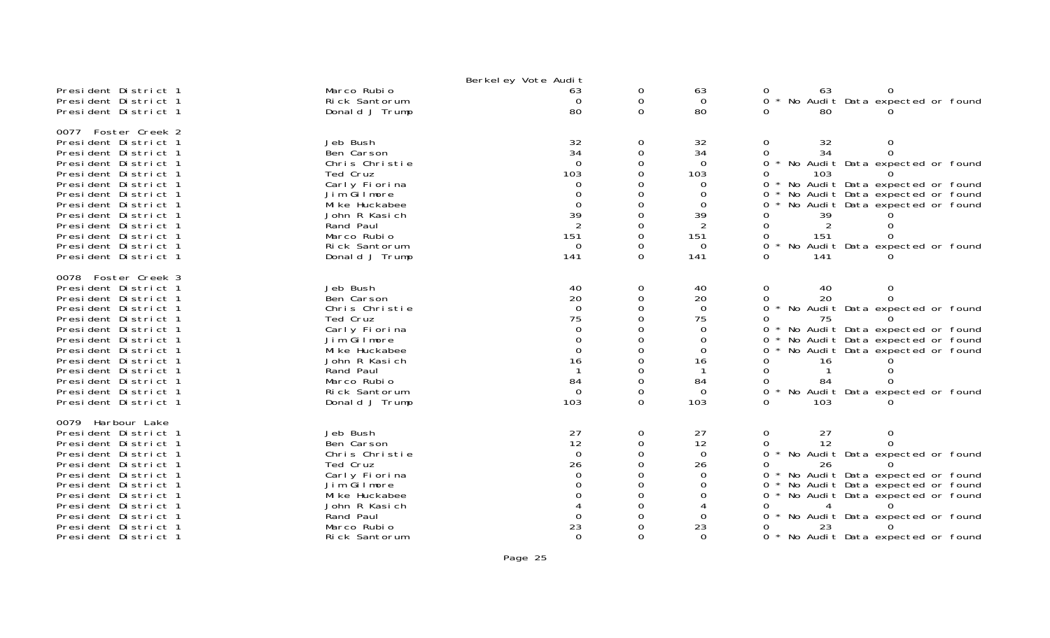|                                                                                                                                                                                                                                                                                                                     |                                                                                                                                                                                        | Berkel ey Vote Audit                                                                                          |                                                                                                           |                                                                                      |                                                                                                                                                                                                                                                                                                       |
|---------------------------------------------------------------------------------------------------------------------------------------------------------------------------------------------------------------------------------------------------------------------------------------------------------------------|----------------------------------------------------------------------------------------------------------------------------------------------------------------------------------------|---------------------------------------------------------------------------------------------------------------|-----------------------------------------------------------------------------------------------------------|--------------------------------------------------------------------------------------|-------------------------------------------------------------------------------------------------------------------------------------------------------------------------------------------------------------------------------------------------------------------------------------------------------|
| President District 1<br>President District 1<br>President District 1                                                                                                                                                                                                                                                | Marco Rubio<br>Rick Santorum<br>Donald J Trump                                                                                                                                         | 63<br>$\Omega$<br>80                                                                                          | 0<br>0<br>$\Omega$                                                                                        | 63<br>$\Omega$<br>80                                                                 | 63<br>No Audit Data expected or found<br>$\Omega$<br>80                                                                                                                                                                                                                                               |
| 0077 Foster Creek 2<br>President District 1<br>President District 1<br>President District 1<br>President District 1<br>President District 1<br>President District 1<br>President District 1<br>President District 1<br>President District 1<br>President District 1<br>President District 1<br>President District 1 | Jeb Bush<br>Ben Carson<br>Chris Christie<br>Ted Cruz<br>Carly Fiorina<br>Jim Gilmore<br>Mi ke Huckabee<br>John R Kasich<br>Rand Paul<br>Marco Rubio<br>Rick Santorum<br>Donald J Trump | 32<br>34<br>$\Omega$<br>103<br>0<br>$\Omega$<br>$\mathbf 0$<br>39<br>$\overline{2}$<br>151<br>$\Omega$<br>141 | 0<br>$\mathbf 0$<br>$\Omega$<br>$\Omega$<br>∩<br>$\Omega$<br>$\Omega$<br>$\Omega$<br>$\Omega$<br>$\Omega$ | 32<br>34<br>$\Omega$<br>103<br>0<br>0<br>$\Omega$<br>39<br>151<br>$\Omega$<br>141    | 32<br>$\Omega$<br>0<br>34<br>0<br>No Audit Data expected or found<br>0<br>103<br>No Audit Data expected or found<br>$\Omega$<br>$\star$<br>No Audit Data expected or found<br>0<br>No Audit Data expected or found<br>0<br>39<br>151<br>No Audit Data expected or found<br>0<br>141                   |
| 0078 Foster Creek 3<br>President District 1<br>President District 1<br>President District 1<br>President District 1<br>President District 1<br>President District 1<br>President District 1<br>President District 1<br>President District 1<br>President District 1<br>President District 1<br>President District 1 | Jeb Bush<br>Ben Carson<br>Chris Christie<br>Ted Cruz<br>Carly Fiorina<br>Jim Gilmore<br>Mi ke Huckabee<br>John R Kasich<br>Rand Paul<br>Marco Rubio<br>Rick Santorum<br>Donald J Trump | 40<br>20<br>$\Omega$<br>75<br>$\Omega$<br>$\mathbf 0$<br>$\Omega$<br>16<br>84<br>$\Omega$<br>103              | 0<br>$\mathbf 0$<br>$\Omega$<br>$\Omega$<br>$\Omega$<br>0<br>$\Omega$<br>0<br>$\Omega$                    | 40<br>20<br>$\Omega$<br>75<br>$\Omega$<br>0<br>0<br>16<br>84<br>$\Omega$<br>103      | 40<br>0<br>0<br>20<br>$\Omega$<br>No Audit Data expected or found<br>0<br>75<br>No Audit Data expected or found<br>No Audit Data expected or found<br>0<br>No Audit Data expected or found<br>0<br>16<br>0<br>84<br>No Audit Data expected or found<br>103                                            |
| 0079 Harbour Lake<br>President District 1<br>President District 1<br>President District 1<br>President District 1<br>President District 1<br>President District 1<br>President District 1<br>President District 1<br>President District 1<br>President District 1<br>President District 1                           | Jeb Bush<br>Ben Carson<br>Chris Christie<br>Ted Cruz<br>Carly Fiorina<br>Jim Gilmore<br>Mi ke Huckabee<br>John R Kasich<br>Rand Paul<br>Marco Rubio<br>Rick Santorum                   | 27<br>12<br>$\Omega$<br>26<br>$\Omega$<br>23<br>$\Omega$                                                      | 0<br>$\mathbf 0$<br>$\Omega$<br>0<br>$\Omega$                                                             | 27<br>12<br>$\overline{0}$<br>26<br>$\Omega$<br>$\Omega$<br>0<br>0<br>23<br>$\Omega$ | 27<br>0<br>12<br>0<br>No Audit Data expected or found<br>$\Omega$<br>26<br>No Audit Data expected or found<br>No Audit Data expected or found<br>0<br>No Audit Data expected or found<br>0<br>0<br>No Audit Data expected or found<br>$\Omega$<br>23<br>* No Audit Data expected or found<br>$\Omega$ |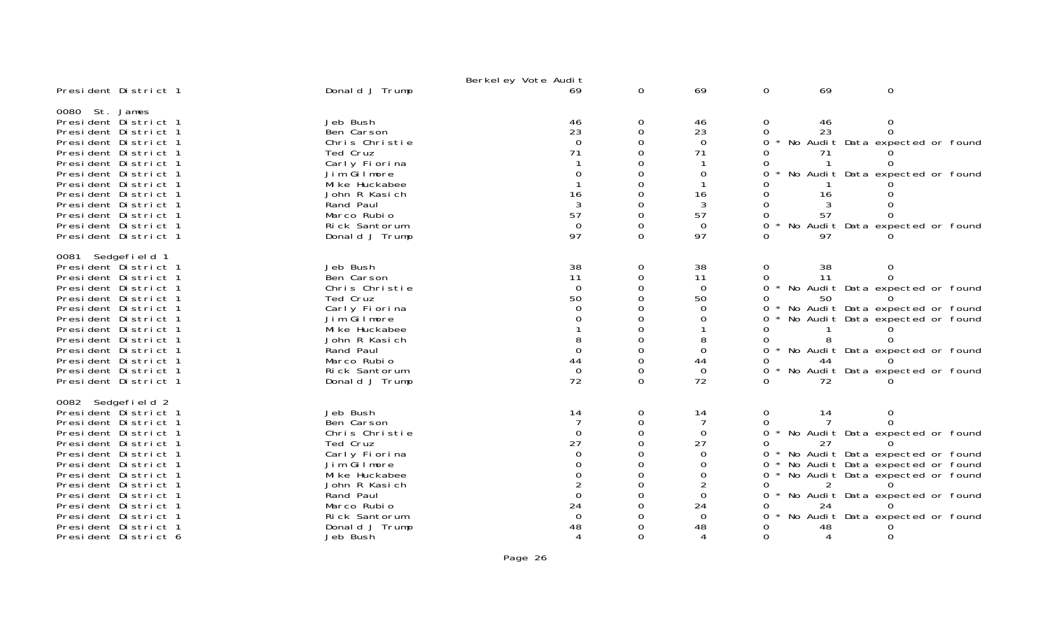|                                                                                                                                                                                                                                                                                                                                           |                                                                                                                                                                                                    | Berkel ey Vote Audit                                                                          |                                                                  |                                                                                      |                                                            |                            |                                                                                                                                                                                                                            |
|-------------------------------------------------------------------------------------------------------------------------------------------------------------------------------------------------------------------------------------------------------------------------------------------------------------------------------------------|----------------------------------------------------------------------------------------------------------------------------------------------------------------------------------------------------|-----------------------------------------------------------------------------------------------|------------------------------------------------------------------|--------------------------------------------------------------------------------------|------------------------------------------------------------|----------------------------|----------------------------------------------------------------------------------------------------------------------------------------------------------------------------------------------------------------------------|
| President District 1                                                                                                                                                                                                                                                                                                                      | Donald J Trump                                                                                                                                                                                     | 69                                                                                            | $\mathbf 0$                                                      | 69                                                                                   | $\mathbf 0$                                                | 69                         | $\mathbf 0$                                                                                                                                                                                                                |
| 0080 St. James<br>President District 1<br>President District 1<br>President District 1<br>President District 1<br>President District 1<br>President District 1<br>President District 1<br>President District 1<br>President District 1<br>President District 1<br>President District 1<br>President District 1                            | Jeb Bush<br>Ben Carson<br>Chris Christie<br>Ted Cruz<br>Carly Fiorina<br>Jim Gilmore<br>Mi ke Huckabee<br>John R Kasich<br>Rand Paul<br>Marco Rubio<br>Rick Santorum<br>Donald J Trump             | 46<br>23<br>$\Omega$<br>71<br>$\Omega$<br>16<br>$\mathbf{3}$<br>57<br>$\Omega$<br>97          | 0<br>$\Omega$<br>$\Omega$<br>O<br>$\Omega$<br>$\Omega$<br>0<br>0 | 46<br>23<br>$\Omega$<br>71<br>0<br>16<br>3<br>57<br>$\Omega$<br>97                   | 0<br>$\Omega$<br>0<br>0<br>0<br>0<br>0<br>0                | 46<br>23<br>16<br>57<br>97 | 0<br>$\Omega$<br>No Audit Data expected or found<br>No Audit Data expected or found<br>No Audit Data expected or found                                                                                                     |
| 0081 Sedgefield 1<br>President District 1<br>President District 1<br>President District 1<br>President District 1<br>President District 1<br>President District 1<br>President District 1<br>President District 1<br>President District 1<br>President District 1<br>President District 1<br>President District 1                         | Jeb Bush<br>Ben Carson<br>Chris Christie<br>Ted Cruz<br>Carly Fiorina<br>Jim Gilmore<br>Mi ke Huckabee<br>John R Kasich<br>Rand Paul<br>Marco Rubio<br>Rick Santorum<br>Donald J Trump             | 38<br>11<br>$\Omega$<br>50<br>$\Omega$<br>$\Omega$<br>44<br>$\mathbf 0$<br>72                 | 0<br>$\Omega$<br>$\Omega$<br>O<br>0<br>$\Omega$<br>0<br>$\Omega$ | 38<br>11<br>$\mathbf 0$<br>50<br>$\Omega$<br>0<br>$\Omega$<br>44<br>$\Omega$<br>72   | 0<br>0<br>0<br>0<br>0<br>0<br>0<br>$\Omega$<br>0<br>0<br>∩ | 38<br>11<br>50<br>44<br>72 | No Audit Data expected or found<br>No Audit Data expected or found<br>No Audit Data expected or found<br>No Audit Data expected or found<br>No Audit Data expected or found                                                |
| 0082 Sedgefield 2<br>President District 1<br>President District 1<br>President District 1<br>President District 1<br>President District 1<br>President District 1<br>President District 1<br>President District 1<br>President District 1<br>President District 1<br>President District 1<br>President District 1<br>President District 6 | Jeb Bush<br>Ben Carson<br>Chris Christie<br>Ted Cruz<br>Carly Fiorina<br>Jim Gilmore<br>Mi ke Huckabee<br>John R Kasich<br>Rand Paul<br>Marco Rubio<br>Rick Santorum<br>Donald J Trump<br>Jeb Bush | 14<br>$\Omega$<br>27<br>$\Omega$<br>$\Omega$<br>$\Omega$<br>24<br>$\Omega$<br>48<br>$\Lambda$ | 0<br>0<br>$\Omega$<br>$\Omega$<br>$\Omega$<br>0                  | 14<br>$\Omega$<br>27<br>$\Omega$<br>0<br>0<br>0<br>24<br>$\Omega$<br>48<br>$\Lambda$ | 0<br>0<br>$\Omega$<br>0<br>0<br>0<br>$\Omega$              | 14<br>27<br>24<br>48<br>4  | No Audit Data expected or found<br>No Audit Data expected or found<br>No Audit Data expected or found<br>No Audit Data expected or found<br>No Audit Data expected or found<br>No Audit Data expected or found<br>$\Omega$ |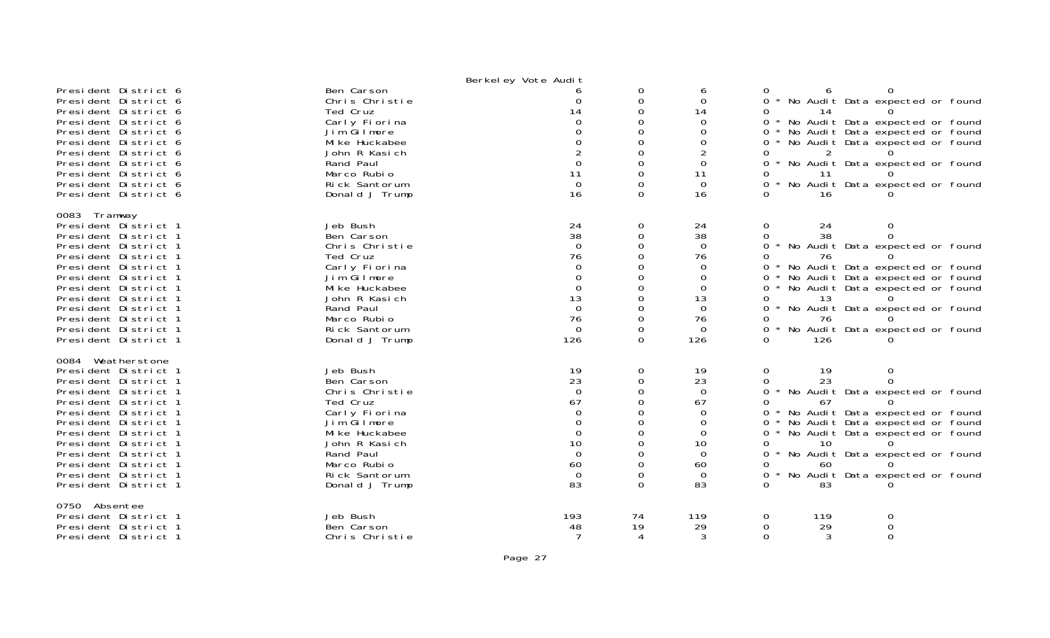|                                                                                                                                                                                                                                                                                                                   |                                                                                                                                                                                        | Berkel ey Vote Audit                                                                                              |                                                                                                        |                                                                                                                             |                                                                                                                  |                                   |                                                                                                                                                                                                                                      |  |
|-------------------------------------------------------------------------------------------------------------------------------------------------------------------------------------------------------------------------------------------------------------------------------------------------------------------|----------------------------------------------------------------------------------------------------------------------------------------------------------------------------------------|-------------------------------------------------------------------------------------------------------------------|--------------------------------------------------------------------------------------------------------|-----------------------------------------------------------------------------------------------------------------------------|------------------------------------------------------------------------------------------------------------------|-----------------------------------|--------------------------------------------------------------------------------------------------------------------------------------------------------------------------------------------------------------------------------------|--|
| President District 6<br>President District 6<br>President District 6<br>President District 6<br>President District 6<br>President District 6<br>President District 6<br>President District 6<br>President District 6<br>President District 6<br>President District 6                                              | Ben Carson<br>Chris Christie<br>Ted Cruz<br>Carly Fiorina<br>Jim Gilmore<br>Mi ke Huckabee<br>John R Kasich<br>Rand Paul<br>Marco Rubio<br>Rick Santorum<br>Donald J Trump             | $\Omega$<br>14<br>$\Omega$<br>$\Omega$<br>11<br>$\mathbf 0$<br>16                                                 | 0<br>0<br>$\Omega$<br>0<br>$\Omega$<br>$\Omega$<br>$\Omega$<br>$\Omega$<br>0<br>$\Omega$               | 6<br>$\Omega$<br>14<br>$\Omega$<br>$\Omega$<br>$\Omega$<br>$\overline{2}$<br>0<br>11<br>$\mathbf 0$<br>16                   | 0<br>$\Omega$<br>0<br>$\overline{O}$<br>$\Omega$<br>0<br>$\Omega$<br>0<br>0                                      | 14<br>$\overline{2}$<br>11<br>16  | No Audit Data expected or found<br>No Audit Data expected or found<br>No Audit Data expected or found<br>No Audit Data expected or found<br>No Audit Data expected or found<br>No Audit Data expected or found                       |  |
| 0083 Tramway<br>President District 1<br>President District 1<br>President District 1<br>President District 1<br>President District 1<br>President District 1<br>President District 1<br>President District 1<br>President District 1<br>President District 1<br>President District 1<br>President District 1      | Jeb Bush<br>Ben Carson<br>Chris Christie<br>Ted Cruz<br>Carly Fiorina<br>Jim Gilmore<br>Mi ke Huckabee<br>John R Kasich<br>Rand Paul<br>Marco Rubio<br>Rick Santorum<br>Donald J Trump | $\frac{24}{38}$<br>$\Omega$<br>76<br>0<br>$\Omega$<br>$\Omega$<br>13<br>$\Omega$<br>76<br>$\overline{0}$<br>126   | 0<br>$\mathbf 0$<br>$\Omega$<br>0<br>$\Omega$<br>0<br>$\Omega$<br>$\Omega$<br>$\Omega$                 | 24<br>$\overline{38}$<br>$\overline{0}$<br>76<br>$\overline{0}$<br>0<br>$\Omega$<br>13<br>$\Omega$<br>76<br>$\Omega$<br>126 | $\mathbf{O}$<br>$\Omega$<br>$\mathbf{O}$<br>$\star$<br>$\Omega$<br>0<br>0<br>0<br>0<br>0<br>$\Omega$<br>$\Omega$ | 24<br>38<br>76<br>13<br>76<br>126 | 0<br>$\Omega$<br>No Audit Data expected or found<br>No Audit Data expected or found<br>No Audit Data expected or found<br>No Audit Data expected or found<br>0<br>No Audit Data expected or found<br>No Audit Data expected or found |  |
| 0084 Weatherstone<br>President District 1<br>President District 1<br>President District 1<br>President District 1<br>President District 1<br>President District 1<br>President District 1<br>President District 1<br>President District 1<br>President District 1<br>President District 1<br>President District 1 | Jeb Bush<br>Ben Carson<br>Chris Christie<br>Ted Cruz<br>Carly Fiorina<br>Jim Gilmore<br>Mi ke Huckabee<br>John R Kasich<br>Rand Paul<br>Marco Rubio<br>Rick Santorum<br>Donald J Trump | 19<br>23<br>$\overline{0}$<br>67<br>$\Omega$<br>$\Omega$<br>$\Omega$<br>10<br>$\mathbf 0$<br>60<br>$\Omega$<br>83 | 0<br>$\Omega$<br>$\Omega$<br>$\Omega$<br>$\Omega$<br>0<br>$\Omega$<br>$\Omega$<br>$\Omega$<br>$\Omega$ | 19<br>23<br>$\overline{0}$<br>67<br>$\Omega$<br>0<br>$\Omega$<br>10<br>$\overline{0}$<br>60<br>$\Omega$<br>83               | $\mathbf 0$<br>$\Omega$<br>0<br>$\Omega$<br>0<br>$\Omega$<br>0<br>0<br>0<br>$\Omega$                             | 19<br>23<br>67<br>10<br>60<br>83  | 0<br>$\Omega$<br>No Audit Data expected or found<br>No Audit Data expected or found<br>No Audit Data expected or found<br>No Audit Data expected or found<br>No Audit Data expected or found<br>No Audit Data expected or found      |  |
| 0750 Absentee<br>President District 1<br>President District 1<br>President District 1                                                                                                                                                                                                                             | Jeb Bush<br>Ben Carson<br>Chris Christie                                                                                                                                               | 193<br>48<br>$\overline{7}$                                                                                       | 74<br>19<br>$\boldsymbol{\varDelta}$                                                                   | 119<br>29<br>3                                                                                                              | 0<br>$\Omega$<br>$\Omega$                                                                                        | 119<br>29<br>3                    | 0<br>$\Omega$<br>$\Omega$                                                                                                                                                                                                            |  |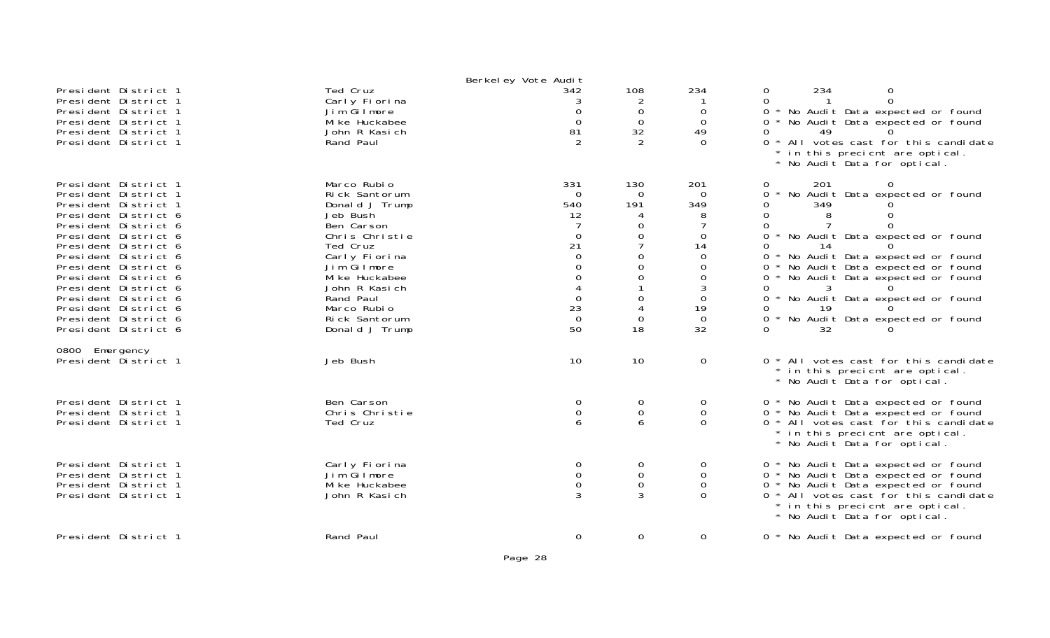| President District 1<br>President District 1<br>President District 1<br>President District 1<br>President District 1<br>President District 1                                                                                                                                                                                                                         | Ted Cruz<br>Carly Fiorina<br>Jim Gilmore<br>Mi ke Huckabee<br>John R Kasich<br>Rand Paul                                                                                                                                                 | Berkeley Vote Audit<br>342<br>3<br>$\Omega$<br>$\Omega$<br>81<br>$\mathcal{P}$                                                      | 108<br>2<br>0<br>$\overline{0}$<br>32<br>2                                                                                                                              | 234<br>$\Omega$<br>$\Omega$<br>49<br>$\Omega$                                                                              | 234<br>$\boldsymbol{0}$<br>0<br>$\mathbf{O}$<br>$\Omega$<br>* No Audit Data expected or found<br>$\mathbf{O}$<br>0<br>* No Audit Data expected or found<br>0<br>49<br>$\Omega$<br>* All votes cast for this candidate<br>in this precient are optical.<br>* No Audit Data for optical.                                                                                                                                   |
|----------------------------------------------------------------------------------------------------------------------------------------------------------------------------------------------------------------------------------------------------------------------------------------------------------------------------------------------------------------------|------------------------------------------------------------------------------------------------------------------------------------------------------------------------------------------------------------------------------------------|-------------------------------------------------------------------------------------------------------------------------------------|-------------------------------------------------------------------------------------------------------------------------------------------------------------------------|----------------------------------------------------------------------------------------------------------------------------|--------------------------------------------------------------------------------------------------------------------------------------------------------------------------------------------------------------------------------------------------------------------------------------------------------------------------------------------------------------------------------------------------------------------------|
| President District 1<br>President District 1<br>President District 1<br>President District 6<br>President District 6<br>President District 6<br>President District 6<br>President District 6<br>President District 6<br>President District 6<br>President District 6<br>President District 6<br>President District 6<br>President District 6<br>President District 6 | Marco Rubio<br>Rick Santorum<br>Donald J Trump<br>Jeb Bush<br>Ben Carson<br>Chris Christie<br>Ted Cruz<br>Carly Fiorina<br>Jim Gilmore<br>Mi ke Huckabee<br>John R Kasich<br>Rand Paul<br>Marco Rubio<br>Rick Santorum<br>Donald J Trump | 331<br>$\Omega$<br>540<br>12<br>$\Omega$<br>21<br>$\Omega$<br>$\Omega$<br>$\mathbf{O}$<br>$\mathbf 0$<br>23<br>$\overline{0}$<br>50 | 130<br>$\Omega$<br>191<br>0<br>$\mathbf 0$<br>$\overline{7}$<br>$\mathbf 0$<br>$\overline{0}$<br>$\mathbf 0$<br>$\boldsymbol{0}$<br>$\overline{4}$<br>$\mathbf 0$<br>18 | 201<br>0<br>349<br>$\Omega$<br>14<br>$\Omega$<br>$\mathbf 0$<br>$\mathbf 0$<br>3<br>$\Omega$<br>19<br>$\overline{0}$<br>32 | 201<br>$\Omega$<br>0<br>0<br>No Audit Data expected or found<br>349<br>0<br>0<br>8<br>0<br>0<br>0<br>* No Audit Data expected or found<br>0<br>14<br>0<br>No Audit Data expected or found<br>0<br>No Audit Data expected or found<br>* No Audit Data expected or found<br>$\mathbf{O}$<br>0<br>3<br>No Audit Data expected or found<br>0<br>19<br>O<br>$\mathbf{O}$<br>No Audit Data expected or found<br>$\Omega$<br>32 |
| 0800 Emergency<br>President District 1                                                                                                                                                                                                                                                                                                                               | Jeb Bush                                                                                                                                                                                                                                 | 10                                                                                                                                  | 10                                                                                                                                                                      | $\mathbf 0$                                                                                                                | 0 * All votes cast for this candidate<br>* in this precient are optical.<br>* No Audit Data for optical.                                                                                                                                                                                                                                                                                                                 |
| President District 1<br>President District 1<br>President District 1                                                                                                                                                                                                                                                                                                 | Ben Carson<br>Chris Christie<br>Ted Cruz                                                                                                                                                                                                 | 0<br>$\mathbf 0$<br>6                                                                                                               | 0<br>$\mathsf{O}\xspace$<br>6                                                                                                                                           | 0<br>0<br>$\Omega$                                                                                                         | 0 * No Audit Data expected or found<br>0 * No Audit Data expected or found<br>0 * All votes cast for this candidate<br>* in this precient are optical.<br>* No Audit Data for optical.                                                                                                                                                                                                                                   |
| President District 1<br>President District 1<br>President District 1<br>President District 1                                                                                                                                                                                                                                                                         | Carly Fiorina<br>Jim Gilmore<br>Mi ke Huckabee<br>John R Kasich                                                                                                                                                                          | 0<br>0<br>0<br>3                                                                                                                    | 0<br>$\mathbf 0$<br>$\mathbf 0$<br>3                                                                                                                                    | 0<br>0<br>0<br>$\Omega$                                                                                                    | 0 * No Audit Data expected or found<br>0 * No Audit Data expected or found<br>* No Audit Data expected or found<br>$\overline{0}$<br>0 * All votes cast for this candidate<br>* in this precient are optical.<br>* No Audit Data for optical.                                                                                                                                                                            |
| President District 1                                                                                                                                                                                                                                                                                                                                                 | Rand Paul                                                                                                                                                                                                                                | $\Omega$                                                                                                                            | $\overline{0}$                                                                                                                                                          | 0                                                                                                                          | 0 * No Audit Data expected or found                                                                                                                                                                                                                                                                                                                                                                                      |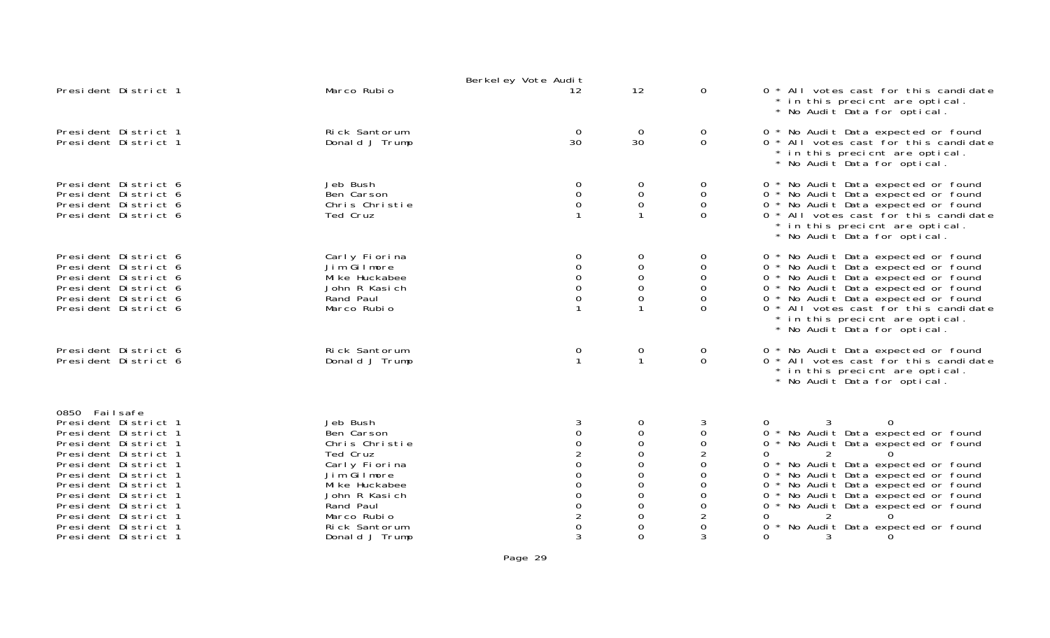|                                                                                                                                                                                                                                                                                                               |                                                                                                                                                                                        | Berkeley Vote Audit                                                                                                                                                                                   |                                                                                                              |                                                                                                                   |                                                                                                                                                                                                                                                                                                                                                                                                                    |
|---------------------------------------------------------------------------------------------------------------------------------------------------------------------------------------------------------------------------------------------------------------------------------------------------------------|----------------------------------------------------------------------------------------------------------------------------------------------------------------------------------------|-------------------------------------------------------------------------------------------------------------------------------------------------------------------------------------------------------|--------------------------------------------------------------------------------------------------------------|-------------------------------------------------------------------------------------------------------------------|--------------------------------------------------------------------------------------------------------------------------------------------------------------------------------------------------------------------------------------------------------------------------------------------------------------------------------------------------------------------------------------------------------------------|
| President District 1                                                                                                                                                                                                                                                                                          | Marco Rubio                                                                                                                                                                            | 12                                                                                                                                                                                                    | 12                                                                                                           | $\Omega$                                                                                                          | 0 * All votes cast for this candidate<br>in this precient are optical.<br>* No Audit Data for optical.                                                                                                                                                                                                                                                                                                             |
| President District 1<br>President District 1                                                                                                                                                                                                                                                                  | Rick Santorum<br>Donald J Trump                                                                                                                                                        | $\overline{0}$<br>30                                                                                                                                                                                  | $\mathbf 0$<br>30                                                                                            | $\mathbf 0$<br>$\mathbf 0$                                                                                        | 0 * No Audit Data expected or found<br>0 * All votes cast for this candidate<br>* in this precient are optical.<br>No Audit Data for optical.                                                                                                                                                                                                                                                                      |
| President District 6<br>President District 6<br>President District 6<br>President District 6                                                                                                                                                                                                                  | Jeb Bush<br>Ben Carson<br>Chris Christie<br>Ted Cruz                                                                                                                                   | 0<br>$\boldsymbol{0}$<br>0                                                                                                                                                                            | 0<br>$\boldsymbol{0}$<br>$\mathbf 0$<br>$\mathbf{1}$                                                         | 0<br>$\mathbf 0$<br>0<br>$\Omega$                                                                                 | 0 * No Audit Data expected or found<br>0 * No Audit Data expected or found<br>0 * No Audit Data expected or found<br>0 * All votes cast for this candidate<br>in this precient are optical.<br>* No Audit Data for optical.                                                                                                                                                                                        |
| President District 6<br>President District 6<br>President District 6<br>President District 6<br>President District 6<br>President District 6                                                                                                                                                                  | Carly Fiorina<br>Jim Gilmore<br>Mi ke Huckabee<br>John R Kasich<br>Rand Paul<br>Marco Rubio                                                                                            | 0<br>$\overline{0}$<br>0                                                                                                                                                                              | 0<br>0<br>0<br>$\mathbf 0$<br>$\mathbf 0$                                                                    | 0<br>0<br>0<br>0<br>0<br>$\Omega$                                                                                 | 0 * No Audit Data expected or found<br>0 * No Audit Data expected or found<br>0 * No Audit Data expected or found<br>0 * No Audit Data expected or found<br>0 * No Audit Data expected or found<br>0 * All votes cast for this candidate<br>in this precient are optical.<br>* No Audit Data for optical.                                                                                                          |
| President District 6<br>President District 6                                                                                                                                                                                                                                                                  | Rick Santorum<br>Donald J Trump                                                                                                                                                        | $\overline{0}$<br>$\mathbf{1}$                                                                                                                                                                        | 0<br>$\mathbf{1}$                                                                                            | 0<br>$\Omega$                                                                                                     | 0 * No Audit Data expected or found<br>0 * All votes cast for this candidate<br>* in this precient are optical.<br>* No Audit Data for optical.                                                                                                                                                                                                                                                                    |
| 0850 Failsafe<br>President District 1<br>President District 1<br>President District 1<br>President District 1<br>President District 1<br>President District 1<br>President District 1<br>President District 1<br>President District 1<br>President District 1<br>President District 1<br>President District 1 | Jeb Bush<br>Ben Carson<br>Chris Christie<br>Ted Cruz<br>Carly Fiorina<br>Jim Gilmore<br>Mi ke Huckabee<br>John R Kasich<br>Rand Paul<br>Marco Rubio<br>Rick Santorum<br>Donald J Trump | $\mathbf 0$<br>$\begin{smallmatrix} 0 \\ 2 \end{smallmatrix}$<br>$\overline{0}$<br>$\mathbf 0$<br>$\overline{0}$<br>$\overline{0}$<br>$\begin{smallmatrix}0\0\2\end{smallmatrix}$<br>$\mathbf 0$<br>3 | 0<br>$\mathbf 0$<br>0<br>$\Omega$<br>0<br>$\Omega$<br>$\Omega$<br>0<br>$\Omega$<br>$\Omega$<br>0<br>$\Omega$ | 3<br>$\mathbf 0$<br>0<br>$\overline{2}$<br>0<br>$\Omega$<br>$\Omega$<br>0<br>0<br>$\overline{2}$<br>$\Omega$<br>3 | $\Omega$<br>0<br>0 * No Audit Data expected or found<br>0 * No Audit Data expected or found<br>2<br>0<br>$\Omega$<br>No Audit Data expected or found<br>$0^*$<br>0 * No Audit Data expected or found<br>0 * No Audit Data expected or found<br>0 * No Audit Data expected or found<br>No Audit Data expected or found<br>$0 *$<br>2<br>0<br>$\Omega$<br>No Audit Data expected or found<br>0<br>0<br>3<br>$\Omega$ |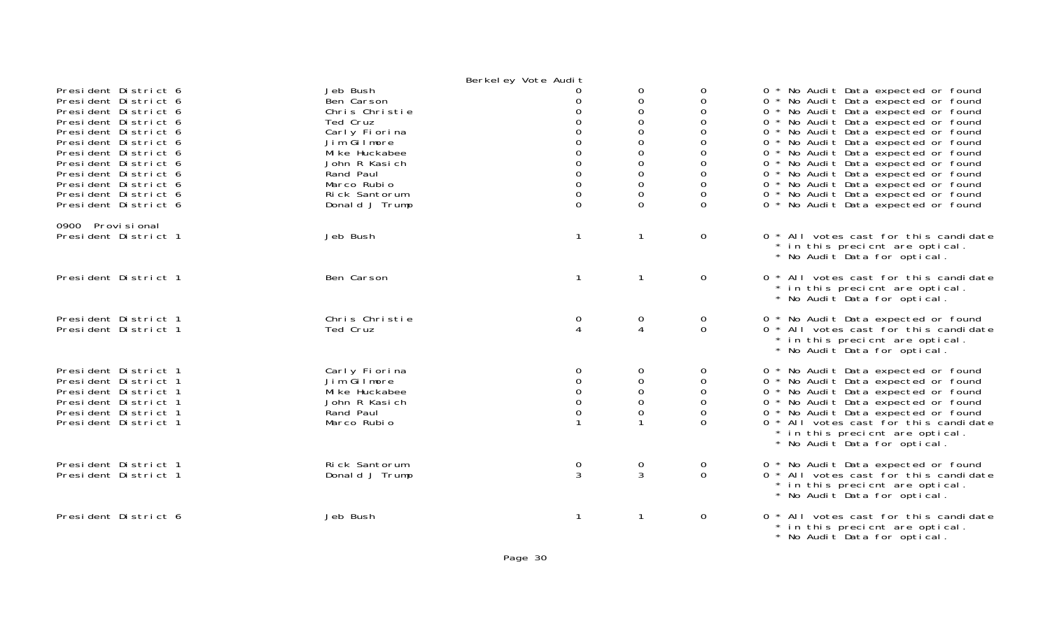|                                                                                                                                                                                                                                                                                              |                                                                                                                                                                                        | Berkel ey Vote Audit                                                                                                                                  |                                                                                                                                                        |                                                                                        |                                                                                                                                                                                                                                                                                                                                                                                                                                                                                  |
|----------------------------------------------------------------------------------------------------------------------------------------------------------------------------------------------------------------------------------------------------------------------------------------------|----------------------------------------------------------------------------------------------------------------------------------------------------------------------------------------|-------------------------------------------------------------------------------------------------------------------------------------------------------|--------------------------------------------------------------------------------------------------------------------------------------------------------|----------------------------------------------------------------------------------------|----------------------------------------------------------------------------------------------------------------------------------------------------------------------------------------------------------------------------------------------------------------------------------------------------------------------------------------------------------------------------------------------------------------------------------------------------------------------------------|
| President District 6<br>President District 6<br>President District 6<br>President District 6<br>President District 6<br>President District 6<br>President District 6<br>President District 6<br>President District 6<br>President District 6<br>President District 6<br>President District 6 | Jeb Bush<br>Ben Carson<br>Chris Christie<br>Ted Cruz<br>Carly Fiorina<br>Jim Gilmore<br>Mi ke Huckabee<br>John R Kasich<br>Rand Paul<br>Marco Rubio<br>Rick Santorum<br>Donald J Trump | O<br>0<br>$\Omega$<br>0<br>$\Omega$<br>$\Omega$<br>$\mathsf{O}\xspace$<br>$\mathsf{O}\xspace$<br>$\overline{0}$<br>$\mathsf{O}\xspace$<br>$\mathbf 0$ | 0<br>$\mathbf 0$<br>$\mathbf 0$<br>$\mathbf 0$<br>$\mathbf 0$<br>0<br>0<br>$\mbox{O}$<br>$\mathbf 0$<br>$\mathbf 0$<br>$\mathsf{O}\xspace$<br>$\Omega$ | 0<br>0<br>$\Omega$<br>0<br>$\Omega$<br>$\Omega$<br>0<br>0<br>$\Omega$<br>0<br>$\Omega$ | 0 * No Audit Data expected or found<br>0 * No Audit Data expected or found<br>0 * No Audit Data expected or found<br>0 * No Audit Data expected or found<br>0 * No Audit Data expected or found<br>0 * No Audit Data expected or found<br>0 * No Audit Data expected or found<br>0 * No Audit Data expected or found<br>0 * No Audit Data expected or found<br>0 * No Audit Data expected or found<br>0 * No Audit Data expected or found<br>0 * No Audit Data expected or found |
| 0900 Provisional<br>President District 1                                                                                                                                                                                                                                                     | Jeb Bush                                                                                                                                                                               | $\mathbf{1}$                                                                                                                                          | $\mathbf{1}$                                                                                                                                           | $\mathbf 0$                                                                            | 0 * All votes cast for this candidate<br>* in this precient are optical.<br>* No Audit Data for optical.                                                                                                                                                                                                                                                                                                                                                                         |
| President District 1                                                                                                                                                                                                                                                                         | Ben Carson                                                                                                                                                                             | $\mathbf{1}$                                                                                                                                          | $\mathbf{1}$                                                                                                                                           | $\mathbf 0$                                                                            | 0 * All votes cast for this candidate<br>* in this precient are optical.<br>* No Audit Data for optical.                                                                                                                                                                                                                                                                                                                                                                         |
| President District 1<br>President District 1                                                                                                                                                                                                                                                 | Chris Christie<br>Ted Cruz                                                                                                                                                             | $\mathbf 0$<br>$\overline{4}$                                                                                                                         | $\mathbf 0$<br>$\overline{4}$                                                                                                                          | 0<br>$\mathbf 0$                                                                       | 0 * No Audit Data expected or found<br>0 * All votes cast for this candidate<br>* in this precient are optical.<br>* No Audit Data for optical.                                                                                                                                                                                                                                                                                                                                  |
| President District 1<br>President District 1<br>President District 1<br>President District 1<br>President District 1<br>President District 1                                                                                                                                                 | Carly Fiorina<br>Jim Gilmore<br>Mi ke Huckabee<br>John R Kasich<br>Rand Paul<br>Marco Rubio                                                                                            | 0<br>$\mathbf 0$<br>$\mathbf 0$<br>$\mathbf 0$<br>$\mathbf 0$                                                                                         | $\mathbf{O}$<br>$\mathbf 0$<br>$\mathbf 0$<br>$\mathbf 0$<br>$\mathbf 0$                                                                               | 0<br>0<br>$\mathbf 0$<br>0<br>$\Omega$<br>$\Omega$                                     | 0 * No Audit Data expected or found<br>0 * No Audit Data expected or found<br>0 * No Audit Data expected or found<br>0 * No Audit Data expected or found<br>0 * No Audit Data expected or found<br>0 * All votes cast for this candidate<br>* in this precient are optical.<br>* No Audit Data for optical.                                                                                                                                                                      |
| President District 1<br>President District 1                                                                                                                                                                                                                                                 | Rick Santorum<br>Donald J Trump                                                                                                                                                        | $\mathbf 0$<br>3                                                                                                                                      | $\mathbf 0$<br>$\mathbf{3}$                                                                                                                            | 0<br>$\Omega$                                                                          | 0 * No Audit Data expected or found<br>0 * All votes cast for this candidate<br>* in this precient are optical.<br>* No Audit Data for optical.                                                                                                                                                                                                                                                                                                                                  |
| President District 6                                                                                                                                                                                                                                                                         | Jeb Bush                                                                                                                                                                               | $\mathbf 1$                                                                                                                                           |                                                                                                                                                        | $\mathbf 0$                                                                            | 0 * All votes cast for this candidate<br>* in this precient are optical.                                                                                                                                                                                                                                                                                                                                                                                                         |

\* No Audit Data for optical.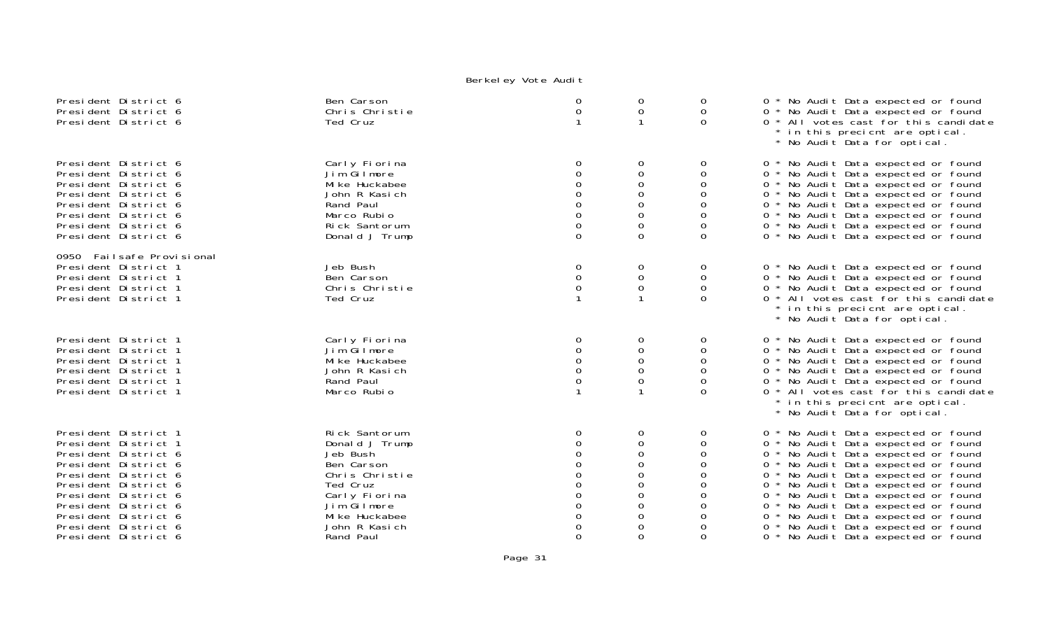| President District 6<br>President District 6<br>President District 6                                                                                                                                                                                                 | Ben Carson<br>Chris Christie<br>Ted Cruz                                                                                                                                | 0<br>0                                                                                           | 0<br>0<br>$\mathbf{1}$                                                                                       | 0<br>$\mathbf 0$<br>$\Omega$                                      | 0 * No Audit Data expected or found<br>0 * No Audit Data expected or found<br>0 * All votes cast for this candidate<br>in this precient are optical.<br>* No Audit Data for optical.                                                                                                                                                                                                                                                                    |
|----------------------------------------------------------------------------------------------------------------------------------------------------------------------------------------------------------------------------------------------------------------------|-------------------------------------------------------------------------------------------------------------------------------------------------------------------------|--------------------------------------------------------------------------------------------------|--------------------------------------------------------------------------------------------------------------|-------------------------------------------------------------------|---------------------------------------------------------------------------------------------------------------------------------------------------------------------------------------------------------------------------------------------------------------------------------------------------------------------------------------------------------------------------------------------------------------------------------------------------------|
| President District 6<br>President District 6<br>President District 6<br>President District 6<br>President District 6<br>President District 6<br>President District 6<br>President District 6                                                                         | Carly Fiorina<br>Jim Gilmore<br>Mi ke Huckabee<br>John R Kasich<br>Rand Paul<br>Marco Rubio<br>Rick Santorum<br>Donald J Trump                                          | 0<br>$\Omega$<br>0<br>$\mbox{O}$<br>$\boldsymbol{0}$<br>$\mathbf 0$<br>$\mathbf 0$               | 0<br>$\mathbf 0$<br>0<br>0<br>$\mbox{O}$<br>$\boldsymbol{0}$<br>$\mathbf 0$<br>$\mathbf 0$                   | 0<br>0<br>0<br>0<br>$\boldsymbol{0}$<br>0<br>$\Omega$<br>$\Omega$ | 0 * No Audit Data expected or found<br>0 * No Audit Data expected or found<br>0 * No Audit Data expected or found<br>0 * No Audit Data expected or found<br>0 * No Audit Data expected or found<br>0 * No Audit Data expected or found<br>0 * No Audit Data expected or found<br>0 * No Audit Data expected or found                                                                                                                                    |
| 0950 Failsafe Provisional<br>President District 1<br>President District 1<br>President District 1<br>President District 1                                                                                                                                            | Jeb Bush<br>Ben Carson<br>Chris Christie<br>Ted Cruz                                                                                                                    | 0<br>$\mathbf 0$<br>0                                                                            | 0<br>$\boldsymbol{0}$<br>0                                                                                   | 0<br>0<br>0<br>$\Omega$                                           | 0 * No Audit Data expected or found<br>0 * No Audit Data expected or found<br>0 * No Audit Data expected or found<br>0 * All votes cast for this candidate<br>* in this precient are optical.<br>* No Audit Data for optical.                                                                                                                                                                                                                           |
| President District 1<br>President District 1<br>President District 1<br>President District 1<br>President District 1<br>President District 1                                                                                                                         | Carly Fiorina<br>Jim Gilmore<br>Mi ke Huckabee<br>John R Kasich<br>Rand Paul<br>Marco Rubio                                                                             | 0<br>0<br>$\Omega$<br>$\Omega$<br>$\mathbf 0$                                                    | 0<br>$\mathbf 0$<br>0<br>0<br>$\mathbf 0$                                                                    | 0<br>0<br>0<br>$\Omega$<br>0<br>$\Omega$                          | 0 * No Audit Data expected or found<br>0 * No Audit Data expected or found<br>0 * No Audit Data expected or found<br>0 * No Audit Data expected or found<br>0 * No Audit Data expected or found<br>0 * All votes cast for this candidate<br>* in this precient are optical.<br>* No Audit Data for optical.                                                                                                                                             |
| President District 1<br>President District 1<br>President District 6<br>President District 6<br>President District 6<br>President District 6<br>President District 6<br>President District 6<br>President District 6<br>President District 6<br>President District 6 | Rick Santorum<br>Donald J Trump<br>Jeb Bush<br>Ben Carson<br>Chris Christie<br>Ted Cruz<br>Carly Fiorina<br>Jim Gilmore<br>Mi ke Huckabee<br>John R Kasich<br>Rand Paul | 0<br>$\Omega$<br>$\Omega$<br>$\boldsymbol{0}$<br>$\mathbf 0$<br>$\Omega$<br>$\Omega$<br>$\Omega$ | 0<br>$\mathbf 0$<br>$\mathbf 0$<br>$\mathbf 0$<br>0<br>$\mathbf 0$<br>$\mathbf 0$<br>0<br>0<br>0<br>$\Omega$ | 0<br>0<br>0<br>0<br>$\Omega$<br>0<br>0<br>0<br>0<br>$\Omega$      | 0 * No Audit Data expected or found<br>0 * No Audit Data expected or found<br>0 * No Audit Data expected or found<br>0 * No Audit Data expected or found<br>0 * No Audit Data expected or found<br>0 * No Audit Data expected or found<br>0 * No Audit Data expected or found<br>0 * No Audit Data expected or found<br>0 * No Audit Data expected or found<br>* No Audit Data expected or found<br>$\mathbf{O}$<br>0 * No Audit Data expected or found |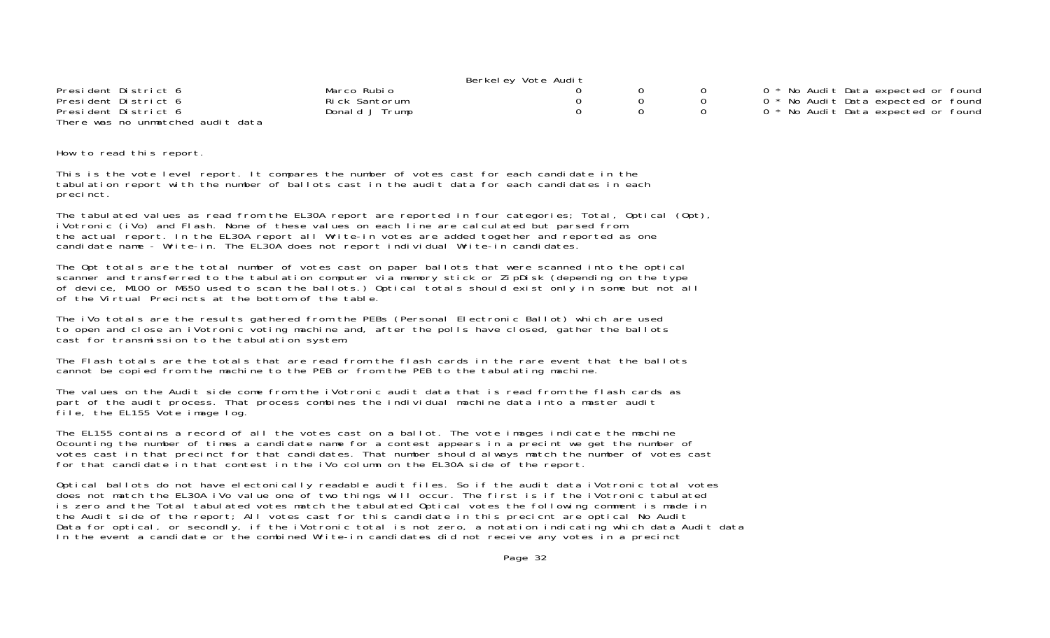|                                   |                | Berkeley Vote Audit |  |                                     |
|-----------------------------------|----------------|---------------------|--|-------------------------------------|
| President District 6              | Marco Rubio    |                     |  | 0 * No Audit Data expected or found |
| President District 6              | Rick Santorum  |                     |  | 0 * No Audit Data expected or found |
| President District 6              | Donald J Trump |                     |  | 0 * No Audit Data expected or found |
| There was no unmatched audit data |                |                     |  |                                     |

How to read this report.

This is the vote level report. It compares the number of votes cast for each candidate in the tabulation report with the number of ballots cast in the audit data for each candidates in each precinct.

The tabulated values as read from the EL30A report are reported in four categories; Total, Optical (Opt), iVotronic (iVo) and Flash. None of these values on each line are calculated but parsed from the actual report. In the EL30A report all Write-in votes are added together and reported as one candidate name - Write-in. The EL30A does not report individual Write-in candidates.

The Opt totals are the total number of votes cast on paper ballots that were scanned into the optical scanner and transferred to the tabulation computer via memory stick or ZipDisk (depending on the type of device, M100 or M650 used to scan the ballots.) Optical totals should exist only in some but not all of the Virtual Precincts at the bottom of the table.

The iVo totals are the results gathered from the PEBs (Personal Electronic Ballot) which are used to open and close an iVotronic voting machine and, after the polls have closed, gather the ballots cast for transmission to the tabulation system.

The Flash totals are the totals that are read from the flash cards in the rare event that the ballots cannot be copied from the machine to the PEB or from the PEB to the tabulating machine.

The values on the Audit side come from the iVotronic audit data that is read from the flash cards as part of the audit process. That process combines the individual machine data into a master audit file, the EL155 Vote image log.

The EL155 contains a record of all the votes cast on a ballot. The vote images indicate the machine 0counting the number of times a candidate name for a contest appears in a precint we get the number of votes cast in that precinct for that candidates. That number should always match the number of votes cast for that candidate in that contest in the iVo column on the EL30A side of the report.

Optical ballots do not have electonically readable audit files. So if the audit data iVotronic total votes does not match the EL30A iVo value one of two things will occur. The first is if the iVotronic tabulated is zero and the Total tabulated votes match the tabulated Optical votes the following comment is made in the Audit side of the report; All votes cast for this candidate in this precicnt are optical No Audit Data for optical, or secondly, if the iVotronic total is not zero, a notation indicating which data Audit data In the event a candidate or the combined Write-in candidates did not receive any votes in a precinct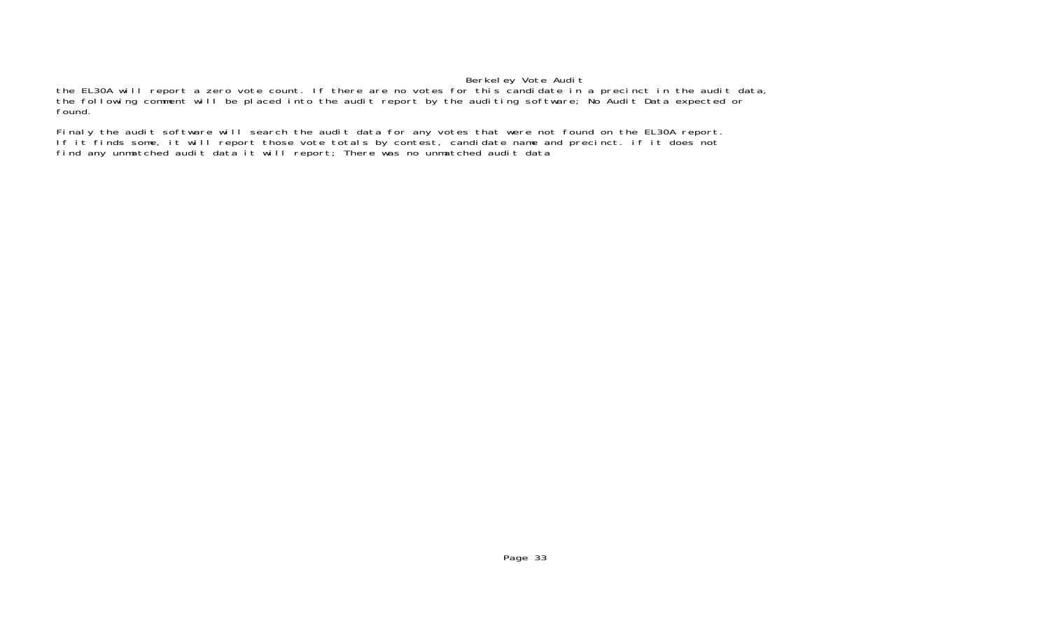the EL30A will report a zero vote count. If there are no votes for this candidate in a precinct in the audit data, the following comment will be placed into the audit report by the auditing software; No Audit Data expected or found.

Finaly the audit software will search the audit data for any votes that were not found on the EL30A report. If it finds some, it will report those vote totals by contest, candidate name and precinct. if it does not find any unmatched audit data it will report; There was no unmatched audit data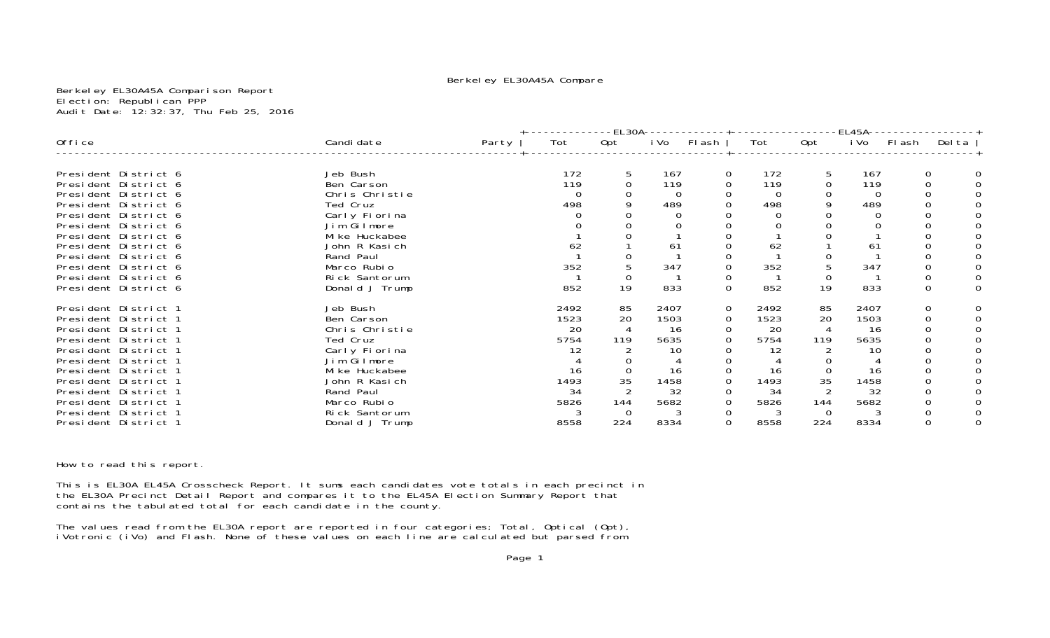### Berkeley EL30A45A Compare

Berkeley EL30A45A Comparison Report Election: Republican PPP Audit Date: 12:32:37, Thu Feb 25, 2016

|                      |                |       | -EL30A-- |          |      | EL45A-         |      |                |      |             |        |  |
|----------------------|----------------|-------|----------|----------|------|----------------|------|----------------|------|-------------|--------|--|
| Office               | Candi date     | Party | Tot      | Opt      | i Vo | Flash          | Tot  | Opt            | i Vo | FI ash      | Del ta |  |
| President District 6 | Jeb Bush       |       | 172      | 5        | 167  | $\Omega$       | 172  | 5              | 167  | 0           |        |  |
| President District 6 | Ben Carson     |       | 119      | 0        | 119  | $\Omega$       | 119  | 0              | 119  | $\Omega$    |        |  |
| President District 6 | Chris Christie |       |          |          |      |                |      |                | 0    |             |        |  |
| President District 6 | Ted Cruz       |       | 498      |          | 489  |                | 498  |                | 489  |             |        |  |
| President District 6 | Carly Fiorina  |       |          |          |      |                |      |                |      |             |        |  |
| President District 6 | Jim Gilmore    |       |          |          |      |                |      |                |      |             |        |  |
| President District 6 | Mi ke Huckabee |       |          |          |      |                |      |                |      |             |        |  |
| President District 6 | John R Kasich  |       | 62       |          | 61   |                | 62   |                | 61   |             |        |  |
| President District 6 | Rand Paul      |       |          |          |      |                |      |                |      |             |        |  |
| President District 6 | Marco Rubio    |       | 352      |          | 347  |                | 352  |                | 347  |             |        |  |
| President District 6 | Rick Santorum  |       |          | $\Omega$ |      | 0              |      | $\Omega$       |      |             |        |  |
| President District 6 | Donald J Trump |       | 852      | 19       | 833  | $\overline{0}$ | 852  | 19             | 833  | $\mathbf 0$ |        |  |
| President District 1 | Jeb Bush       |       | 2492     | 85       | 2407 | $\mathbf 0$    | 2492 | 85             | 2407 | 0           |        |  |
| President District 1 | Ben Carson     |       | 1523     | 20       | 1503 | $\mathbf 0$    | 1523 | 20             | 1503 | $\Omega$    |        |  |
| President District 1 | Chris Christie |       | 20       | 4        | -16  |                | 20   | $\overline{4}$ | 16   |             |        |  |
| President District 1 | Ted Cruz       |       | 5754     | 119      | 5635 |                | 5754 | 119            | 5635 |             |        |  |
| President District 1 | Carly Fiorina  |       |          |          | 10   |                | 12   |                | 10   |             |        |  |
| President District 1 | Jim Gilmore    |       |          |          |      |                |      |                |      |             |        |  |
| President District 1 | Mi ke Huckabee |       | 16       |          | 16   | $\Omega$       | 16   | 0              | 16   |             |        |  |
| President District 1 | John R Kasich  |       | 1493     | 35       | 1458 | 0              | 1493 | 35             | 1458 |             |        |  |
| President District 1 | Rand Paul      |       | 34       |          | 32   | $\Omega$       | 34   |                | 32   |             |        |  |
| President District 1 | Marco Rubio    |       | 5826     | 144      | 5682 | $\mathbf 0$    | 5826 | 144            | 5682 |             |        |  |
| President District 1 | Rick Santorum  |       |          | $\Omega$ |      | 0              |      | $\Omega$       |      |             |        |  |
| President District 1 | Donald J Trump |       | 8558     | 224      | 8334 | $\mathsf{O}$   | 8558 | 224            | 8334 |             |        |  |

How to read this report.

This is EL30A EL45A Crosscheck Report. It sums each candidates vote totals in each precinct in the EL30A Precinct Detail Report and compares it to the EL45A Election Summary Report that contains the tabulated total for each candidate in the county.

The values read from the EL30A report are reported in four categories; Total, Optical (Opt), iVotronic (iVo) and Flash. None of these values on each line are calculated but parsed from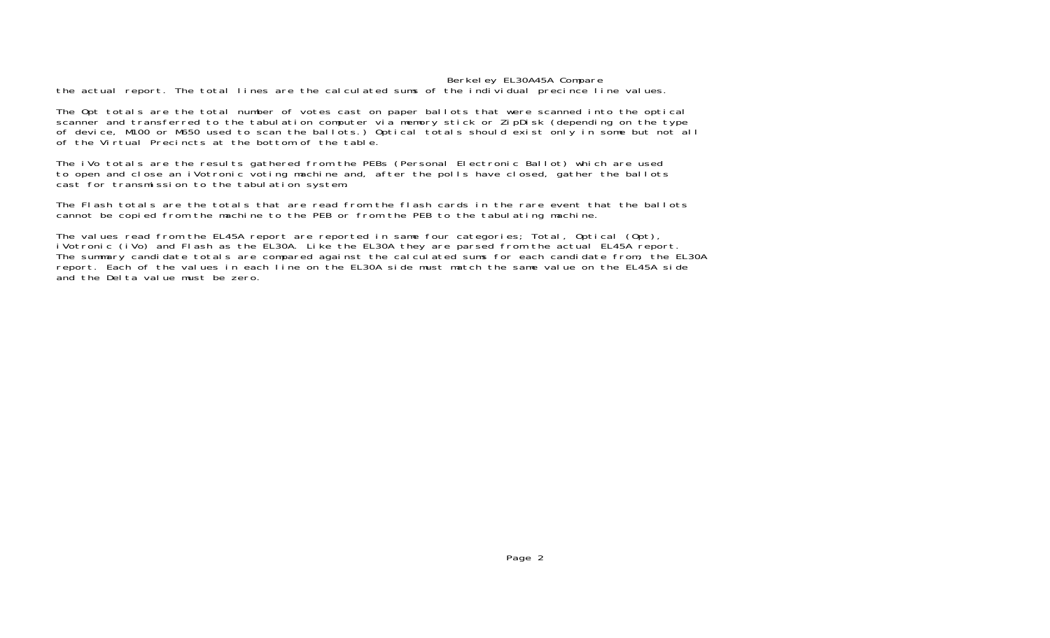## Berkeley EL30A45A Compare

the actual report. The total lines are the calculated sums of the individual precince line values.

The Opt totals are the total number of votes cast on paper ballots that were scanned into the optical scanner and transferred to the tabulation computer via memory stick or ZipDisk (depending on the type of device, M100 or M650 used to scan the ballots.) Optical totals should exist only in some but not all of the Virtual Precincts at the bottom of the table.

The iVo totals are the results gathered from the PEBs (Personal Electronic Ballot) which are used to open and close an iVotronic voting machine and, after the polls have closed, gather the ballots cast for transmission to the tabulation system.

The Flash totals are the totals that are read from the flash cards in the rare event that the ballots cannot be copied from the machine to the PEB or from the PEB to the tabulating machine.

The values read from the EL45A report are reported in same four categories; Total, Optical (Opt), iVotronic (iVo) and Flash as the EL30A. Like the EL30A they are parsed from the actual EL45A report. The summary candidate totals are compared against the calculated sums for each candidate from, the EL30A report. Each of the values in each line on the EL30A side must match the same value on the EL45A side and the Delta value must be zero.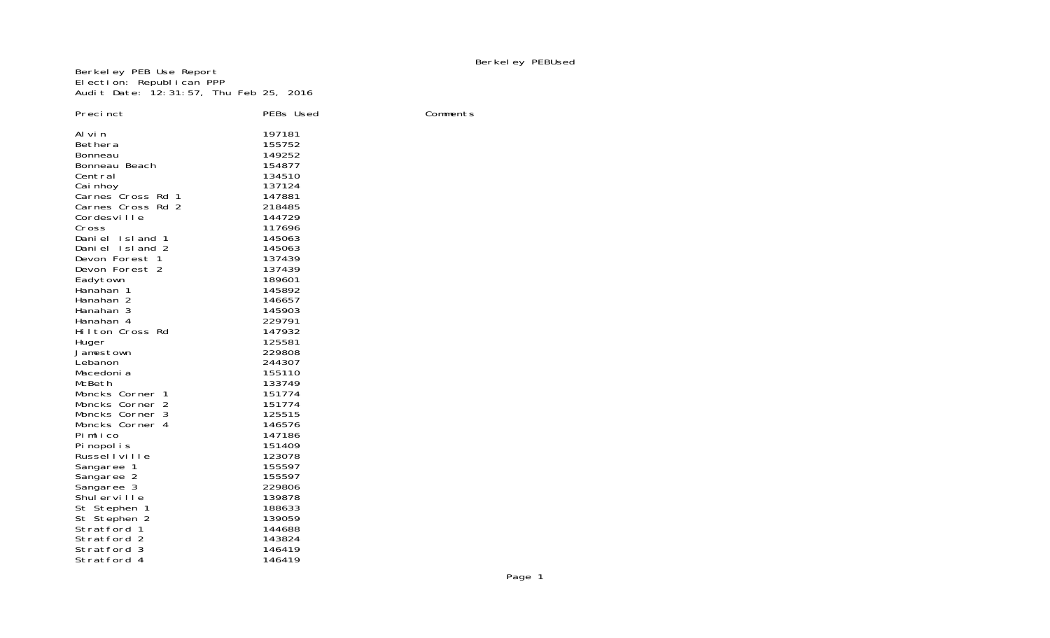Berkeley PEB Use Report Election: Republican PPP Audit Date: 12:31:57, Thu Feb 25, 2016

| Precinct               | PEBs Used        | Comments |
|------------------------|------------------|----------|
| Al vi n                | 197181           |          |
| Bethera                | 155752           |          |
| <b>Bonneau</b>         | 149252           |          |
| Bonneau Beach          | 154877           |          |
| Central                | 134510           |          |
| Cai nhoy               | 137124           |          |
| Carnes Cross Rd 1      | 147881           |          |
| Carnes Cross Rd 2      | 218485           |          |
| Cordesville            | 144729           |          |
| Cross                  | 117696           |          |
| Daniel Island 1        | 145063           |          |
| Daniel Island 2        | 145063           |          |
| Devon Forest 1         | 137439           |          |
| Devon Forest 2         | 137439           |          |
| Eadytown               | 189601           |          |
| Hanahan 1<br>Hanahan 2 | 145892<br>146657 |          |
| Hanahan 3              | 145903           |          |
| Hanahan 4              | 229791           |          |
| Hilton Cross Rd        | 147932           |          |
| Huger                  | 125581           |          |
| Jamestown              | 229808           |          |
| Lebanon                | 244307           |          |
| Macedoni a             | 155110           |          |
| McBeth                 | 133749           |          |
| Moncks Corner 1        | 151774           |          |
| Moncks Corner 2        | 151774           |          |
| Moncks Corner 3        | 125515           |          |
| Moncks Corner 4        | 146576           |          |
| Pimlico                | 147186           |          |
| Pi nopol i s           | 151409           |          |
| Russellville           | 123078           |          |
| Sangaree 1             | 155597           |          |
| Sangaree 2             | 155597           |          |
| Sangaree 3             | 229806           |          |
| Shulerville            | 139878           |          |
| St Stephen 1           | 188633           |          |
| St Stephen 2           | 139059           |          |
| Stratford 1            | 144688           |          |
| Stratford 2            | 143824           |          |
| Stratford 3            | 146419           |          |
| Stratford 4            | 146419           |          |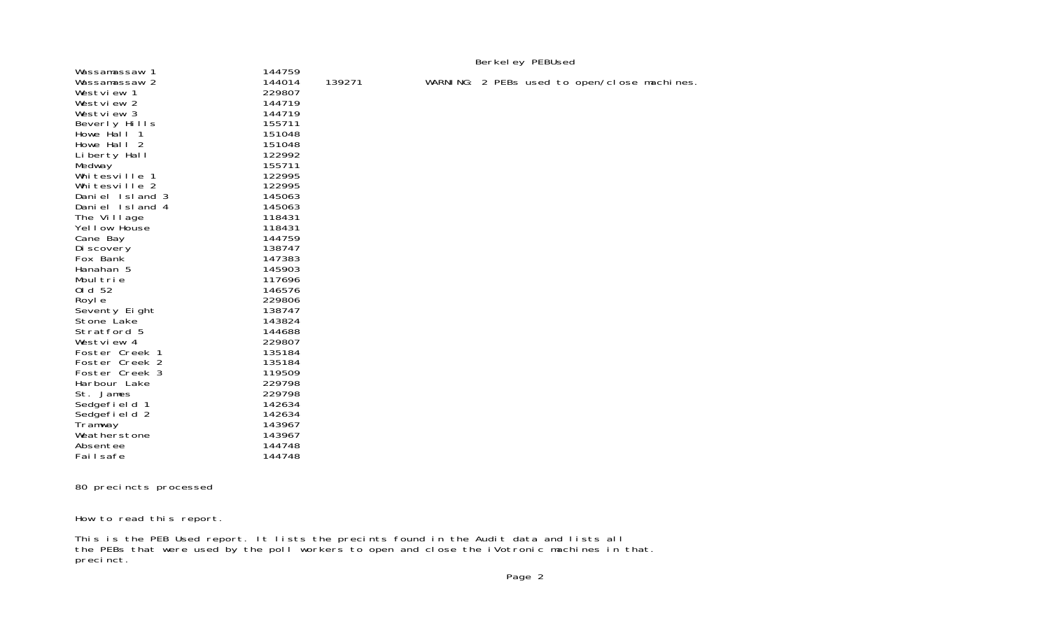|                 |        | Berkel ey PEBUsed |                                              |  |  |  |
|-----------------|--------|-------------------|----------------------------------------------|--|--|--|
| Wassamassaw 1   | 144759 |                   |                                              |  |  |  |
| Wassamassaw 2   | 144014 | 139271            | WARNING: 2 PEBs used to open/close machines. |  |  |  |
| Westview 1      | 229807 |                   |                                              |  |  |  |
| Westview 2      | 144719 |                   |                                              |  |  |  |
| Westview 3      | 144719 |                   |                                              |  |  |  |
| Beverly Hills   | 155711 |                   |                                              |  |  |  |
| Howe Hall 1     | 151048 |                   |                                              |  |  |  |
| Howe Hall 2     | 151048 |                   |                                              |  |  |  |
| Liberty Hall    | 122992 |                   |                                              |  |  |  |
| Medway          | 155711 |                   |                                              |  |  |  |
| Whitesville 1   | 122995 |                   |                                              |  |  |  |
| Whitesville 2   | 122995 |                   |                                              |  |  |  |
| Daniel Island 3 | 145063 |                   |                                              |  |  |  |
| Daniel Island 4 | 145063 |                   |                                              |  |  |  |
| The Village     | 118431 |                   |                                              |  |  |  |
| Yellow House    | 118431 |                   |                                              |  |  |  |
| Cane Bay        | 144759 |                   |                                              |  |  |  |
| Di scovery      | 138747 |                   |                                              |  |  |  |
| Fox Bank        | 147383 |                   |                                              |  |  |  |
| Hanahan 5       | 145903 |                   |                                              |  |  |  |
| Moultrie        | 117696 |                   |                                              |  |  |  |
| 01 d 52         | 146576 |                   |                                              |  |  |  |
| Royl e          | 229806 |                   |                                              |  |  |  |
| Seventy Eight   | 138747 |                   |                                              |  |  |  |
| Stone Lake      | 143824 |                   |                                              |  |  |  |
| Stratford 5     | 144688 |                   |                                              |  |  |  |
| Westview 4      | 229807 |                   |                                              |  |  |  |
| Foster Creek 1  | 135184 |                   |                                              |  |  |  |
| Foster Creek 2  | 135184 |                   |                                              |  |  |  |
| Foster Creek 3  | 119509 |                   |                                              |  |  |  |
| Harbour Lake    | 229798 |                   |                                              |  |  |  |
| St. James       | 229798 |                   |                                              |  |  |  |
| Sedgefield 1    | 142634 |                   |                                              |  |  |  |
| Sedgefield 2    | 142634 |                   |                                              |  |  |  |
| Tramway         | 143967 |                   |                                              |  |  |  |
| Weatherstone    | 143967 |                   |                                              |  |  |  |
| Absentee        | 144748 |                   |                                              |  |  |  |
| Failsafe        | 144748 |                   |                                              |  |  |  |

80 precincts processed

How to read this report.

This is the PEB Used report. It lists the precints found in the Audit data and lists all the PEBs that were used by the poll workers to open and close the iVotronic machines in that. preci nct.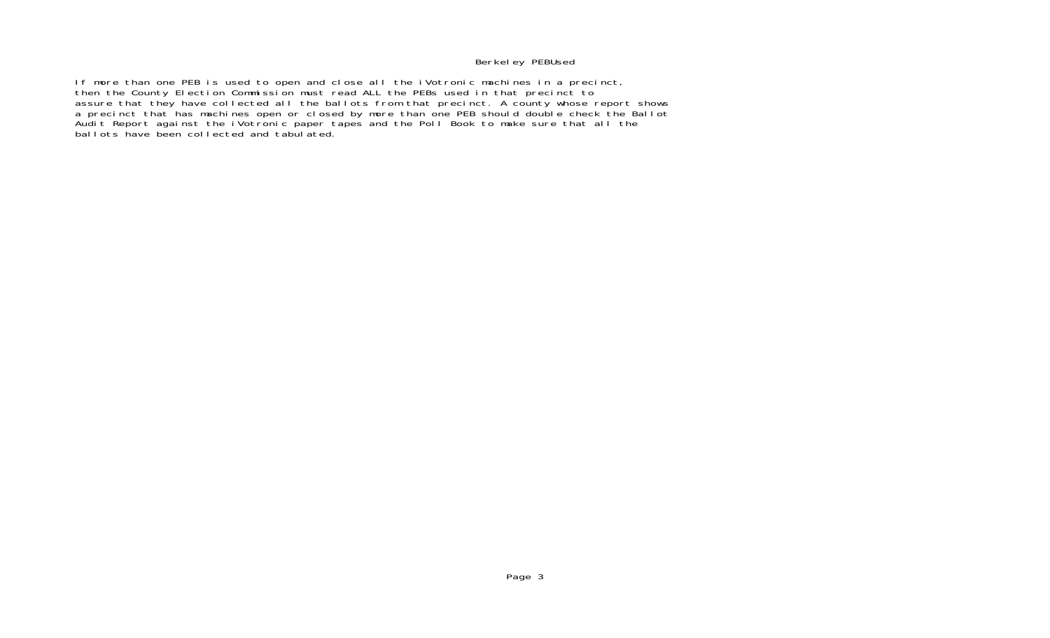# Berkeley PEBUsed

If more than one PEB is used to open and close all the iVotronic machines in a precinct, then the County Election Commission must read ALL the PEBs used in that precinct to assure that they have collected all the ballots from that precinct. A county whose report shows a precinct that has machines open or closed by more than one PEB should double check the Ballot Audit Report against the iVotronic paper tapes and the Poll Book to make sure that all the ballots have been collected and tabulated.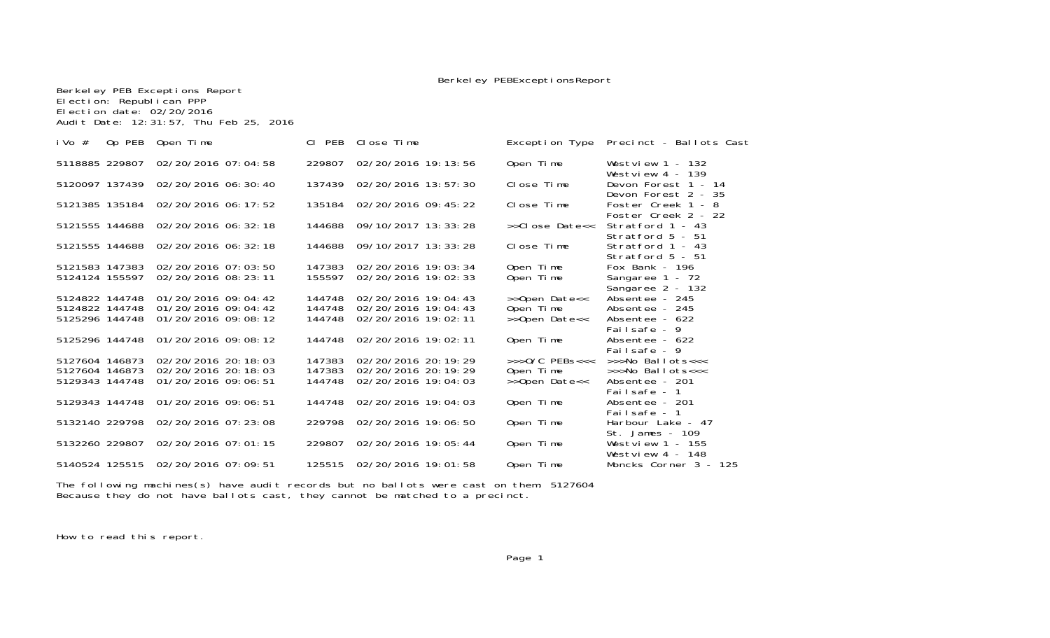Berkeley PEBExceptionsReport

| Election: Republican PPP<br>Election date: 02/20/2016 | Audit Date: 12:31:57, Thu Feb 25, 2016 |        |                            |                    |                                            |
|-------------------------------------------------------|----------------------------------------|--------|----------------------------|--------------------|--------------------------------------------|
| i Vo $#$                                              | Op PEB Open Time                       | CI PEB | Close Time                 | Exception Type     | Precinct - Ballots Cast                    |
| 5118885 229807                                        | 02/20/2016 07:04:58                    | 229807 | 02/20/2016 19: 13: 56      | Open Time          | Westview $1 - 132$<br>Westview $4 - 139$   |
|                                                       | 5120097 137439 02/20/2016 06:30:40     |        | 137439 02/20/2016 13:57:30 | Close Time         | Devon Forest 1 - 14<br>Devon Forest 2 - 35 |
|                                                       | 5121385 135184 02/20/2016 06: 17: 52   |        | 135184 02/20/2016 09:45:22 | Close Time         | Foster Creek 1 - 8<br>Foster Creek 2 - 22  |
|                                                       | 5121555 144688 02/20/2016 06: 32: 18   | 144688 | 09/10/2017 13: 33: 28      | >>Close Date<<     | Stratford 1 - 43<br>Stratford $5 - 51$     |
| 5121555 144688                                        | 02/20/2016 06: 32: 18                  | 144688 | 09/10/2017 13: 33: 28      | Close Time         | Stratford 1 - 43<br>Stratford 5 - 51       |
| 5121583 147383                                        | 02/20/2016 07:03:50                    | 147383 | 02/20/2016 19:03:34        | Open Time          | Fox Bank - 196                             |
| 5124124 155597                                        | 02/20/2016 08: 23: 11                  | 155597 | 02/20/2016 19:02:33        | Open Time          | Sangaree 1 - 72<br>Sangaree 2 - 132        |
| 5124822 144748                                        | 01/20/2016 09:04:42                    | 144748 | 02/20/2016 19:04:43        | >>Open Date<<      | Absentee - 245                             |
| 5124822 144748                                        | 01/20/2016 09:04:42                    | 144748 | 02/20/2016 19:04:43        | Open Time          | Absentee - 245                             |
| 5125296 144748                                        | 01/20/2016 09:08:12                    | 144748 | 02/20/2016 19:02:11        | >>Open Date<<      | Absentee - 622<br>Failsafe - 9             |
| 5125296 144748                                        | 01/20/2016 09:08:12                    | 144748 | 02/20/2016 19:02:11        | Open Time          | Absentee - 622<br>Failsafe - 9             |
| 5127604 146873                                        | 02/20/2016 20:18:03                    | 147383 | 02/20/2016 20: 19: 29      | $>>$ $0/C$ PEBs<<< | $\rightarrow$ >No Ballots<<<               |
| 5127604 146873                                        | 02/20/2016 20:18:03                    | 147383 | 02/20/2016 20: 19: 29      | Open Time          | $\rightarrow$ >No Ballots<<<               |
| 5129343 144748                                        | 01/20/2016 09:06:51                    | 144748 | 02/20/2016 19:04:03        | >>Open Date<<      | Absentee - 201<br>Failsafe - 1             |
| 5129343 144748                                        | 01/20/2016 09:06:51                    | 144748 | 02/20/2016 19:04:03        | Open Time          | Absentee - 201<br>Failsafe - 1             |
| 5132140 229798                                        | 02/20/2016 07: 23: 08                  | 229798 | 02/20/2016 19:06:50        | Open Time          | Harbour Lake - 47<br>St. James - 109       |
| 5132260 229807                                        | 02/20/2016 07:01:15                    | 229807 | 02/20/2016 19:05:44        | Open Time          | Westview $1 - 155$<br>Westview $4 - 148$   |
|                                                       | 5140524 125515 02/20/2016 07:09:51     | 125515 | 02/20/2016 19:01:58        | Open Time          | Moncks Corner 3 - 125                      |

The following machines(s) have audit records but no ballots were cast on them: 5127604 Because they do not have ballots cast, they cannot be matched to a precinct.

How to read this report.

Berkeley PEB Exceptions Report